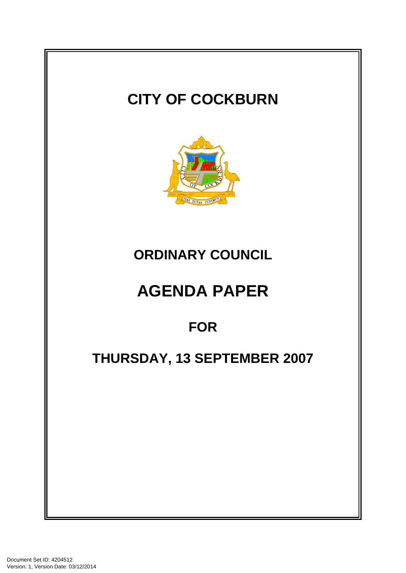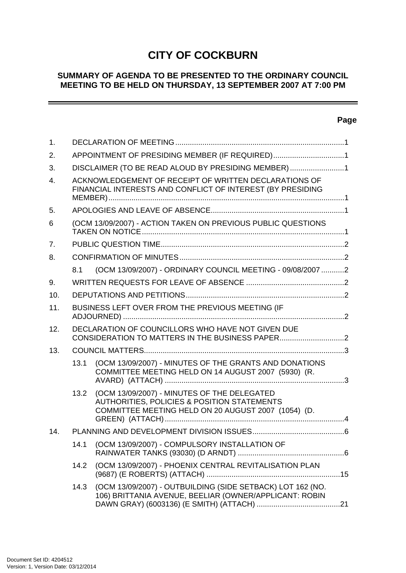# **CITY OF COCKBURN**

## **SUMMARY OF AGENDA TO BE PRESENTED TO THE ORDINARY COUNCIL MEETING TO BE HELD ON THURSDAY, 13 SEPTEMBER 2007 AT 7:00 PM**

## **Page**

-

| $\mathbf 1$ .  |                                                                                                                     |                                                                                                                                                   |  |  |
|----------------|---------------------------------------------------------------------------------------------------------------------|---------------------------------------------------------------------------------------------------------------------------------------------------|--|--|
| 2.             | APPOINTMENT OF PRESIDING MEMBER (IF REQUIRED)1                                                                      |                                                                                                                                                   |  |  |
| 3.             | DISCLAIMER (TO BE READ ALOUD BY PRESIDING MEMBER)1                                                                  |                                                                                                                                                   |  |  |
| $\mathbf{4}$ . | ACKNOWLEDGEMENT OF RECEIPT OF WRITTEN DECLARATIONS OF<br>FINANCIAL INTERESTS AND CONFLICT OF INTEREST (BY PRESIDING |                                                                                                                                                   |  |  |
| 5.             |                                                                                                                     |                                                                                                                                                   |  |  |
| 6              |                                                                                                                     | (OCM 13/09/2007) - ACTION TAKEN ON PREVIOUS PUBLIC QUESTIONS                                                                                      |  |  |
| 7 <sub>1</sub> |                                                                                                                     |                                                                                                                                                   |  |  |
| 8.             |                                                                                                                     |                                                                                                                                                   |  |  |
|                | 8.1                                                                                                                 | (OCM 13/09/2007) - ORDINARY COUNCIL MEETING - 09/08/2007 2                                                                                        |  |  |
| 9.             |                                                                                                                     |                                                                                                                                                   |  |  |
| 10.            |                                                                                                                     |                                                                                                                                                   |  |  |
| 11.            |                                                                                                                     | BUSINESS LEFT OVER FROM THE PREVIOUS MEETING (IF                                                                                                  |  |  |
| 12.            |                                                                                                                     | DECLARATION OF COUNCILLORS WHO HAVE NOT GIVEN DUE                                                                                                 |  |  |
| 13.            |                                                                                                                     |                                                                                                                                                   |  |  |
|                | 13.1                                                                                                                | (OCM 13/09/2007) - MINUTES OF THE GRANTS AND DONATIONS<br>COMMITTEE MEETING HELD ON 14 AUGUST 2007 (5930) (R.                                     |  |  |
|                | 13.2                                                                                                                | (OCM 13/09/2007) - MINUTES OF THE DELEGATED<br>AUTHORITIES, POLICIES & POSITION STATEMENTS<br>COMMITTEE MEETING HELD ON 20 AUGUST 2007 (1054) (D. |  |  |
| 14.            |                                                                                                                     |                                                                                                                                                   |  |  |
|                | 14.1                                                                                                                | (OCM 13/09/2007) - COMPULSORY INSTALLATION OF                                                                                                     |  |  |
|                | 14.2                                                                                                                | (OCM 13/09/2007) - PHOENIX CENTRAL REVITALISATION PLAN                                                                                            |  |  |
|                | 14.3                                                                                                                | (OCM 13/09/2007) - OUTBUILDING (SIDE SETBACK) LOT 162 (NO.<br>106) BRITTANIA AVENUE, BEELIAR (OWNER/APPLICANT: ROBIN                              |  |  |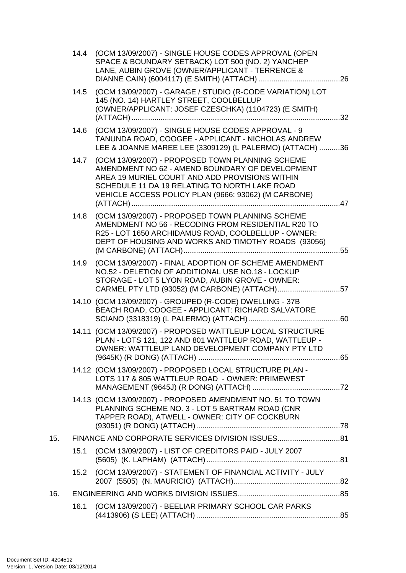|     |      | 14.4 (OCM 13/09/2007) - SINGLE HOUSE CODES APPROVAL (OPEN<br>SPACE & BOUNDARY SETBACK) LOT 500 (NO. 2) YANCHEP<br>LANE, AUBIN GROVE (OWNER/APPLICANT - TERRENCE &                                                                                              |  |
|-----|------|----------------------------------------------------------------------------------------------------------------------------------------------------------------------------------------------------------------------------------------------------------------|--|
|     |      | 14.5 (OCM 13/09/2007) - GARAGE / STUDIO (R-CODE VARIATION) LOT<br>145 (NO. 14) HARTLEY STREET, COOLBELLUP<br>(OWNER/APPLICANT: JOSEF CZESCHKA) (1104723) (E SMITH)                                                                                             |  |
|     | 14.6 | (OCM 13/09/2007) - SINGLE HOUSE CODES APPROVAL - 9<br>TANUNDA ROAD, COOGEE - APPLICANT - NICHOLAS ANDREW<br>LEE & JOANNE MAREE LEE (3309129) (L PALERMO) (ATTACH) 36                                                                                           |  |
|     | 14.7 | (OCM 13/09/2007) - PROPOSED TOWN PLANNING SCHEME<br>AMENDMENT NO 62 - AMEND BOUNDARY OF DEVELOPMENT<br>AREA 19 MURIEL COURT AND ADD PROVISIONS WITHIN<br>SCHEDULE 11 DA 19 RELATING TO NORTH LAKE ROAD<br>VEHICLE ACCESS POLICY PLAN (9666; 93062) (M CARBONE) |  |
|     | 14.8 | (OCM 13/09/2007) - PROPOSED TOWN PLANNING SCHEME<br>AMENDMENT NO 56 - RECODING FROM RESIDENTIAL R20 TO<br>R25 - LOT 1650 ARCHIDAMUS ROAD, COOLBELLUP - OWNER:<br>DEPT OF HOUSING AND WORKS AND TIMOTHY ROADS (93056)                                           |  |
|     | 14.9 | (OCM 13/09/2007) - FINAL ADOPTION OF SCHEME AMENDMENT<br>NO.52 - DELETION OF ADDITIONAL USE NO.18 - LOCKUP<br>STORAGE - LOT 5 LYON ROAD, AUBIN GROVE - OWNER:<br>CARMEL PTY LTD (93052) (M CARBONE) (ATTACH)57                                                 |  |
|     |      | 14.10 (OCM 13/09/2007) - GROUPED (R-CODE) DWELLING - 37B<br>BEACH ROAD, COOGEE - APPLICANT: RICHARD SALVATORE                                                                                                                                                  |  |
|     |      | 14.11 (OCM 13/09/2007) - PROPOSED WATTLEUP LOCAL STRUCTURE<br>PLAN - LOTS 121, 122 AND 801 WATTLEUP ROAD, WATTLEUP -<br>OWNER: WATTLEUP LAND DEVELOPMENT COMPANY PTY LTD                                                                                       |  |
|     |      | 14.12 (OCM 13/09/2007) - PROPOSED LOCAL STRUCTURE PLAN -<br>LOTS 117 & 805 WATTLEUP ROAD - OWNER: PRIMEWEST                                                                                                                                                    |  |
|     |      | 14.13 (OCM 13/09/2007) - PROPOSED AMENDMENT NO. 51 TO TOWN<br>PLANNING SCHEME NO. 3 - LOT 5 BARTRAM ROAD (CNR<br>TAPPER ROAD), ATWELL - OWNER: CITY OF COCKBURN                                                                                                |  |
| 15. |      |                                                                                                                                                                                                                                                                |  |
|     | 15.1 | (OCM 13/09/2007) - LIST OF CREDITORS PAID - JULY 2007                                                                                                                                                                                                          |  |
|     | 15.2 | (OCM 13/09/2007) - STATEMENT OF FINANCIAL ACTIVITY - JULY                                                                                                                                                                                                      |  |
| 16. |      |                                                                                                                                                                                                                                                                |  |
|     | 16.1 | (OCM 13/09/2007) - BEELIAR PRIMARY SCHOOL CAR PARKS                                                                                                                                                                                                            |  |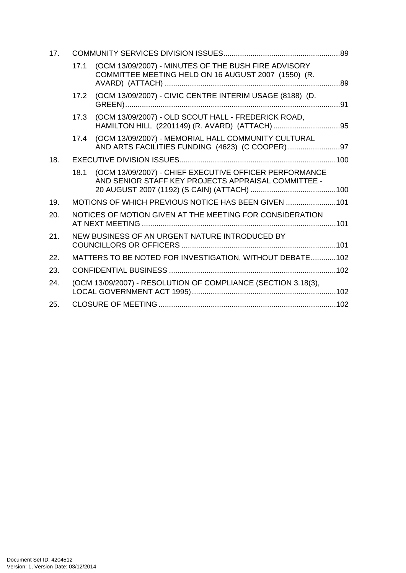| 17. |      |                                                                                                               |  |
|-----|------|---------------------------------------------------------------------------------------------------------------|--|
|     | 17.1 | (OCM 13/09/2007) - MINUTES OF THE BUSH FIRE ADVISORY<br>COMMITTEE MEETING HELD ON 16 AUGUST 2007 (1550) (R.   |  |
|     | 17.2 | (OCM 13/09/2007) - CIVIC CENTRE INTERIM USAGE (8188) (D.                                                      |  |
|     | 17.3 | (OCM 13/09/2007) - OLD SCOUT HALL - FREDERICK ROAD,                                                           |  |
|     | 17.4 | (OCM 13/09/2007) - MEMORIAL HALL COMMUNITY CULTURAL                                                           |  |
| 18. |      |                                                                                                               |  |
|     | 18.1 | (OCM 13/09/2007) - CHIEF EXECUTIVE OFFICER PERFORMANCE<br>AND SENIOR STAFF KEY PROJECTS APPRAISAL COMMITTEE - |  |
| 19. |      | MOTIONS OF WHICH PREVIOUS NOTICE HAS BEEN GIVEN 101                                                           |  |
| 20. |      | NOTICES OF MOTION GIVEN AT THE MEETING FOR CONSIDERATION                                                      |  |
| 21. |      | NEW BUSINESS OF AN URGENT NATURE INTRODUCED BY                                                                |  |
| 22. |      | MATTERS TO BE NOTED FOR INVESTIGATION, WITHOUT DEBATE102                                                      |  |
| 23. |      |                                                                                                               |  |
| 24. |      | (OCM 13/09/2007) - RESOLUTION OF COMPLIANCE (SECTION 3.18(3),                                                 |  |
| 25. |      |                                                                                                               |  |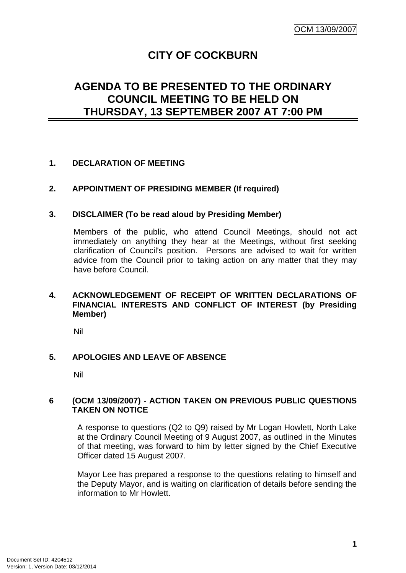# **CITY OF COCKBURN**

# <span id="page-4-0"></span>**AGENDA TO BE PRESENTED TO THE ORDINARY COUNCIL MEETING TO BE HELD ON THURSDAY, 13 SEPTEMBER 2007 AT 7:00 PM**

## **1. DECLARATION OF MEETING**

## **2. APPOINTMENT OF PRESIDING MEMBER (If required)**

## **3. DISCLAIMER (To be read aloud by Presiding Member)**

Members of the public, who attend Council Meetings, should not act immediately on anything they hear at the Meetings, without first seeking clarification of Council's position. Persons are advised to wait for written advice from the Council prior to taking action on any matter that they may have before Council.

## **4. ACKNOWLEDGEMENT OF RECEIPT OF WRITTEN DECLARATIONS OF FINANCIAL INTERESTS AND CONFLICT OF INTEREST (by Presiding Member)**

Nil

## **5. APOLOGIES AND LEAVE OF ABSENCE**

Nil

#### **6 (OCM 13/09/2007) - ACTION TAKEN ON PREVIOUS PUBLIC QUESTIONS TAKEN ON NOTICE**

A response to questions (Q2 to Q9) raised by Mr Logan Howlett, North Lake at the Ordinary Council Meeting of 9 August 2007, as outlined in the Minutes of that meeting, was forward to him by letter signed by the Chief Executive Officer dated 15 August 2007.

Mayor Lee has prepared a response to the questions relating to himself and the Deputy Mayor, and is waiting on clarification of details before sending the information to Mr Howlett.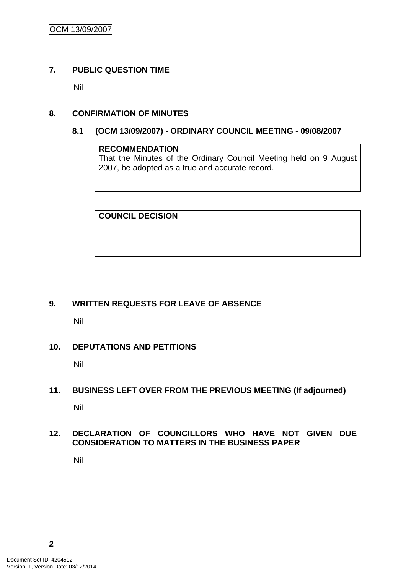## <span id="page-5-0"></span>**7. PUBLIC QUESTION TIME**

Nil

## **8. CONFIRMATION OF MINUTES**

## **8.1 (OCM 13/09/2007) - ORDINARY COUNCIL MEETING - 09/08/2007**

## **RECOMMENDATION**

That the Minutes of the Ordinary Council Meeting held on 9 August 2007, be adopted as a true and accurate record.

**COUNCIL DECISION**

## **9. WRITTEN REQUESTS FOR LEAVE OF ABSENCE**

Nil

## **10. DEPUTATIONS AND PETITIONS**

Nil

## **11. BUSINESS LEFT OVER FROM THE PREVIOUS MEETING (If adjourned)**

Nil

## **12. DECLARATION OF COUNCILLORS WHO HAVE NOT GIVEN DUE CONSIDERATION TO MATTERS IN THE BUSINESS PAPER**

Nil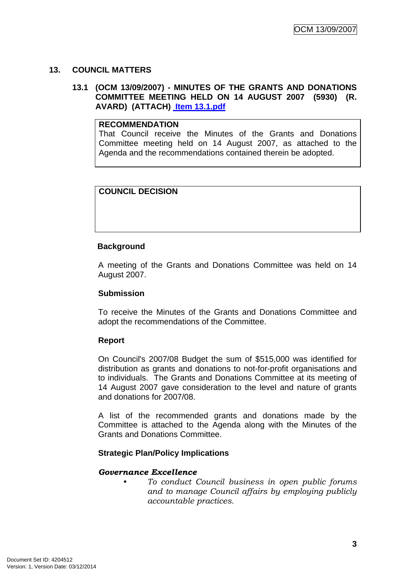## <span id="page-6-0"></span>**13. COUNCIL MATTERS**

## **13.1 (OCM 13/09/2007) - MINUTES OF THE GRANTS AND DONATIONS COMMITTEE MEETING HELD ON 14 AUGUST 2007 (5930) (R. AVARD) (ATTACH) Item 13.1.pdf**

## **RECOMMENDATION**

That Council receive the Minutes of the Grants and Donations Committee meeting held on 14 August 2007, as attached to the Agenda and the recommendations contained therein be adopted.

## **COUNCIL DECISION**

## **Background**

A meeting of the Grants and Donations Committee was held on 14 August 2007.

## **Submission**

To receive the Minutes of the Grants and Donations Committee and adopt the recommendations of the Committee.

## **Report**

On Council's 2007/08 Budget the sum of \$515,000 was identified for distribution as grants and donations to not-for-profit organisations and to individuals. The Grants and Donations Committee at its meeting of 14 August 2007 gave consideration to the level and nature of grants and donations for 2007/08.

A list of the recommended grants and donations made by the Committee is attached to the Agenda along with the Minutes of the Grants and Donations Committee.

## **Strategic Plan/Policy Implications**

## *Governance Excellence*

*• To conduct Council business in open public forums and to manage Council affairs by employing publicly accountable practices.*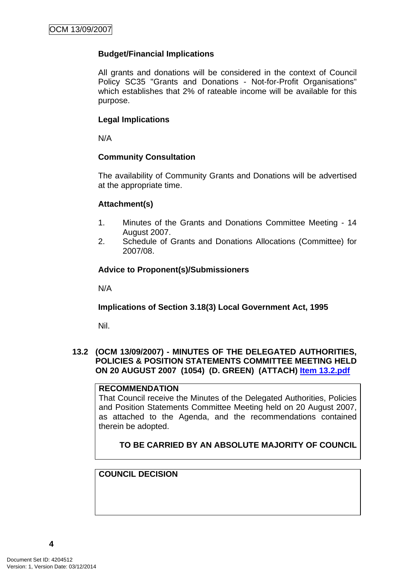## <span id="page-7-0"></span>**Budget/Financial Implications**

All grants and donations will be considered in the context of Council Policy SC35 "Grants and Donations - Not-for-Profit Organisations" which establishes that 2% of rateable income will be available for this purpose.

#### **Legal Implications**

N/A

## **Community Consultation**

The availability of Community Grants and Donations will be advertised at the appropriate time.

#### **Attachment(s)**

- 1. Minutes of the Grants and Donations Committee Meeting 14 August 2007.
- 2. Schedule of Grants and Donations Allocations (Committee) for 2007/08.

#### **Advice to Proponent(s)/Submissioners**

N/A

## **Implications of Section 3.18(3) Local Government Act, 1995**

Nil.

## **13.2 (OCM 13/09/2007) - MINUTES OF THE DELEGATED AUTHORITIES, POLICIES & POSITION STATEMENTS COMMITTEE MEETING HELD ON 20 AUGUST 2007 (1054) (D. GREEN) (ATTACH) Item 13.2.pdf**

#### **RECOMMENDATION**

That Council receive the Minutes of the Delegated Authorities, Policies and Position Statements Committee Meeting held on 20 August 2007, as attached to the Agenda, and the recommendations contained therein be adopted.

## **TO BE CARRIED BY AN ABSOLUTE MAJORITY OF COUNCIL**

## **COUNCIL DECISION**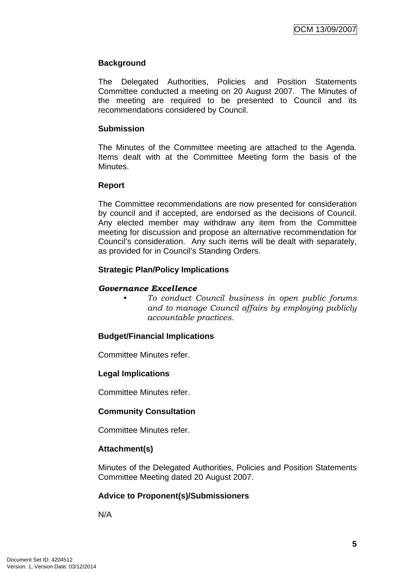## **Background**

The Delegated Authorities, Policies and Position Statements Committee conducted a meeting on 20 August 2007. The Minutes of the meeting are required to be presented to Council and its recommendations considered by Council.

## **Submission**

The Minutes of the Committee meeting are attached to the Agenda. Items dealt with at the Committee Meeting form the basis of the Minutes.

#### **Report**

The Committee recommendations are now presented for consideration by council and if accepted, are endorsed as the decisions of Council. Any elected member may withdraw any item from the Committee meeting for discussion and propose an alternative recommendation for Council's consideration. Any such items will be dealt with separately, as provided for in Council's Standing Orders.

## **Strategic Plan/Policy Implications**

#### *Governance Excellence*

*• To conduct Council business in open public forums and to manage Council affairs by employing publicly accountable practices.* 

## **Budget/Financial Implications**

Committee Minutes refer.

## **Legal Implications**

Committee Minutes refer.

## **Community Consultation**

Committee Minutes refer.

## **Attachment(s)**

Minutes of the Delegated Authorities, Policies and Position Statements Committee Meeting dated 20 August 2007.

## **Advice to Proponent(s)/Submissioners**

N/A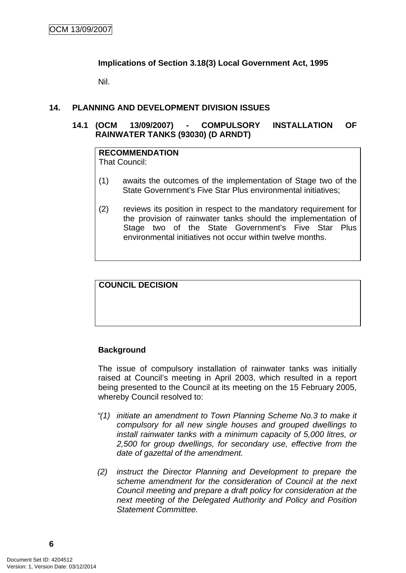## <span id="page-9-0"></span>**Implications of Section 3.18(3) Local Government Act, 1995**

Nil.

#### **14. PLANNING AND DEVELOPMENT DIVISION ISSUES**

## **14.1 (OCM 13/09/2007) - COMPULSORY INSTALLATION OF RAINWATER TANKS (93030) (D ARNDT)**

## **RECOMMENDATION**

That Council:

- (1) awaits the outcomes of the implementation of Stage two of the State Government's Five Star Plus environmental initiatives;
- (2) reviews its position in respect to the mandatory requirement for the provision of rainwater tanks should the implementation of Stage two of the State Government's Five Star Plus environmental initiatives not occur within twelve months.

## **COUNCIL DECISION**

## **Background**

The issue of compulsory installation of rainwater tanks was initially raised at Council's meeting in April 2003, which resulted in a report being presented to the Council at its meeting on the 15 February 2005, whereby Council resolved to:

- *"(1) initiate an amendment to Town Planning Scheme No.3 to make it compulsory for all new single houses and grouped dwellings to install rainwater tanks with a minimum capacity of 5,000 litres, or 2,500 for group dwellings, for secondary use, effective from the date of gazettal of the amendment.*
- *(2) instruct the Director Planning and Development to prepare the scheme amendment for the consideration of Council at the next Council meeting and prepare a draft policy for consideration at the next meeting of the Delegated Authority and Policy and Position Statement Committee.*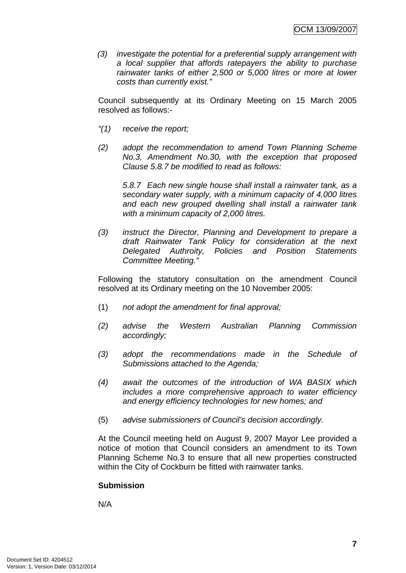*(3) investigate the potential for a preferential supply arrangement with a local supplier that affords ratepayers the ability to purchase rainwater tanks of either 2,500 or 5,000 litres or more at lower costs than currently exist."* 

Council subsequently at its Ordinary Meeting on 15 March 2005 resolved as follows:-

- *"(1) receive the report;*
- *(2) adopt the recommendation to amend Town Planning Scheme No.3, Amendment No.30, with the exception that proposed Clause 5.8.7 be modified to read as follows:*

*5.8.7 Each new single house shall install a rainwater tank, as a secondary water supply, with a minimum capacity of 4,000 litres and each new grouped dwelling shall install a rainwater tank with a minimum capacity of 2,000 litres.* 

*(3) instruct the Director, Planning and Development to prepare a draft Rainwater Tank Policy for consideration at the next Delegated Authroity, Policies and Position Statements Committee Meeting."*

Following the statutory consultation on the amendment Council resolved at its Ordinary meeting on the 10 November 2005:

- (1) *not adopt the amendment for final approval;*
- *(2) advise the Western Australian Planning Commission accordingly;*
- *(3) adopt the recommendations made in the Schedule of Submissions attached to the Agenda;*
- *(4) await the outcomes of the introduction of WA BASIX which includes a more comprehensive approach to water efficiency and energy efficiency technologies for new homes; and*
- (5) *advise submissioners of Council's decision accordingly.*

At the Council meeting held on August 9, 2007 Mayor Lee provided a notice of motion that Council considers an amendment to its Town Planning Scheme No.3 to ensure that all new properties constructed within the City of Cockburn be fitted with rainwater tanks.

## **Submission**

N/A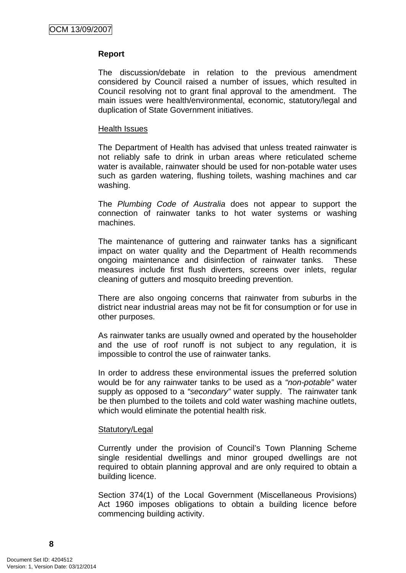#### **Report**

The discussion/debate in relation to the previous amendment considered by Council raised a number of issues, which resulted in Council resolving not to grant final approval to the amendment. The main issues were health/environmental, economic, statutory/legal and duplication of State Government initiatives.

#### Health Issues

The Department of Health has advised that unless treated rainwater is not reliably safe to drink in urban areas where reticulated scheme water is available, rainwater should be used for non-potable water uses such as garden watering, flushing toilets, washing machines and car washing.

The *Plumbing Code of Australia* does not appear to support the connection of rainwater tanks to hot water systems or washing machines.

The maintenance of guttering and rainwater tanks has a significant impact on water quality and the Department of Health recommends ongoing maintenance and disinfection of rainwater tanks. These measures include first flush diverters, screens over inlets, regular cleaning of gutters and mosquito breeding prevention.

There are also ongoing concerns that rainwater from suburbs in the district near industrial areas may not be fit for consumption or for use in other purposes.

As rainwater tanks are usually owned and operated by the householder and the use of roof runoff is not subject to any regulation, it is impossible to control the use of rainwater tanks.

In order to address these environmental issues the preferred solution would be for any rainwater tanks to be used as a *"non-potable"* water supply as opposed to a *"secondary"* water supply. The rainwater tank be then plumbed to the toilets and cold water washing machine outlets, which would eliminate the potential health risk.

#### Statutory/Legal

Currently under the provision of Council's Town Planning Scheme single residential dwellings and minor grouped dwellings are not required to obtain planning approval and are only required to obtain a building licence.

Section 374(1) of the Local Government (Miscellaneous Provisions) Act 1960 imposes obligations to obtain a building licence before commencing building activity.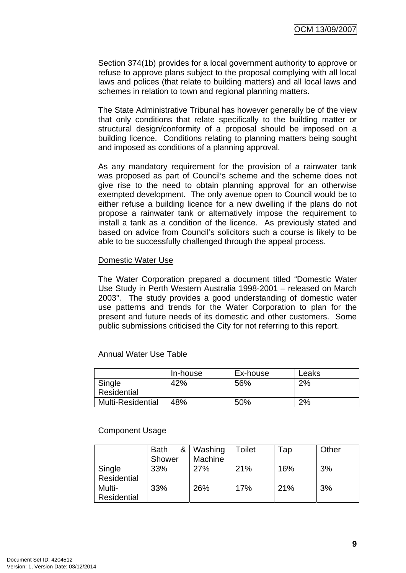Section 374(1b) provides for a local government authority to approve or refuse to approve plans subject to the proposal complying with all local laws and polices (that relate to building matters) and all local laws and schemes in relation to town and regional planning matters.

The State Administrative Tribunal has however generally be of the view that only conditions that relate specifically to the building matter or structural design/conformity of a proposal should be imposed on a building licence. Conditions relating to planning matters being sought and imposed as conditions of a planning approval.

As any mandatory requirement for the provision of a rainwater tank was proposed as part of Council's scheme and the scheme does not give rise to the need to obtain planning approval for an otherwise exempted development. The only avenue open to Council would be to either refuse a building licence for a new dwelling if the plans do not propose a rainwater tank or alternatively impose the requirement to install a tank as a condition of the licence. As previously stated and based on advice from Council's solicitors such a course is likely to be able to be successfully challenged through the appeal process.

#### Domestic Water Use

The Water Corporation prepared a document titled "Domestic Water Use Study in Perth Western Australia 1998-2001 – released on March 2003". The study provides a good understanding of domestic water use patterns and trends for the Water Corporation to plan for the present and future needs of its domestic and other customers. Some public submissions criticised the City for not referring to this report.

## Annual Water Use Table

|                          | In-house | Ex-house | Leaks |
|--------------------------|----------|----------|-------|
| Single                   | 42%      | 56%      | 2%    |
| Residential              |          |          |       |
| <b>Multi-Residential</b> | 48%      | 50%      | 2%    |

#### Component Usage

|             | &<br><b>Bath</b> | Washing | Toilet | Tap | Other |
|-------------|------------------|---------|--------|-----|-------|
|             | Shower           | Machine |        |     |       |
| Single      | 33%              | 27%     | 21%    | 16% | 3%    |
| Residential |                  |         |        |     |       |
| Multi-      | 33%              | 26%     | 17%    | 21% | 3%    |
| Residential |                  |         |        |     |       |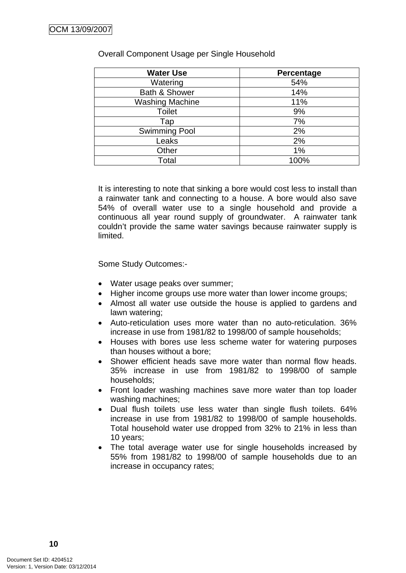| <b>Water Use</b>       | Percentage |
|------------------------|------------|
| Watering               | 54%        |
| Bath & Shower          | 14%        |
| <b>Washing Machine</b> | 11%        |
| <b>Toilet</b>          | 9%         |
| Tap                    | 7%         |
| <b>Swimming Pool</b>   | 2%         |
| Leaks                  | 2%         |
| Other                  | 1%         |
| Total                  | 100%       |

#### Overall Component Usage per Single Household

It is interesting to note that sinking a bore would cost less to install than a rainwater tank and connecting to a house. A bore would also save 54% of overall water use to a single household and provide a continuous all year round supply of groundwater. A rainwater tank couldn't provide the same water savings because rainwater supply is limited.

Some Study Outcomes:-

- Water usage peaks over summer;
- Higher income groups use more water than lower income groups;
- Almost all water use outside the house is applied to gardens and lawn watering;
- Auto-reticulation uses more water than no auto-reticulation. 36% increase in use from 1981/82 to 1998/00 of sample households;
- Houses with bores use less scheme water for watering purposes than houses without a bore;
- Shower efficient heads save more water than normal flow heads. 35% increase in use from 1981/82 to 1998/00 of sample households;
- Front loader washing machines save more water than top loader washing machines;
- Dual flush toilets use less water than single flush toilets. 64% increase in use from 1981/82 to 1998/00 of sample households. Total household water use dropped from 32% to 21% in less than 10 years;
- The total average water use for single households increased by 55% from 1981/82 to 1998/00 of sample households due to an increase in occupancy rates;

**10**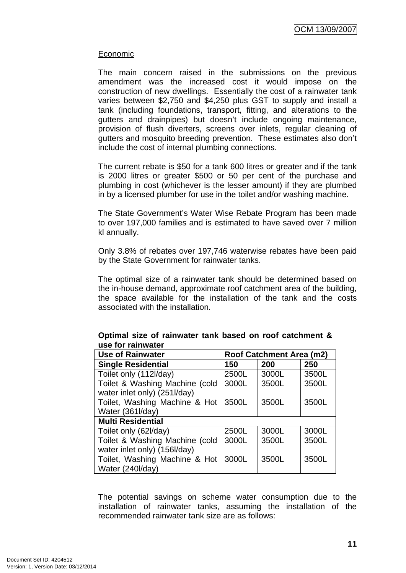## Economic

The main concern raised in the submissions on the previous amendment was the increased cost it would impose on the construction of new dwellings. Essentially the cost of a rainwater tank varies between \$2,750 and \$4,250 plus GST to supply and install a tank (including foundations, transport, fitting, and alterations to the gutters and drainpipes) but doesn't include ongoing maintenance, provision of flush diverters, screens over inlets, regular cleaning of gutters and mosquito breeding prevention. These estimates also don't include the cost of internal plumbing connections.

The current rebate is \$50 for a tank 600 litres or greater and if the tank is 2000 litres or greater \$500 or 50 per cent of the purchase and plumbing in cost (whichever is the lesser amount) if they are plumbed in by a licensed plumber for use in the toilet and/or washing machine.

The State Government's Water Wise Rebate Program has been made to over 197,000 families and is estimated to have saved over 7 million kl annually.

Only 3.8% of rebates over 197,746 waterwise rebates have been paid by the State Government for rainwater tanks.

The optimal size of a rainwater tank should be determined based on the in-house demand, approximate roof catchment area of the building, the space available for the installation of the tank and the costs associated with the installation.

| use for rainwater              |                          |       |       |  |
|--------------------------------|--------------------------|-------|-------|--|
| <b>Use of Rainwater</b>        | Roof Catchment Area (m2) |       |       |  |
| <b>Single Residential</b>      | 150                      | 200   | 250   |  |
| Toilet only (112l/day)         | 2500L                    | 3000L | 3500L |  |
| Toilet & Washing Machine (cold | 3000L                    | 3500L | 3500L |  |
| water inlet only) (251I/day)   |                          |       |       |  |
| Toilet, Washing Machine & Hot  | 3500L                    | 3500L | 3500L |  |
| Water (361I/day)               |                          |       |       |  |
| <b>Multi Residential</b>       |                          |       |       |  |
| Toilet only (62l/day)          | 2500L                    | 3000L | 3000L |  |
| Toilet & Washing Machine (cold | 3000L                    | 3500L | 3500L |  |
| water inlet only) (156l/day)   |                          |       |       |  |

Toilet, Washing Machine & Hot 3000L 3500L 3500L

Water (240l/day)

**Optimal size of rainwater tank based on roof catchment & use for rainwater** 

The potential savings on scheme water consumption due to the installation of rainwater tanks, assuming the installation of the recommended rainwater tank size are as follows: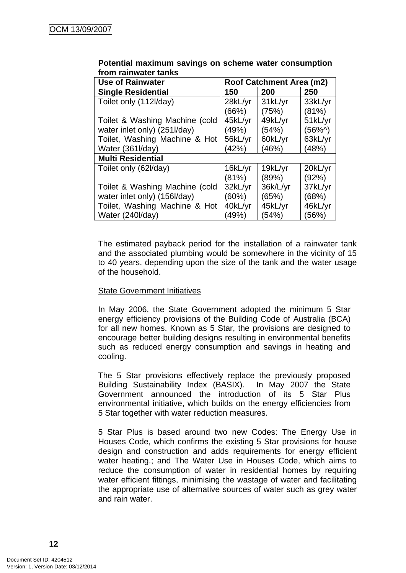| <b>Use of Rainwater</b>        | Roof Catchment Area (m2) |          |          |  |
|--------------------------------|--------------------------|----------|----------|--|
| <b>Single Residential</b>      | 150                      | 200      | 250      |  |
| Toilet only (112l/day)         | 28kL/yr                  | 31kL/yr  | 33kL/yr  |  |
|                                | (66%)                    | (75%)    | (81%)    |  |
| Toilet & Washing Machine (cold | 45kL/yr                  | 49kL/yr  | 51kL/yr  |  |
| water inlet only) (251I/day)   | (49%)                    | (54%)    | $(56\%)$ |  |
| Toilet, Washing Machine & Hot  | 56kL/yr                  | 60kL/yr  | 63kL/yr  |  |
| Water (361I/day)               | (42%)                    | (46%)    | (48%)    |  |
| <b>Multi Residential</b>       |                          |          |          |  |
| Toilet only (62l/day)          | 16kL/yr                  | 19kL/yr  | 20kL/yr  |  |
|                                | (81%)                    | (89%)    | (92%)    |  |
| Toilet & Washing Machine (cold | 32kL/yr                  | 36k/L/yr | 37kL/yr  |  |
| water inlet only) (156l/day)   | (60%)                    | (65%)    | (68%)    |  |
| Toilet, Washing Machine & Hot  | 40kL/yr                  | 45kL/yr  | 46kL/yr  |  |
| Water (240I/day)               | (49%)                    | (54%)    | (56%)    |  |

## **Potential maximum savings on scheme water consumption from rainwater tanks**

The estimated payback period for the installation of a rainwater tank and the associated plumbing would be somewhere in the vicinity of 15 to 40 years, depending upon the size of the tank and the water usage of the household.

## State Government Initiatives

In May 2006, the State Government adopted the minimum 5 Star energy efficiency provisions of the Building Code of Australia (BCA) for all new homes. Known as 5 Star, the provisions are designed to encourage better building designs resulting in environmental benefits such as reduced energy consumption and savings in heating and cooling.

The 5 Star provisions effectively replace the previously proposed Building Sustainability Index (BASIX). In May 2007 the State Government announced the introduction of its 5 Star Plus environmental initiative, which builds on the energy efficiencies from 5 Star together with water reduction measures.

5 Star Plus is based around two new Codes: The Energy Use in Houses Code, which confirms the existing 5 Star provisions for house design and construction and adds requirements for energy efficient water heating.; and The Water Use in Houses Code, which aims to reduce the consumption of water in residential homes by requiring water efficient fittings, minimising the wastage of water and facilitating the appropriate use of alternative sources of water such as grey water and rain water.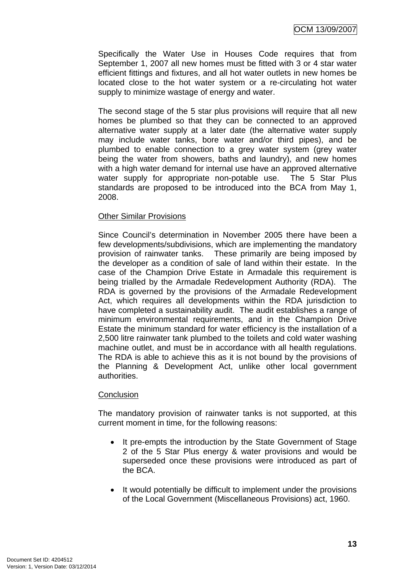Specifically the Water Use in Houses Code requires that from September 1, 2007 all new homes must be fitted with 3 or 4 star water efficient fittings and fixtures, and all hot water outlets in new homes be located close to the hot water system or a re-circulating hot water supply to minimize wastage of energy and water.

The second stage of the 5 star plus provisions will require that all new homes be plumbed so that they can be connected to an approved alternative water supply at a later date (the alternative water supply may include water tanks, bore water and/or third pipes), and be plumbed to enable connection to a grey water system (grey water being the water from showers, baths and laundry), and new homes with a high water demand for internal use have an approved alternative water supply for appropriate non-potable use. The 5 Star Plus standards are proposed to be introduced into the BCA from May 1, 2008.

#### Other Similar Provisions

Since Council's determination in November 2005 there have been a few developments/subdivisions, which are implementing the mandatory provision of rainwater tanks. These primarily are being imposed by the developer as a condition of sale of land within their estate. In the case of the Champion Drive Estate in Armadale this requirement is being trialled by the Armadale Redevelopment Authority (RDA). The RDA is governed by the provisions of the Armadale Redevelopment Act, which requires all developments within the RDA jurisdiction to have completed a sustainability audit. The audit establishes a range of minimum environmental requirements, and in the Champion Drive Estate the minimum standard for water efficiency is the installation of a 2,500 litre rainwater tank plumbed to the toilets and cold water washing machine outlet, and must be in accordance with all health regulations. The RDA is able to achieve this as it is not bound by the provisions of the Planning & Development Act, unlike other local government authorities.

#### **Conclusion**

The mandatory provision of rainwater tanks is not supported, at this current moment in time, for the following reasons:

- It pre-empts the introduction by the State Government of Stage 2 of the 5 Star Plus energy & water provisions and would be superseded once these provisions were introduced as part of the BCA.
- It would potentially be difficult to implement under the provisions of the Local Government (Miscellaneous Provisions) act, 1960.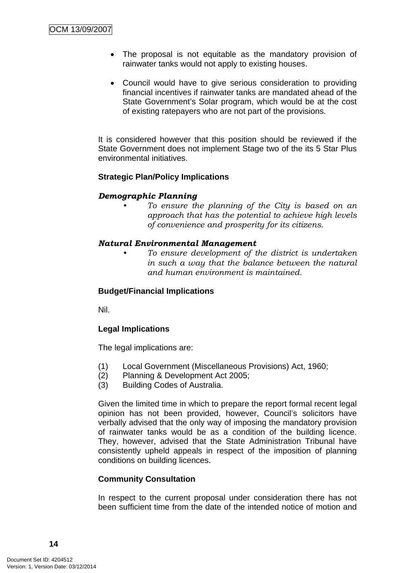- The proposal is not equitable as the mandatory provision of rainwater tanks would not apply to existing houses.
- Council would have to give serious consideration to providing financial incentives if rainwater tanks are mandated ahead of the State Government's Solar program, which would be at the cost of existing ratepayers who are not part of the provisions.

It is considered however that this position should be reviewed if the State Government does not implement Stage two of the its 5 Star Plus environmental initiatives.

## **Strategic Plan/Policy Implications**

## *Demographic Planning*

*• To ensure the planning of the City is based on an approach that has the potential to achieve high levels of convenience and prosperity for its citizens.* 

## *Natural Environmental Management*

*• To ensure development of the district is undertaken in such a way that the balance between the natural and human environment is maintained.* 

## **Budget/Financial Implications**

Nil.

## **Legal Implications**

The legal implications are:

- (1) Local Government (Miscellaneous Provisions) Act, 1960;
- (2) Planning & Development Act 2005;
- (3) Building Codes of Australia.

Given the limited time in which to prepare the report formal recent legal opinion has not been provided, however, Council's solicitors have verbally advised that the only way of imposing the mandatory provision of rainwater tanks would be as a condition of the building licence. They, however, advised that the State Administration Tribunal have consistently upheld appeals in respect of the imposition of planning conditions on building licences.

## **Community Consultation**

In respect to the current proposal under consideration there has not been sufficient time from the date of the intended notice of motion and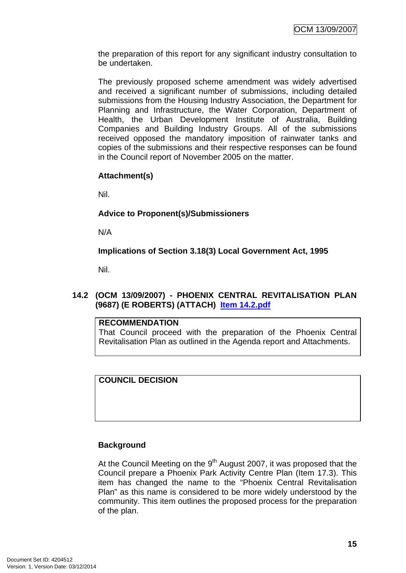<span id="page-18-0"></span>the preparation of this report for any significant industry consultation to be undertaken.

The previously proposed scheme amendment was widely advertised and received a significant number of submissions, including detailed submissions from the Housing Industry Association, the Department for Planning and Infrastructure, the Water Corporation, Department of Health, the Urban Development Institute of Australia, Building Companies and Building Industry Groups. All of the submissions received opposed the mandatory imposition of rainwater tanks and copies of the submissions and their respective responses can be found in the Council report of November 2005 on the matter.

## **Attachment(s)**

Nil.

## **Advice to Proponent(s)/Submissioners**

N/A

**Implications of Section 3.18(3) Local Government Act, 1995**

Nil.

## **14.2 (OCM 13/09/2007) - PHOENIX CENTRAL REVITALISATION PLAN (9687) (E ROBERTS) (ATTACH) Item 14.2.pdf**

## **RECOMMENDATION**

That Council proceed with the preparation of the Phoenix Central Revitalisation Plan as outlined in the Agenda report and Attachments.

## **COUNCIL DECISION**

## **Background**

At the Council Meeting on the  $9<sup>th</sup>$  August 2007, it was proposed that the Council prepare a Phoenix Park Activity Centre Plan (Item 17.3). This item has changed the name to the "Phoenix Central Revitalisation Plan" as this name is considered to be more widely understood by the community. This item outlines the proposed process for the preparation of the plan.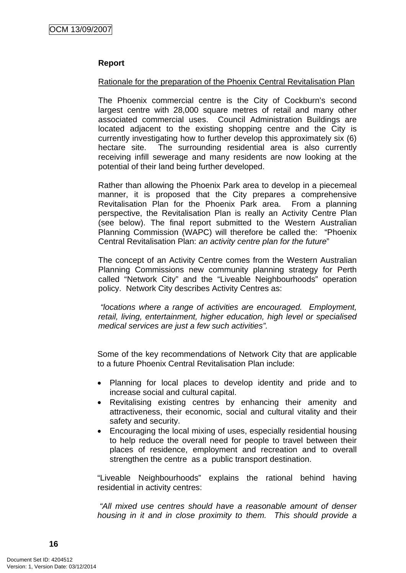## **Report**

## Rationale for the preparation of the Phoenix Central Revitalisation Plan

The Phoenix commercial centre is the City of Cockburn's second largest centre with 28,000 square metres of retail and many other associated commercial uses. Council Administration Buildings are located adjacent to the existing shopping centre and the City is currently investigating how to further develop this approximately six (6) hectare site. The surrounding residential area is also currently receiving infill sewerage and many residents are now looking at the potential of their land being further developed.

Rather than allowing the Phoenix Park area to develop in a piecemeal manner, it is proposed that the City prepares a comprehensive Revitalisation Plan for the Phoenix Park area. From a planning perspective, the Revitalisation Plan is really an Activity Centre Plan (see below). The final report submitted to the Western Australian Planning Commission (WAPC) will therefore be called the: "Phoenix Central Revitalisation Plan: *an activity centre plan for the future*"

The concept of an Activity Centre comes from the Western Australian Planning Commissions new community planning strategy for Perth called "Network City" and the "Liveable Neighbourhoods" operation policy. Network City describes Activity Centres as:

 *"locations where a range of activities are encouraged. Employment, retail, living, entertainment, higher education, high level or specialised medical services are just a few such activities".* 

Some of the key recommendations of Network City that are applicable to a future Phoenix Central Revitalisation Plan include:

- Planning for local places to develop identity and pride and to increase social and cultural capital.
- Revitalising existing centres by enhancing their amenity and attractiveness, their economic, social and cultural vitality and their safety and security.
- Encouraging the local mixing of uses, especially residential housing to help reduce the overall need for people to travel between their places of residence, employment and recreation and to overall strengthen the centre as a public transport destination.

"Liveable Neighbourhoods" explains the rational behind having residential in activity centres:

 *"All mixed use centres should have a reasonable amount of denser housing in it and in close proximity to them. This should provide a*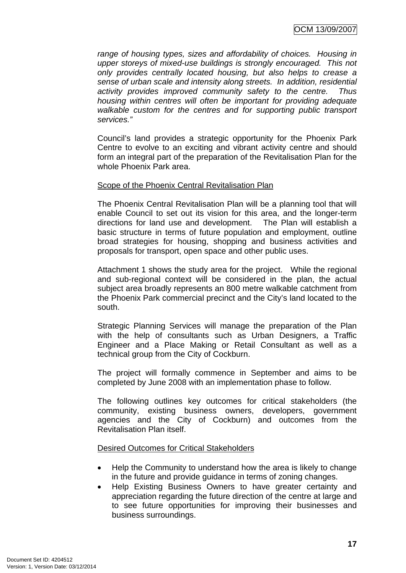*range of housing types, sizes and affordability of choices. Housing in upper storeys of mixed-use buildings is strongly encouraged. This not only provides centrally located housing, but also helps to crease a sense of urban scale and intensity along streets. In addition, residential activity provides improved community safety to the centre. Thus housing within centres will often be important for providing adequate walkable custom for the centres and for supporting public transport services."* 

Council's land provides a strategic opportunity for the Phoenix Park Centre to evolve to an exciting and vibrant activity centre and should form an integral part of the preparation of the Revitalisation Plan for the whole Phoenix Park area.

## Scope of the Phoenix Central Revitalisation Plan

The Phoenix Central Revitalisation Plan will be a planning tool that will enable Council to set out its vision for this area, and the longer-term directions for land use and development. The Plan will establish a basic structure in terms of future population and employment, outline broad strategies for housing, shopping and business activities and proposals for transport, open space and other public uses.

Attachment 1 shows the study area for the project. While the regional and sub-regional context will be considered in the plan, the actual subject area broadly represents an 800 metre walkable catchment from the Phoenix Park commercial precinct and the City's land located to the south.

Strategic Planning Services will manage the preparation of the Plan with the help of consultants such as Urban Designers, a Traffic Engineer and a Place Making or Retail Consultant as well as a technical group from the City of Cockburn.

The project will formally commence in September and aims to be completed by June 2008 with an implementation phase to follow.

The following outlines key outcomes for critical stakeholders (the community, existing business owners, developers, government agencies and the City of Cockburn) and outcomes from the Revitalisation Plan itself.

Desired Outcomes for Critical Stakeholders

- Help the Community to understand how the area is likely to change in the future and provide guidance in terms of zoning changes.
- Help Existing Business Owners to have greater certainty and appreciation regarding the future direction of the centre at large and to see future opportunities for improving their businesses and business surroundings.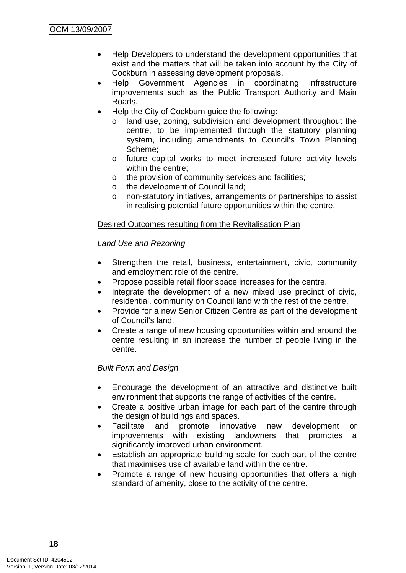- Help Developers to understand the development opportunities that exist and the matters that will be taken into account by the City of Cockburn in assessing development proposals.
- Help Government Agencies in coordinating infrastructure improvements such as the Public Transport Authority and Main Roads.
- Help the City of Cockburn guide the following:
	- o land use, zoning, subdivision and development throughout the centre, to be implemented through the statutory planning system, including amendments to Council's Town Planning Scheme;
	- o future capital works to meet increased future activity levels within the centre;
	- o the provision of community services and facilities;
	- o the development of Council land;
	- o non-statutory initiatives, arrangements or partnerships to assist in realising potential future opportunities within the centre.

## Desired Outcomes resulting from the Revitalisation Plan

*Land Use and Rezoning* 

- Strengthen the retail, business, entertainment, civic, community and employment role of the centre.
- Propose possible retail floor space increases for the centre.
- Integrate the development of a new mixed use precinct of civic, residential, community on Council land with the rest of the centre.
- Provide for a new Senior Citizen Centre as part of the development of Council's land.
- Create a range of new housing opportunities within and around the centre resulting in an increase the number of people living in the centre.

## *Built Form and Design*

- Encourage the development of an attractive and distinctive built environment that supports the range of activities of the centre.
- Create a positive urban image for each part of the centre through the design of buildings and spaces.
- Facilitate and promote innovative new development or improvements with existing landowners that promotes a significantly improved urban environment.
- Establish an appropriate building scale for each part of the centre that maximises use of available land within the centre.
- Promote a range of new housing opportunities that offers a high standard of amenity, close to the activity of the centre.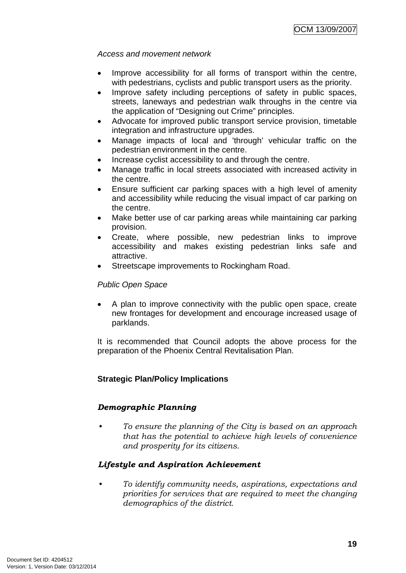## *Access and movement network*

- Improve accessibility for all forms of transport within the centre, with pedestrians, cyclists and public transport users as the priority.
- Improve safety including perceptions of safety in public spaces, streets, laneways and pedestrian walk throughs in the centre via the application of "Designing out Crime" principles.
- Advocate for improved public transport service provision, timetable integration and infrastructure upgrades.
- Manage impacts of local and 'through' vehicular traffic on the pedestrian environment in the centre.
- Increase cyclist accessibility to and through the centre.
- Manage traffic in local streets associated with increased activity in the centre.
- Ensure sufficient car parking spaces with a high level of amenity and accessibility while reducing the visual impact of car parking on the centre.
- Make better use of car parking areas while maintaining car parking provision.
- Create, where possible, new pedestrian links to improve accessibility and makes existing pedestrian links safe and attractive.
- Streetscape improvements to Rockingham Road.

## *Public Open Space*

• A plan to improve connectivity with the public open space, create new frontages for development and encourage increased usage of parklands.

It is recommended that Council adopts the above process for the preparation of the Phoenix Central Revitalisation Plan.

## **Strategic Plan/Policy Implications**

## *Demographic Planning*

*• To ensure the planning of the City is based on an approach that has the potential to achieve high levels of convenience and prosperity for its citizens.* 

## *Lifestyle and Aspiration Achievement*

*• To identify community needs, aspirations, expectations and priorities for services that are required to meet the changing demographics of the district.*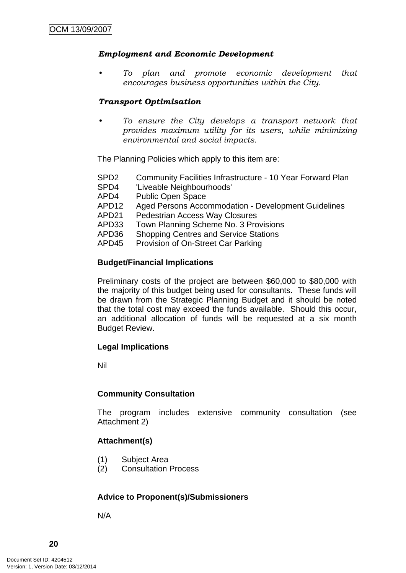#### *Employment and Economic Development*

*• To plan and promote economic development that encourages business opportunities within the City.* 

#### *Transport Optimisation*

*• To ensure the City develops a transport network that provides maximum utility for its users, while minimizing environmental and social impacts.* 

The Planning Policies which apply to this item are:

- SPD2 Community Facilities Infrastructure 10 Year Forward Plan
- SPD4 'Liveable Neighbourhoods'
- APD4 Public Open Space
- APD12 Aged Persons Accommodation Development Guidelines
- APD21 Pedestrian Access Way Closures
- APD33 Town Planning Scheme No. 3 Provisions
- APD36 Shopping Centres and Service Stations
- APD45 Provision of On-Street Car Parking

#### **Budget/Financial Implications**

Preliminary costs of the project are between \$60,000 to \$80,000 with the majority of this budget being used for consultants. These funds will be drawn from the Strategic Planning Budget and it should be noted that the total cost may exceed the funds available. Should this occur, an additional allocation of funds will be requested at a six month Budget Review.

#### **Legal Implications**

Nil

#### **Community Consultation**

The program includes extensive community consultation (see Attachment 2)

#### **Attachment(s)**

- (1) Subject Area
- (2) Consultation Process

#### **Advice to Proponent(s)/Submissioners**

N/A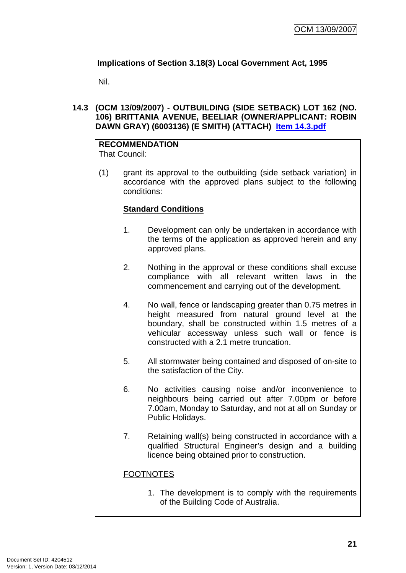## <span id="page-24-0"></span>**Implications of Section 3.18(3) Local Government Act, 1995**

Nil.

## **14.3 (OCM 13/09/2007) - OUTBUILDING (SIDE SETBACK) LOT 162 (NO. 106) BRITTANIA AVENUE, BEELIAR (OWNER/APPLICANT: ROBIN DAWN GRAY) (6003136) (E SMITH) (ATTACH) Item 14.3.pdf**

# **RECOMMENDATION**

That Council:

(1) grant its approval to the outbuilding (side setback variation) in accordance with the approved plans subject to the following conditions:

## **Standard Conditions**

- 1. Development can only be undertaken in accordance with the terms of the application as approved herein and any approved plans.
- 2. Nothing in the approval or these conditions shall excuse compliance with all relevant written laws in the commencement and carrying out of the development.
- 4. No wall, fence or landscaping greater than 0.75 metres in height measured from natural ground level at the boundary, shall be constructed within 1.5 metres of a vehicular accessway unless such wall or fence is constructed with a 2.1 metre truncation.
- 5. All stormwater being contained and disposed of on-site to the satisfaction of the City.
- 6. No activities causing noise and/or inconvenience to neighbours being carried out after 7.00pm or before 7.00am, Monday to Saturday, and not at all on Sunday or Public Holidays.
- 7. Retaining wall(s) being constructed in accordance with a qualified Structural Engineer's design and a building licence being obtained prior to construction.

## FOOTNOTES

1. The development is to comply with the requirements of the Building Code of Australia.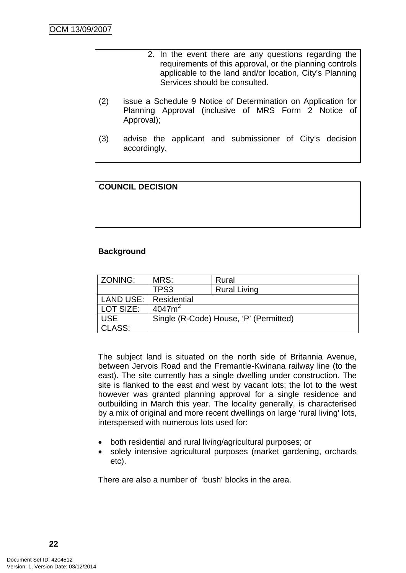- 2. In the event there are any questions regarding the requirements of this approval, or the planning controls applicable to the land and/or location, City's Planning Services should be consulted.
- (2) issue a Schedule 9 Notice of Determination on Application for Planning Approval (inclusive of MRS Form 2 Notice of Approval);
- (3) advise the applicant and submissioner of City's decision accordingly.

## **COUNCIL DECISION**

## **Background**

| ZONING:    | MRS:        | Rural                                  |  |
|------------|-------------|----------------------------------------|--|
|            | TPS3        | <b>Rural Living</b>                    |  |
| LAND USE:  | Residential |                                        |  |
| LOT SIZE:  | $4047m^2$   |                                        |  |
| <b>USE</b> |             | Single (R-Code) House, 'P' (Permitted) |  |
| CLASS:     |             |                                        |  |

The subject land is situated on the north side of Britannia Avenue, between Jervois Road and the Fremantle-Kwinana railway line (to the east). The site currently has a single dwelling under construction. The site is flanked to the east and west by vacant lots; the lot to the west however was granted planning approval for a single residence and outbuilding in March this year. The locality generally, is characterised by a mix of original and more recent dwellings on large 'rural living' lots, interspersed with numerous lots used for:

- both residential and rural living/agricultural purposes; or
- solely intensive agricultural purposes (market gardening, orchards etc).

There are also a number of 'bush' blocks in the area.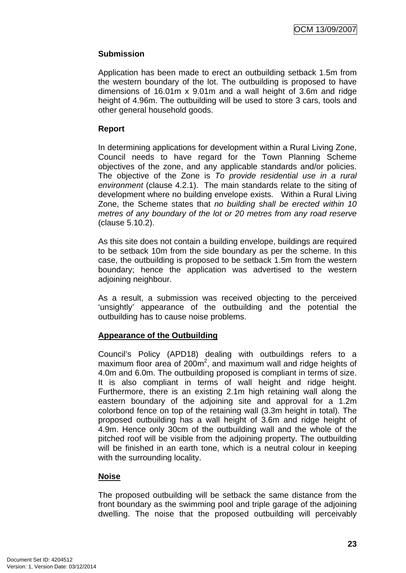## **Submission**

Application has been made to erect an outbuilding setback 1.5m from the western boundary of the lot. The outbuilding is proposed to have dimensions of 16.01m x 9.01m and a wall height of 3.6m and ridge height of 4.96m. The outbuilding will be used to store 3 cars, tools and other general household goods.

## **Report**

In determining applications for development within a Rural Living Zone, Council needs to have regard for the Town Planning Scheme objectives of the zone, and any applicable standards and/or policies. The objective of the Zone is *To provide residential use in a rural environment* (clause 4.2.1). The main standards relate to the siting of development where no building envelope exists. Within a Rural Living Zone, the Scheme states that *no building shall be erected within 10 metres of any boundary of the lot or 20 metres from any road reserve*  (clause 5.10.2).

As this site does not contain a building envelope, buildings are required to be setback 10m from the side boundary as per the scheme. In this case, the outbuilding is proposed to be setback 1.5m from the western boundary; hence the application was advertised to the western adjoining neighbour.

As a result, a submission was received objecting to the perceived 'unsightly' appearance of the outbuilding and the potential the outbuilding has to cause noise problems.

## **Appearance of the Outbuilding**

Council's Policy (APD18) dealing with outbuildings refers to a maximum floor area of  $200m^2$ , and maximum wall and ridge heights of 4.0m and 6.0m. The outbuilding proposed is compliant in terms of size. It is also compliant in terms of wall height and ridge height. Furthermore, there is an existing 2.1m high retaining wall along the eastern boundary of the adjoining site and approval for a 1.2m colorbond fence on top of the retaining wall (3.3m height in total). The proposed outbuilding has a wall height of 3.6m and ridge height of 4.9m. Hence only 30cm of the outbuilding wall and the whole of the pitched roof will be visible from the adjoining property. The outbuilding will be finished in an earth tone, which is a neutral colour in keeping with the surrounding locality.

## **Noise**

The proposed outbuilding will be setback the same distance from the front boundary as the swimming pool and triple garage of the adjoining dwelling. The noise that the proposed outbuilding will perceivably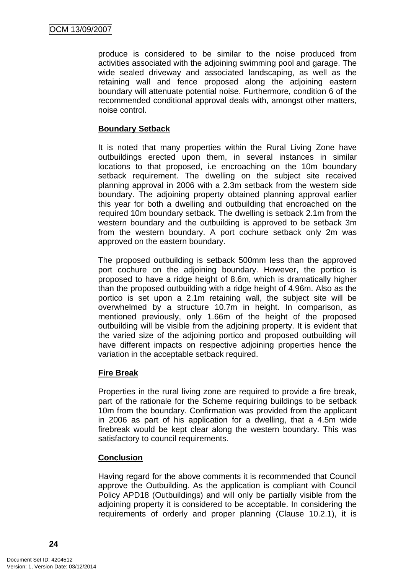produce is considered to be similar to the noise produced from activities associated with the adjoining swimming pool and garage. The wide sealed driveway and associated landscaping, as well as the retaining wall and fence proposed along the adjoining eastern boundary will attenuate potential noise. Furthermore, condition 6 of the recommended conditional approval deals with, amongst other matters, noise control.

## **Boundary Setback**

It is noted that many properties within the Rural Living Zone have outbuildings erected upon them, in several instances in similar locations to that proposed, i.e encroaching on the 10m boundary setback requirement. The dwelling on the subject site received planning approval in 2006 with a 2.3m setback from the western side boundary. The adjoining property obtained planning approval earlier this year for both a dwelling and outbuilding that encroached on the required 10m boundary setback. The dwelling is setback 2.1m from the western boundary and the outbuilding is approved to be setback 3m from the western boundary. A port cochure setback only 2m was approved on the eastern boundary.

The proposed outbuilding is setback 500mm less than the approved port cochure on the adjoining boundary. However, the portico is proposed to have a ridge height of 8.6m, which is dramatically higher than the proposed outbuilding with a ridge height of 4.96m. Also as the portico is set upon a 2.1m retaining wall, the subject site will be overwhelmed by a structure 10.7m in height. In comparison, as mentioned previously, only 1.66m of the height of the proposed outbuilding will be visible from the adjoining property. It is evident that the varied size of the adjoining portico and proposed outbuilding will have different impacts on respective adjoining properties hence the variation in the acceptable setback required.

## **Fire Break**

Properties in the rural living zone are required to provide a fire break, part of the rationale for the Scheme requiring buildings to be setback 10m from the boundary. Confirmation was provided from the applicant in 2006 as part of his application for a dwelling, that a 4.5m wide firebreak would be kept clear along the western boundary. This was satisfactory to council requirements.

## **Conclusion**

Having regard for the above comments it is recommended that Council approve the Outbuilding. As the application is compliant with Council Policy APD18 (Outbuildings) and will only be partially visible from the adjoining property it is considered to be acceptable. In considering the requirements of orderly and proper planning (Clause 10.2.1), it is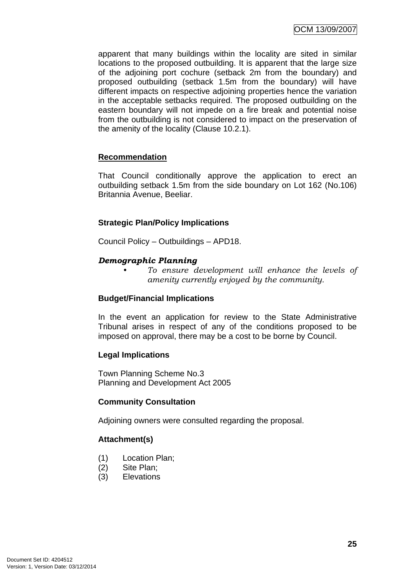apparent that many buildings within the locality are sited in similar locations to the proposed outbuilding. It is apparent that the large size of the adjoining port cochure (setback 2m from the boundary) and proposed outbuilding (setback 1.5m from the boundary) will have different impacts on respective adjoining properties hence the variation in the acceptable setbacks required. The proposed outbuilding on the eastern boundary will not impede on a fire break and potential noise from the outbuilding is not considered to impact on the preservation of the amenity of the locality (Clause 10.2.1).

## **Recommendation**

That Council conditionally approve the application to erect an outbuilding setback 1.5m from the side boundary on Lot 162 (No.106) Britannia Avenue, Beeliar.

## **Strategic Plan/Policy Implications**

Council Policy – Outbuildings – APD18.

## *Demographic Planning*

*• To ensure development will enhance the levels of amenity currently enjoyed by the community.*

## **Budget/Financial Implications**

In the event an application for review to the State Administrative Tribunal arises in respect of any of the conditions proposed to be imposed on approval, there may be a cost to be borne by Council.

## **Legal Implications**

Town Planning Scheme No.3 Planning and Development Act 2005

## **Community Consultation**

Adjoining owners were consulted regarding the proposal.

## **Attachment(s)**

- (1) Location Plan;
- (2) Site Plan;
- (3) Elevations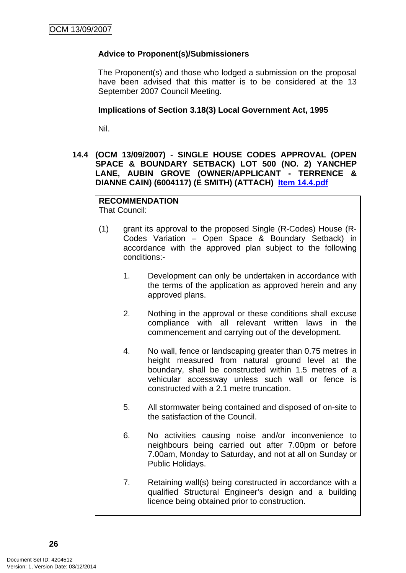## <span id="page-29-0"></span>**Advice to Proponent(s)/Submissioners**

The Proponent(s) and those who lodged a submission on the proposal have been advised that this matter is to be considered at the 13 September 2007 Council Meeting.

#### **Implications of Section 3.18(3) Local Government Act, 1995**

Nil.

## **14.4 (OCM 13/09/2007) - SINGLE HOUSE CODES APPROVAL (OPEN SPACE & BOUNDARY SETBACK) LOT 500 (NO. 2) YANCHEP LANE, AUBIN GROVE (OWNER/APPLICANT - TERRENCE & DIANNE CAIN) (6004117) (E SMITH) (ATTACH) Item 14.4.pdf**

## **RECOMMENDATION**

That Council:

- (1) grant its approval to the proposed Single (R-Codes) House (R-Codes Variation – Open Space & Boundary Setback) in accordance with the approved plan subject to the following conditions:-
	- 1. Development can only be undertaken in accordance with the terms of the application as approved herein and any approved plans.
	- 2. Nothing in the approval or these conditions shall excuse compliance with all relevant written laws in the commencement and carrying out of the development.
	- 4. No wall, fence or landscaping greater than 0.75 metres in height measured from natural ground level at the boundary, shall be constructed within 1.5 metres of a vehicular accessway unless such wall or fence is constructed with a 2.1 metre truncation.
	- 5. All stormwater being contained and disposed of on-site to the satisfaction of the Council.
	- 6. No activities causing noise and/or inconvenience to neighbours being carried out after 7.00pm or before 7.00am, Monday to Saturday, and not at all on Sunday or Public Holidays.
	- 7. Retaining wall(s) being constructed in accordance with a qualified Structural Engineer's design and a building licence being obtained prior to construction.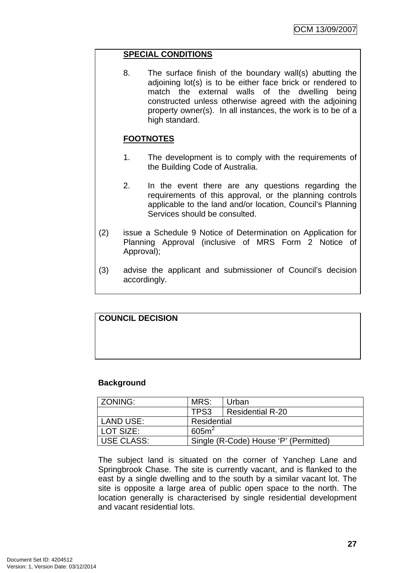## **SPECIAL CONDITIONS**

8. The surface finish of the boundary wall(s) abutting the adjoining lot(s) is to be either face brick or rendered to match the external walls of the dwelling being constructed unless otherwise agreed with the adjoining property owner(s). In all instances, the work is to be of a high standard.

## **FOOTNOTES**

- 1. The development is to comply with the requirements of the Building Code of Australia.
- 2. In the event there are any questions regarding the requirements of this approval, or the planning controls applicable to the land and/or location, Council's Planning Services should be consulted.
- (2) issue a Schedule 9 Notice of Determination on Application for Planning Approval (inclusive of MRS Form 2 Notice of Approval);
- (3) advise the applicant and submissioner of Council's decision accordingly.

# **COUNCIL DECISION**

## **Background**

| ZONING:           | MRS:                                  | Urban            |  |
|-------------------|---------------------------------------|------------------|--|
|                   | TPS3                                  | Residential R-20 |  |
| LAND USE:         | Residential                           |                  |  |
| LOT SIZE:         | 605m <sup>2</sup>                     |                  |  |
| <b>USE CLASS:</b> | Single (R-Code) House 'P' (Permitted) |                  |  |

The subject land is situated on the corner of Yanchep Lane and Springbrook Chase. The site is currently vacant, and is flanked to the east by a single dwelling and to the south by a similar vacant lot. The site is opposite a large area of public open space to the north. The location generally is characterised by single residential development and vacant residential lots.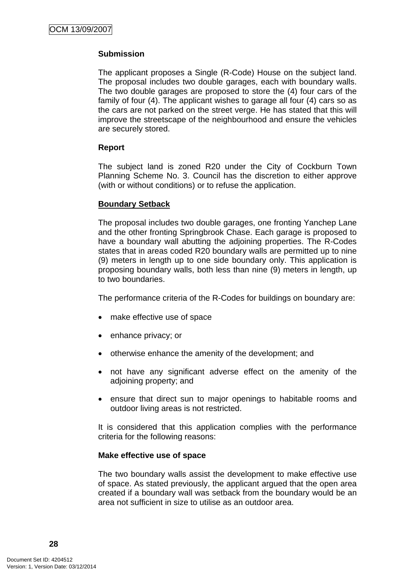## **Submission**

The applicant proposes a Single (R-Code) House on the subject land. The proposal includes two double garages, each with boundary walls. The two double garages are proposed to store the (4) four cars of the family of four (4). The applicant wishes to garage all four (4) cars so as the cars are not parked on the street verge. He has stated that this will improve the streetscape of the neighbourhood and ensure the vehicles are securely stored.

## **Report**

The subject land is zoned R20 under the City of Cockburn Town Planning Scheme No. 3. Council has the discretion to either approve (with or without conditions) or to refuse the application.

#### **Boundary Setback**

The proposal includes two double garages, one fronting Yanchep Lane and the other fronting Springbrook Chase. Each garage is proposed to have a boundary wall abutting the adjoining properties. The R-Codes states that in areas coded R20 boundary walls are permitted up to nine (9) meters in length up to one side boundary only. This application is proposing boundary walls, both less than nine (9) meters in length, up to two boundaries.

The performance criteria of the R-Codes for buildings on boundary are:

- make effective use of space
- enhance privacy; or
- otherwise enhance the amenity of the development; and
- not have any significant adverse effect on the amenity of the adjoining property; and
- ensure that direct sun to major openings to habitable rooms and outdoor living areas is not restricted.

It is considered that this application complies with the performance criteria for the following reasons:

#### **Make effective use of space**

The two boundary walls assist the development to make effective use of space. As stated previously, the applicant argued that the open area created if a boundary wall was setback from the boundary would be an area not sufficient in size to utilise as an outdoor area.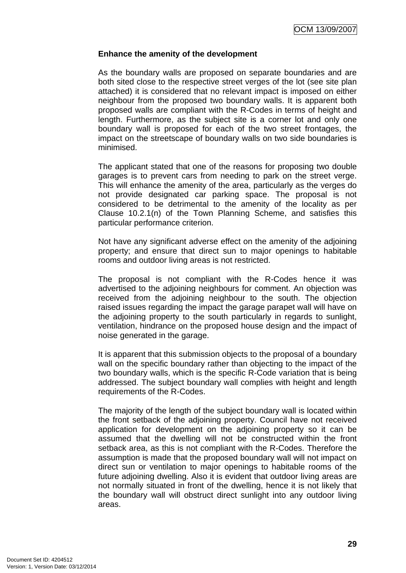#### **Enhance the amenity of the development**

As the boundary walls are proposed on separate boundaries and are both sited close to the respective street verges of the lot (see site plan attached) it is considered that no relevant impact is imposed on either neighbour from the proposed two boundary walls. It is apparent both proposed walls are compliant with the R-Codes in terms of height and length. Furthermore, as the subject site is a corner lot and only one boundary wall is proposed for each of the two street frontages, the impact on the streetscape of boundary walls on two side boundaries is minimised.

The applicant stated that one of the reasons for proposing two double garages is to prevent cars from needing to park on the street verge. This will enhance the amenity of the area, particularly as the verges do not provide designated car parking space. The proposal is not considered to be detrimental to the amenity of the locality as per Clause 10.2.1(n) of the Town Planning Scheme, and satisfies this particular performance criterion.

Not have any significant adverse effect on the amenity of the adjoining property; and ensure that direct sun to major openings to habitable rooms and outdoor living areas is not restricted.

The proposal is not compliant with the R-Codes hence it was advertised to the adjoining neighbours for comment. An objection was received from the adjoining neighbour to the south. The objection raised issues regarding the impact the garage parapet wall will have on the adjoining property to the south particularly in regards to sunlight, ventilation, hindrance on the proposed house design and the impact of noise generated in the garage.

It is apparent that this submission objects to the proposal of a boundary wall on the specific boundary rather than objecting to the impact of the two boundary walls, which is the specific R-Code variation that is being addressed. The subject boundary wall complies with height and length requirements of the R-Codes.

The majority of the length of the subject boundary wall is located within the front setback of the adjoining property. Council have not received application for development on the adjoining property so it can be assumed that the dwelling will not be constructed within the front setback area, as this is not compliant with the R-Codes. Therefore the assumption is made that the proposed boundary wall will not impact on direct sun or ventilation to major openings to habitable rooms of the future adjoining dwelling. Also it is evident that outdoor living areas are not normally situated in front of the dwelling, hence it is not likely that the boundary wall will obstruct direct sunlight into any outdoor living areas.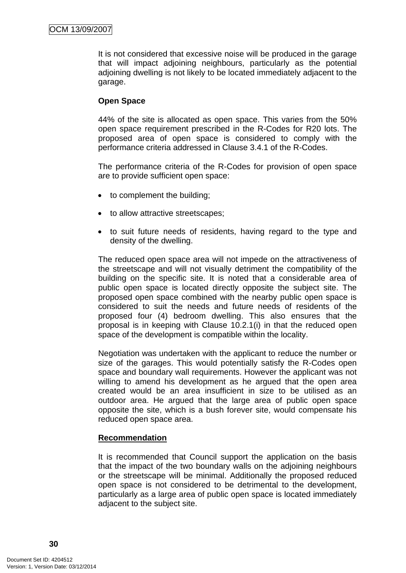It is not considered that excessive noise will be produced in the garage that will impact adjoining neighbours, particularly as the potential adjoining dwelling is not likely to be located immediately adjacent to the garage.

## **Open Space**

44% of the site is allocated as open space. This varies from the 50% open space requirement prescribed in the R-Codes for R20 lots. The proposed area of open space is considered to comply with the performance criteria addressed in Clause 3.4.1 of the R-Codes.

The performance criteria of the R-Codes for provision of open space are to provide sufficient open space:

- to complement the building;
- to allow attractive streetscapes:
- to suit future needs of residents, having regard to the type and density of the dwelling.

The reduced open space area will not impede on the attractiveness of the streetscape and will not visually detriment the compatibility of the building on the specific site. It is noted that a considerable area of public open space is located directly opposite the subject site. The proposed open space combined with the nearby public open space is considered to suit the needs and future needs of residents of the proposed four (4) bedroom dwelling. This also ensures that the proposal is in keeping with Clause 10.2.1(i) in that the reduced open space of the development is compatible within the locality.

Negotiation was undertaken with the applicant to reduce the number or size of the garages. This would potentially satisfy the R-Codes open space and boundary wall requirements. However the applicant was not willing to amend his development as he argued that the open area created would be an area insufficient in size to be utilised as an outdoor area. He argued that the large area of public open space opposite the site, which is a bush forever site, would compensate his reduced open space area.

## **Recommendation**

It is recommended that Council support the application on the basis that the impact of the two boundary walls on the adjoining neighbours or the streetscape will be minimal. Additionally the proposed reduced open space is not considered to be detrimental to the development, particularly as a large area of public open space is located immediately adjacent to the subject site.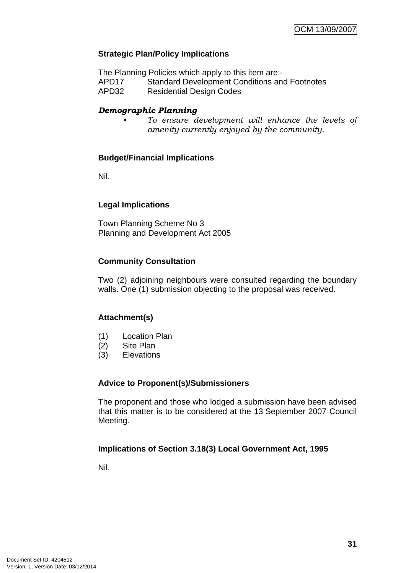## **Strategic Plan/Policy Implications**

The Planning Policies which apply to this item are:-

APD17 Standard Development Conditions and Footnotes

APD32 Residential Design Codes

## *Demographic Planning*

*• To ensure development will enhance the levels of amenity currently enjoyed by the community.*

## **Budget/Financial Implications**

Nil.

## **Legal Implications**

Town Planning Scheme No 3 Planning and Development Act 2005

## **Community Consultation**

Two (2) adjoining neighbours were consulted regarding the boundary walls. One (1) submission objecting to the proposal was received.

## **Attachment(s)**

- (1) Location Plan
- (2) Site Plan
- (3) Elevations

## **Advice to Proponent(s)/Submissioners**

The proponent and those who lodged a submission have been advised that this matter is to be considered at the 13 September 2007 Council Meeting.

## **Implications of Section 3.18(3) Local Government Act, 1995**

Nil.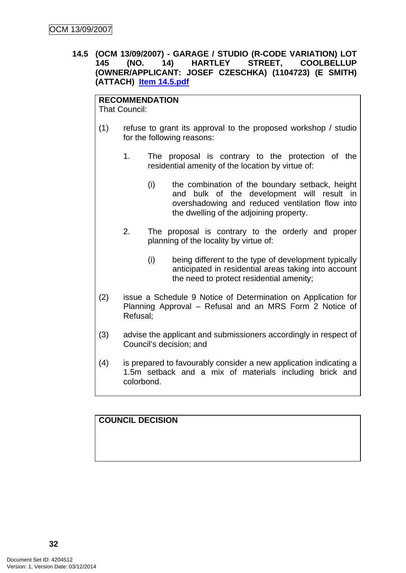## <span id="page-35-0"></span>**14.5 (OCM 13/09/2007) - GARAGE / STUDIO (R-CODE VARIATION) LOT 145 (NO. 14) HARTLEY STREET, COOLBELLUP (OWNER/APPLICANT: JOSEF CZESCHKA) (1104723) (E SMITH) (ATTACH) Item 14.5.pdf**

#### **RECOMMENDATION**

That Council:

- (1) refuse to grant its approval to the proposed workshop / studio for the following reasons:
	- 1. The proposal is contrary to the protection of the residential amenity of the location by virtue of:
		- (i) the combination of the boundary setback, height and bulk of the development will result in overshadowing and reduced ventilation flow into the dwelling of the adjoining property.
	- 2. The proposal is contrary to the orderly and proper planning of the locality by virtue of:
		- (i) being different to the type of development typically anticipated in residential areas taking into account the need to protect residential amenity;
- (2) issue a Schedule 9 Notice of Determination on Application for Planning Approval – Refusal and an MRS Form 2 Notice of Refusal;
- (3) advise the applicant and submissioners accordingly in respect of Council's decision; and
- (4) is prepared to favourably consider a new application indicating a 1.5m setback and a mix of materials including brick and colorbond.

## **COUNCIL DECISION**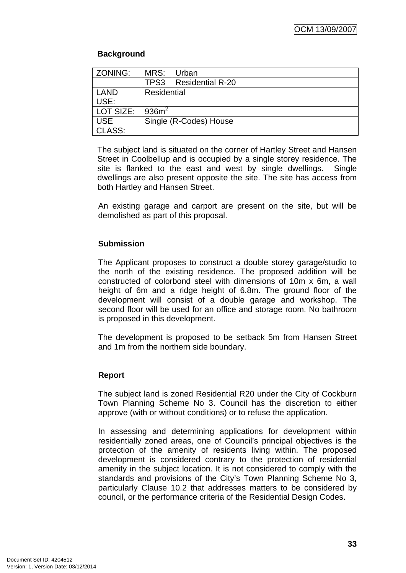### **Background**

| ZONING:       | MRS:               | Urban                   |
|---------------|--------------------|-------------------------|
|               | TPS3               | <b>Residential R-20</b> |
| <b>LAND</b>   | <b>Residential</b> |                         |
| USE:          |                    |                         |
| LOT SIZE:     | 936m <sup>2</sup>  |                         |
| <b>USE</b>    |                    | Single (R-Codes) House  |
| <b>CLASS:</b> |                    |                         |

The subject land is situated on the corner of Hartley Street and Hansen Street in Coolbellup and is occupied by a single storey residence. The site is flanked to the east and west by single dwellings. Single dwellings are also present opposite the site. The site has access from both Hartley and Hansen Street.

An existing garage and carport are present on the site, but will be demolished as part of this proposal.

### **Submission**

The Applicant proposes to construct a double storey garage/studio to the north of the existing residence. The proposed addition will be constructed of colorbond steel with dimensions of 10m x 6m, a wall height of 6m and a ridge height of 6.8m. The ground floor of the development will consist of a double garage and workshop. The second floor will be used for an office and storage room. No bathroom is proposed in this development.

The development is proposed to be setback 5m from Hansen Street and 1m from the northern side boundary.

### **Report**

The subject land is zoned Residential R20 under the City of Cockburn Town Planning Scheme No 3. Council has the discretion to either approve (with or without conditions) or to refuse the application.

In assessing and determining applications for development within residentially zoned areas, one of Council's principal objectives is the protection of the amenity of residents living within. The proposed development is considered contrary to the protection of residential amenity in the subject location. It is not considered to comply with the standards and provisions of the City's Town Planning Scheme No 3, particularly Clause 10.2 that addresses matters to be considered by council, or the performance criteria of the Residential Design Codes.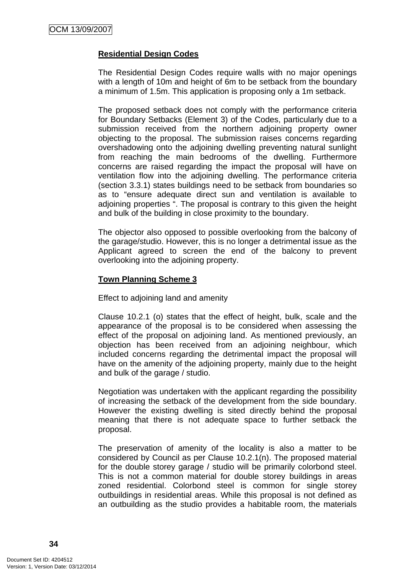### **Residential Design Codes**

The Residential Design Codes require walls with no major openings with a length of 10m and height of 6m to be setback from the boundary a minimum of 1.5m. This application is proposing only a 1m setback.

The proposed setback does not comply with the performance criteria for Boundary Setbacks (Element 3) of the Codes, particularly due to a submission received from the northern adjoining property owner objecting to the proposal. The submission raises concerns regarding overshadowing onto the adjoining dwelling preventing natural sunlight from reaching the main bedrooms of the dwelling. Furthermore concerns are raised regarding the impact the proposal will have on ventilation flow into the adjoining dwelling. The performance criteria (section 3.3.1) states buildings need to be setback from boundaries so as to "ensure adequate direct sun and ventilation is available to adjoining properties ". The proposal is contrary to this given the height and bulk of the building in close proximity to the boundary.

The objector also opposed to possible overlooking from the balcony of the garage/studio. However, this is no longer a detrimental issue as the Applicant agreed to screen the end of the balcony to prevent overlooking into the adjoining property.

### **Town Planning Scheme 3**

Effect to adjoining land and amenity

Clause 10.2.1 (o) states that the effect of height, bulk, scale and the appearance of the proposal is to be considered when assessing the effect of the proposal on adjoining land. As mentioned previously, an objection has been received from an adjoining neighbour, which included concerns regarding the detrimental impact the proposal will have on the amenity of the adjoining property, mainly due to the height and bulk of the garage / studio.

Negotiation was undertaken with the applicant regarding the possibility of increasing the setback of the development from the side boundary. However the existing dwelling is sited directly behind the proposal meaning that there is not adequate space to further setback the proposal.

The preservation of amenity of the locality is also a matter to be considered by Council as per Clause 10.2.1(n). The proposed material for the double storey garage / studio will be primarily colorbond steel. This is not a common material for double storey buildings in areas zoned residential. Colorbond steel is common for single storey outbuildings in residential areas. While this proposal is not defined as an outbuilding as the studio provides a habitable room, the materials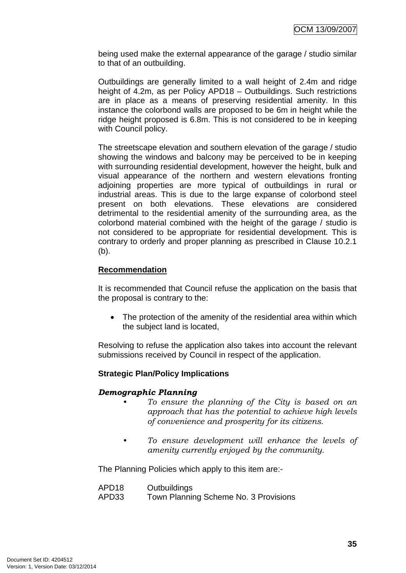being used make the external appearance of the garage / studio similar to that of an outbuilding.

Outbuildings are generally limited to a wall height of 2.4m and ridge height of 4.2m, as per Policy APD18 – Outbuildings. Such restrictions are in place as a means of preserving residential amenity. In this instance the colorbond walls are proposed to be 6m in height while the ridge height proposed is 6.8m. This is not considered to be in keeping with Council policy.

The streetscape elevation and southern elevation of the garage / studio showing the windows and balcony may be perceived to be in keeping with surrounding residential development, however the height, bulk and visual appearance of the northern and western elevations fronting adjoining properties are more typical of outbuildings in rural or industrial areas. This is due to the large expanse of colorbond steel present on both elevations. These elevations are considered detrimental to the residential amenity of the surrounding area, as the colorbond material combined with the height of the garage / studio is not considered to be appropriate for residential development. This is contrary to orderly and proper planning as prescribed in Clause 10.2.1 (b).

### **Recommendation**

It is recommended that Council refuse the application on the basis that the proposal is contrary to the:

• The protection of the amenity of the residential area within which the subject land is located,

Resolving to refuse the application also takes into account the relevant submissions received by Council in respect of the application.

### **Strategic Plan/Policy Implications**

### *Demographic Planning*

- *To ensure the planning of the City is based on an approach that has the potential to achieve high levels of convenience and prosperity for its citizens.*
- *To ensure development will enhance the levels of amenity currently enjoyed by the community.*

The Planning Policies which apply to this item are:-

| APD18 | Outbuildings                          |
|-------|---------------------------------------|
| APD33 | Town Planning Scheme No. 3 Provisions |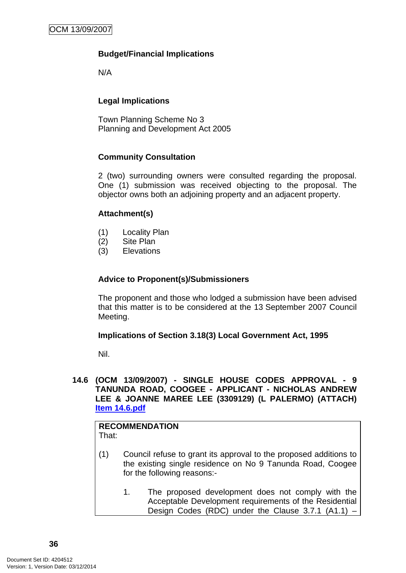## **Budget/Financial Implications**

N/A

## **Legal Implications**

Town Planning Scheme No 3 Planning and Development Act 2005

### **Community Consultation**

2 (two) surrounding owners were consulted regarding the proposal. One (1) submission was received objecting to the proposal. The objector owns both an adjoining property and an adjacent property.

### **Attachment(s)**

- (1) Locality Plan
- (2) Site Plan
- (3) Elevations

### **Advice to Proponent(s)/Submissioners**

The proponent and those who lodged a submission have been advised that this matter is to be considered at the 13 September 2007 Council Meeting.

### **Implications of Section 3.18(3) Local Government Act, 1995**

Nil.

### **14.6 (OCM 13/09/2007) - SINGLE HOUSE CODES APPROVAL - 9 TANUNDA ROAD, COOGEE - APPLICANT - NICHOLAS ANDREW LEE & JOANNE MAREE LEE (3309129) (L PALERMO) (ATTACH) Item 14.6.pdf**

#### **RECOMMENDATION** That:

- (1) Council refuse to grant its approval to the proposed additions to the existing single residence on No 9 Tanunda Road, Coogee for the following reasons:-
	- 1. The proposed development does not comply with the Acceptable Development requirements of the Residential Design Codes (RDC) under the Clause 3.7.1 (A1.1) -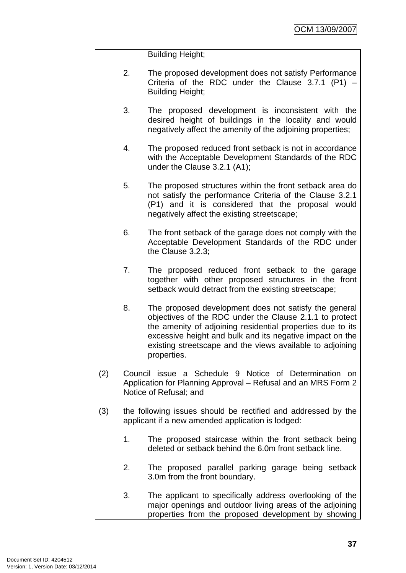Building Height;

- 2. The proposed development does not satisfy Performance Criteria of the RDC under the Clause 3.7.1 (P1) – Building Height;
- 3. The proposed development is inconsistent with the desired height of buildings in the locality and would negatively affect the amenity of the adjoining properties;
- 4. The proposed reduced front setback is not in accordance with the Acceptable Development Standards of the RDC under the Clause 3.2.1 (A1);
- 5. The proposed structures within the front setback area do not satisfy the performance Criteria of the Clause 3.2.1 (P1) and it is considered that the proposal would negatively affect the existing streetscape;
- 6. The front setback of the garage does not comply with the Acceptable Development Standards of the RDC under the Clause 3.2.3;
- 7. The proposed reduced front setback to the garage together with other proposed structures in the front setback would detract from the existing streetscape;
- 8. The proposed development does not satisfy the general objectives of the RDC under the Clause 2.1.1 to protect the amenity of adjoining residential properties due to its excessive height and bulk and its negative impact on the existing streetscape and the views available to adjoining properties.
- (2) Council issue a Schedule 9 Notice of Determination on Application for Planning Approval – Refusal and an MRS Form 2 Notice of Refusal; and
- (3) the following issues should be rectified and addressed by the applicant if a new amended application is lodged:
	- 1. The proposed staircase within the front setback being deleted or setback behind the 6.0m front setback line.
	- 2. The proposed parallel parking garage being setback 3.0m from the front boundary.
	- 3. The applicant to specifically address overlooking of the major openings and outdoor living areas of the adjoining properties from the proposed development by showing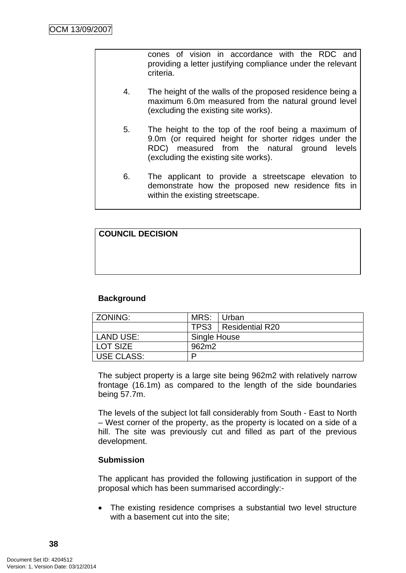cones of vision in accordance with the RDC and providing a letter justifying compliance under the relevant criteria.

- 4. The height of the walls of the proposed residence being a maximum 6.0m measured from the natural ground level (excluding the existing site works).
- 5. The height to the top of the roof being a maximum of 9.0m (or required height for shorter ridges under the RDC) measured from the natural ground levels (excluding the existing site works).
- 6. The applicant to provide a streetscape elevation to demonstrate how the proposed new residence fits in within the existing streetscape.

| <b>COUNCIL DECISION</b> |  |  |
|-------------------------|--|--|
|                         |  |  |
|                         |  |  |
|                         |  |  |

### **Background**

| ZONING:           | MRS: Urban   |                        |
|-------------------|--------------|------------------------|
|                   |              | TPS3   Residential R20 |
| LAND USE:         | Single House |                        |
| LOT SIZE          | 962m2        |                        |
| <b>USE CLASS:</b> |              |                        |

The subject property is a large site being 962m2 with relatively narrow frontage (16.1m) as compared to the length of the side boundaries being 57.7m.

The levels of the subject lot fall considerably from South - East to North – West corner of the property, as the property is located on a side of a hill. The site was previously cut and filled as part of the previous development.

### **Submission**

The applicant has provided the following justification in support of the proposal which has been summarised accordingly:-

• The existing residence comprises a substantial two level structure with a basement cut into the site;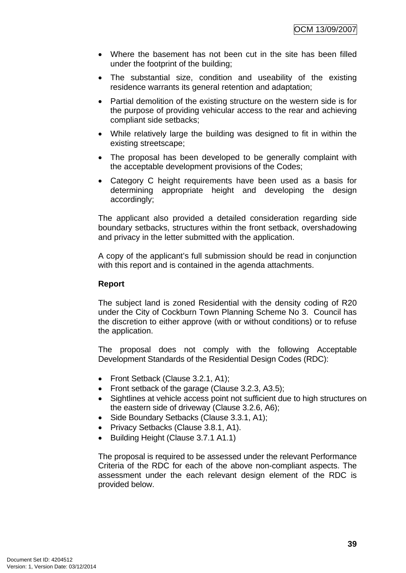- Where the basement has not been cut in the site has been filled under the footprint of the building;
- The substantial size, condition and useability of the existing residence warrants its general retention and adaptation;
- Partial demolition of the existing structure on the western side is for the purpose of providing vehicular access to the rear and achieving compliant side setbacks;
- While relatively large the building was designed to fit in within the existing streetscape;
- The proposal has been developed to be generally complaint with the acceptable development provisions of the Codes;
- Category C height requirements have been used as a basis for determining appropriate height and developing the design accordingly;

The applicant also provided a detailed consideration regarding side boundary setbacks, structures within the front setback, overshadowing and privacy in the letter submitted with the application.

A copy of the applicant's full submission should be read in conjunction with this report and is contained in the agenda attachments.

### **Report**

The subject land is zoned Residential with the density coding of R20 under the City of Cockburn Town Planning Scheme No 3. Council has the discretion to either approve (with or without conditions) or to refuse the application.

The proposal does not comply with the following Acceptable Development Standards of the Residential Design Codes (RDC):

- Front Setback (Clause 3.2.1, A1);
- Front setback of the garage (Clause 3.2.3, A3.5);
- Sightlines at vehicle access point not sufficient due to high structures on the eastern side of driveway (Clause 3.2.6, A6);
- Side Boundary Setbacks (Clause 3.3.1, A1);
- Privacy Setbacks (Clause 3.8.1, A1).
- Building Height (Clause 3.7.1 A1.1)

The proposal is required to be assessed under the relevant Performance Criteria of the RDC for each of the above non-compliant aspects. The assessment under the each relevant design element of the RDC is provided below.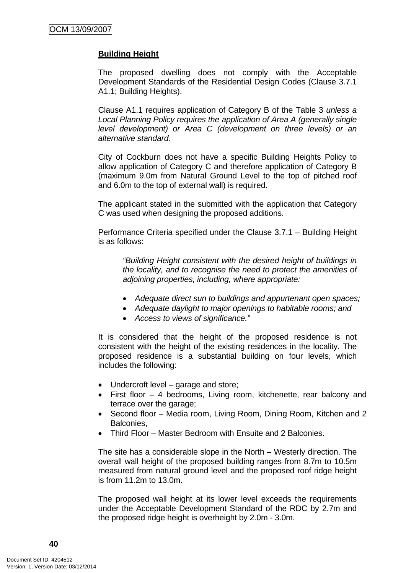### **Building Height**

The proposed dwelling does not comply with the Acceptable Development Standards of the Residential Design Codes (Clause 3.7.1 A1.1; Building Heights).

Clause A1.1 requires application of Category B of the Table 3 *unless a Local Planning Policy requires the application of Area A (generally single level development) or Area C (development on three levels) or an alternative standard.*

City of Cockburn does not have a specific Building Heights Policy to allow application of Category C and therefore application of Category B (maximum 9.0m from Natural Ground Level to the top of pitched roof and 6.0m to the top of external wall) is required.

The applicant stated in the submitted with the application that Category C was used when designing the proposed additions.

Performance Criteria specified under the Clause 3.7.1 – Building Height is as follows:

 *"Building Height consistent with the desired height of buildings in the locality, and to recognise the need to protect the amenities of adjoining properties, including, where appropriate:*

- *Adequate direct sun to buildings and appurtenant open spaces;*
- *Adequate daylight to major openings to habitable rooms; and*
- *Access to views of significance."*

It is considered that the height of the proposed residence is not consistent with the height of the existing residences in the locality. The proposed residence is a substantial building on four levels, which includes the following:

- Undercroft level garage and store;
- First floor 4 bedrooms, Living room, kitchenette, rear balcony and terrace over the garage;
- Second floor Media room, Living Room, Dining Room, Kitchen and 2 Balconies,
- Third Floor Master Bedroom with Ensuite and 2 Balconies.

The site has a considerable slope in the North – Westerly direction. The overall wall height of the proposed building ranges from 8.7m to 10.5m measured from natural ground level and the proposed roof ridge height is from 11.2m to 13.0m.

The proposed wall height at its lower level exceeds the requirements under the Acceptable Development Standard of the RDC by 2.7m and the proposed ridge height is overheight by 2.0m - 3.0m.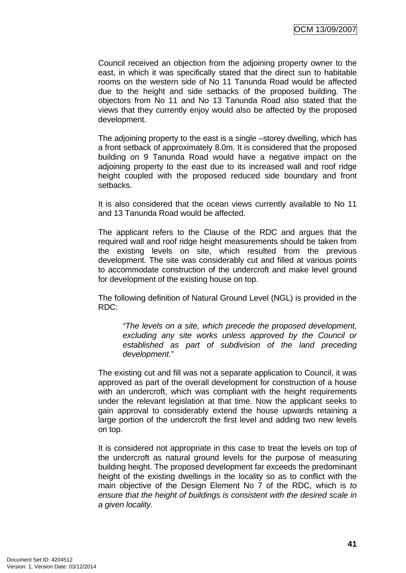Council received an objection from the adjoining property owner to the east, in which it was specifically stated that the direct sun to habitable rooms on the western side of No 11 Tanunda Road would be affected due to the height and side setbacks of the proposed building. The objectors from No 11 and No 13 Tanunda Road also stated that the views that they currently enjoy would also be affected by the proposed development.

The adjoining property to the east is a single –storey dwelling, which has a front setback of approximately 8.0m. It is considered that the proposed building on 9 Tanunda Road would have a negative impact on the adjoining property to the east due to its increased wall and roof ridge height coupled with the proposed reduced side boundary and front setbacks.

It is also considered that the ocean views currently available to No 11 and 13 Tanunda Road would be affected.

The applicant refers to the Clause of the RDC and argues that the required wall and roof ridge height measurements should be taken from the existing levels on site, which resulted from the previous development. The site was considerably cut and filled at various points to accommodate construction of the undercroft and make level ground for development of the existing house on top.

The following definition of Natural Ground Level (NGL) is provided in the RDC:

 *"The levels on a site, which precede the proposed development, excluding any site works unless approved by the Council or established as part of subdivision of the land preceding development.*"

The existing cut and fill was not a separate application to Council, it was approved as part of the overall development for construction of a house with an undercroft, which was compliant with the height requirements under the relevant legislation at that time. Now the applicant seeks to gain approval to considerably extend the house upwards retaining a large portion of the undercroft the first level and adding two new levels on top.

It is considered not appropriate in this case to treat the levels on top of the undercroft as natural ground levels for the purpose of measuring building height. The proposed development far exceeds the predominant height of the existing dwellings in the locality so as to conflict with the main objective of the Design Element No 7 of the RDC, which is *to ensure that the height of buildings is consistent with the desired scale in a given locality.*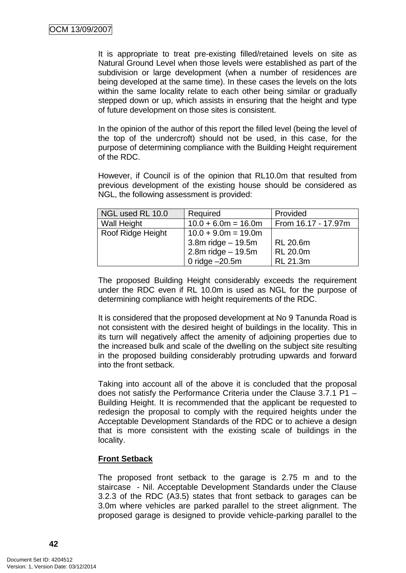It is appropriate to treat pre-existing filled/retained levels on site as Natural Ground Level when those levels were established as part of the subdivision or large development (when a number of residences are being developed at the same time). In these cases the levels on the lots within the same locality relate to each other being similar or gradually stepped down or up, which assists in ensuring that the height and type of future development on those sites is consistent.

In the opinion of the author of this report the filled level (being the level of the top of the undercroft) should not be used, in this case, for the purpose of determining compliance with the Building Height requirement of the RDC.

However, if Council is of the opinion that RL10.0m that resulted from previous development of the existing house should be considered as NGL, the following assessment is provided:

| NGL used RL 10.0  | Required              | Provided            |
|-------------------|-----------------------|---------------------|
| Wall Height       | $10.0 + 6.0m = 16.0m$ | From 16.17 - 17.97m |
| Roof Ridge Height | $10.0 + 9.0m = 19.0m$ |                     |
|                   | $3.8m$ ridge $-19.5m$ | <b>RL 20.6m</b>     |
|                   | 2.8m ridge $-19.5m$   | <b>RL 20.0m</b>     |
|                   | 0 ridge $-20.5m$      | RL 21.3m            |

The proposed Building Height considerably exceeds the requirement under the RDC even if RL 10.0m is used as NGL for the purpose of determining compliance with height requirements of the RDC.

It is considered that the proposed development at No 9 Tanunda Road is not consistent with the desired height of buildings in the locality. This in its turn will negatively affect the amenity of adjoining properties due to the increased bulk and scale of the dwelling on the subject site resulting in the proposed building considerably protruding upwards and forward into the front setback.

Taking into account all of the above it is concluded that the proposal does not satisfy the Performance Criteria under the Clause 3.7.1 P1 – Building Height. It is recommended that the applicant be requested to redesign the proposal to comply with the required heights under the Acceptable Development Standards of the RDC or to achieve a design that is more consistent with the existing scale of buildings in the locality.

### **Front Setback**

The proposed front setback to the garage is 2.75 m and to the staircase - Nil. Acceptable Development Standards under the Clause 3.2.3 of the RDC (A3.5) states that front setback to garages can be 3.0m where vehicles are parked parallel to the street alignment. The proposed garage is designed to provide vehicle-parking parallel to the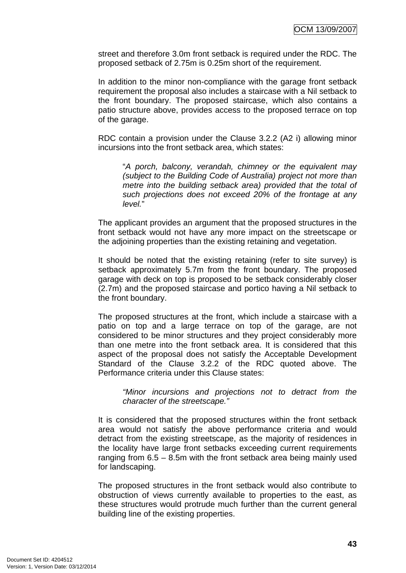street and therefore 3.0m front setback is required under the RDC. The proposed setback of 2.75m is 0.25m short of the requirement.

In addition to the minor non-compliance with the garage front setback requirement the proposal also includes a staircase with a Nil setback to the front boundary. The proposed staircase, which also contains a patio structure above, provides access to the proposed terrace on top of the garage.

RDC contain a provision under the Clause 3.2.2 (A2 i) allowing minor incursions into the front setback area, which states:

 "*A porch, balcony, verandah, chimney or the equivalent may (subject to the Building Code of Australia) project not more than metre into the building setback area) provided that the total of such projections does not exceed 20% of the frontage at any level.*"

The applicant provides an argument that the proposed structures in the front setback would not have any more impact on the streetscape or the adjoining properties than the existing retaining and vegetation.

It should be noted that the existing retaining (refer to site survey) is setback approximately 5.7m from the front boundary. The proposed garage with deck on top is proposed to be setback considerably closer (2.7m) and the proposed staircase and portico having a Nil setback to the front boundary.

The proposed structures at the front, which include a staircase with a patio on top and a large terrace on top of the garage, are not considered to be minor structures and they project considerably more than one metre into the front setback area. It is considered that this aspect of the proposal does not satisfy the Acceptable Development Standard of the Clause 3.2.2 of the RDC quoted above. The Performance criteria under this Clause states:

 *"Minor incursions and projections not to detract from the character of the streetscape."*

It is considered that the proposed structures within the front setback area would not satisfy the above performance criteria and would detract from the existing streetscape, as the majority of residences in the locality have large front setbacks exceeding current requirements ranging from 6.5 – 8.5m with the front setback area being mainly used for landscaping.

The proposed structures in the front setback would also contribute to obstruction of views currently available to properties to the east, as these structures would protrude much further than the current general building line of the existing properties.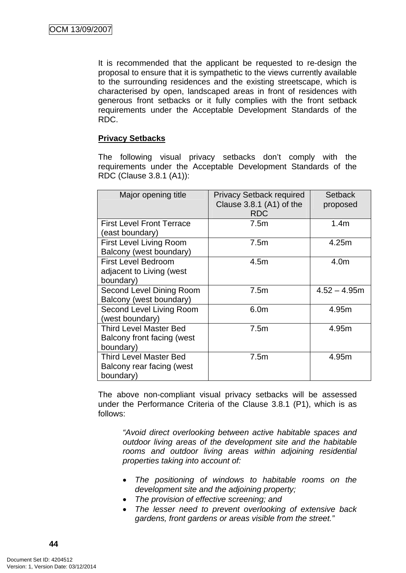It is recommended that the applicant be requested to re-design the proposal to ensure that it is sympathetic to the views currently available to the surrounding residences and the existing streetscape, which is characterised by open, landscaped areas in front of residences with generous front setbacks or it fully complies with the front setback requirements under the Acceptable Development Standards of the RDC.

### **Privacy Setbacks**

The following visual privacy setbacks don't comply with the requirements under the Acceptable Development Standards of the RDC (Clause 3.8.1 (A1)):

| Major opening title              | <b>Privacy Setback required</b> | <b>Setback</b>   |
|----------------------------------|---------------------------------|------------------|
|                                  | Clause $3.8.1$ (A1) of the      | proposed         |
|                                  | <b>RDC</b>                      |                  |
| <b>First Level Front Terrace</b> | 7.5m                            | 1.4 <sub>m</sub> |
| (east boundary)                  |                                 |                  |
| <b>First Level Living Room</b>   | 7.5m                            | 4.25m            |
| Balcony (west boundary)          |                                 |                  |
| <b>First Level Bedroom</b>       | 4.5 <sub>m</sub>                | 4.0m             |
| adjacent to Living (west         |                                 |                  |
| boundary)                        |                                 |                  |
| Second Level Dining Room         | 7.5m                            | $4.52 - 4.95m$   |
| Balcony (west boundary)          |                                 |                  |
| Second Level Living Room         | 6.0m                            | 4.95m            |
| (west boundary)                  |                                 |                  |
| <b>Third Level Master Bed</b>    | 7.5m                            | 4.95m            |
| Balcony front facing (west       |                                 |                  |
| boundary)                        |                                 |                  |
| <b>Third Level Master Bed</b>    | 7.5m                            | 4.95m            |
| Balcony rear facing (west        |                                 |                  |
| boundary)                        |                                 |                  |

The above non-compliant visual privacy setbacks will be assessed under the Performance Criteria of the Clause 3.8.1 (P1), which is as follows:

*"Avoid direct overlooking between active habitable spaces and outdoor living areas of the development site and the habitable rooms and outdoor living areas within adjoining residential properties taking into account of:* 

- *The positioning of windows to habitable rooms on the development site and the adjoining property;*
- *The provision of effective screening; and*
- *The lesser need to prevent overlooking of extensive back gardens, front gardens or areas visible from the street."*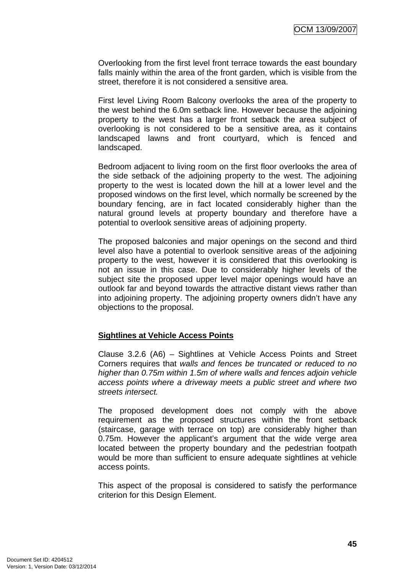Overlooking from the first level front terrace towards the east boundary falls mainly within the area of the front garden, which is visible from the street, therefore it is not considered a sensitive area.

First level Living Room Balcony overlooks the area of the property to the west behind the 6.0m setback line. However because the adjoining property to the west has a larger front setback the area subject of overlooking is not considered to be a sensitive area, as it contains landscaped lawns and front courtyard, which is fenced and landscaped.

Bedroom adjacent to living room on the first floor overlooks the area of the side setback of the adjoining property to the west. The adjoining property to the west is located down the hill at a lower level and the proposed windows on the first level, which normally be screened by the boundary fencing, are in fact located considerably higher than the natural ground levels at property boundary and therefore have a potential to overlook sensitive areas of adjoining property.

The proposed balconies and major openings on the second and third level also have a potential to overlook sensitive areas of the adjoining property to the west, however it is considered that this overlooking is not an issue in this case. Due to considerably higher levels of the subject site the proposed upper level major openings would have an outlook far and beyond towards the attractive distant views rather than into adjoining property. The adjoining property owners didn't have any objections to the proposal.

### **Sightlines at Vehicle Access Points**

Clause 3.2.6 (A6) – Sightlines at Vehicle Access Points and Street Corners requires that *walls and fences be truncated or reduced to no higher than 0.75m within 1.5m of where walls and fences adjoin vehicle access points where a driveway meets a public street and where two streets intersect.*

The proposed development does not comply with the above requirement as the proposed structures within the front setback (staircase, garage with terrace on top) are considerably higher than 0.75m. However the applicant's argument that the wide verge area located between the property boundary and the pedestrian footpath would be more than sufficient to ensure adequate sightlines at vehicle access points.

This aspect of the proposal is considered to satisfy the performance criterion for this Design Element.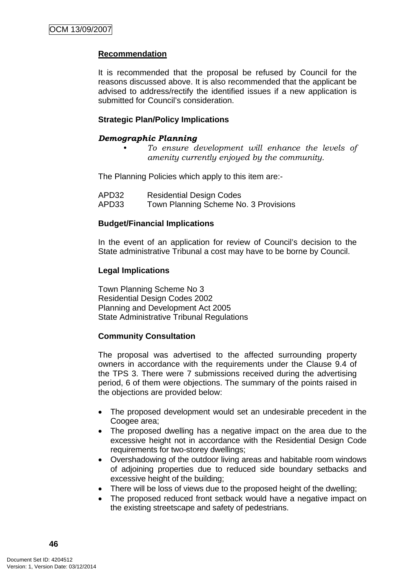### **Recommendation**

It is recommended that the proposal be refused by Council for the reasons discussed above. It is also recommended that the applicant be advised to address/rectify the identified issues if a new application is submitted for Council's consideration.

### **Strategic Plan/Policy Implications**

## *Demographic Planning*

*• To ensure development will enhance the levels of amenity currently enjoyed by the community.*

The Planning Policies which apply to this item are:-

| APD32 | <b>Residential Design Codes</b>       |
|-------|---------------------------------------|
| APD33 | Town Planning Scheme No. 3 Provisions |

### **Budget/Financial Implications**

In the event of an application for review of Council's decision to the State administrative Tribunal a cost may have to be borne by Council.

### **Legal Implications**

Town Planning Scheme No 3 Residential Design Codes 2002 Planning and Development Act 2005 State Administrative Tribunal Regulations

### **Community Consultation**

The proposal was advertised to the affected surrounding property owners in accordance with the requirements under the Clause 9.4 of the TPS 3. There were 7 submissions received during the advertising period, 6 of them were objections. The summary of the points raised in the objections are provided below:

- The proposed development would set an undesirable precedent in the Coogee area:
- The proposed dwelling has a negative impact on the area due to the excessive height not in accordance with the Residential Design Code requirements for two-storey dwellings;
- Overshadowing of the outdoor living areas and habitable room windows of adjoining properties due to reduced side boundary setbacks and excessive height of the building;
- There will be loss of views due to the proposed height of the dwelling;
- The proposed reduced front setback would have a negative impact on the existing streetscape and safety of pedestrians.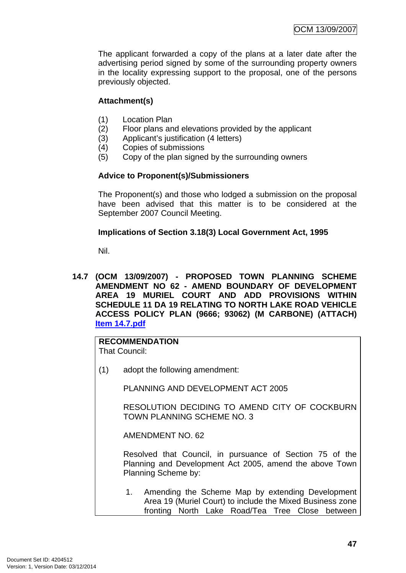The applicant forwarded a copy of the plans at a later date after the advertising period signed by some of the surrounding property owners in the locality expressing support to the proposal, one of the persons previously objected.

### **Attachment(s)**

- (1) Location Plan
- (2) Floor plans and elevations provided by the applicant
- (3) Applicant's justification (4 letters)
- (4) Copies of submissions
- (5) Copy of the plan signed by the surrounding owners

### **Advice to Proponent(s)/Submissioners**

The Proponent(s) and those who lodged a submission on the proposal have been advised that this matter is to be considered at the September 2007 Council Meeting.

### **Implications of Section 3.18(3) Local Government Act, 1995**

Nil.

**14.7 (OCM 13/09/2007) - PROPOSED TOWN PLANNING SCHEME AMENDMENT NO 62 - AMEND BOUNDARY OF DEVELOPMENT AREA 19 MURIEL COURT AND ADD PROVISIONS WITHIN SCHEDULE 11 DA 19 RELATING TO NORTH LAKE ROAD VEHICLE ACCESS POLICY PLAN (9666; 93062) (M CARBONE) (ATTACH) Item 14.7.pdf**

## **RECOMMENDATION**

That Council:

(1) adopt the following amendment:

PLANNING AND DEVELOPMENT ACT 2005

RESOLUTION DECIDING TO AMEND CITY OF COCKBURN TOWN PLANNING SCHEME NO. 3

AMENDMENT NO. 62

Resolved that Council, in pursuance of Section 75 of the Planning and Development Act 2005, amend the above Town Planning Scheme by:

1. Amending the Scheme Map by extending Development Area 19 (Muriel Court) to include the Mixed Business zone fronting North Lake Road/Tea Tree Close between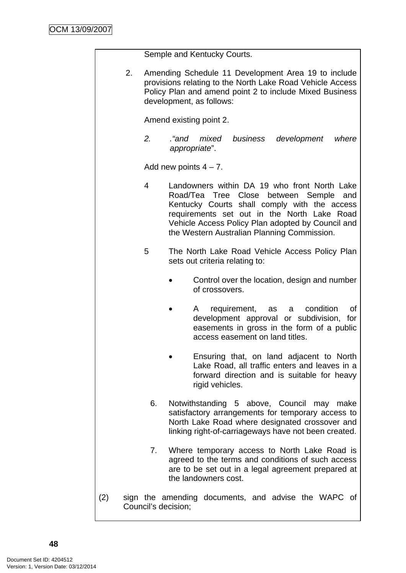|     |                     | Semple and Kentucky Courts.                                                                                                                                                                                                                                                                  |  |  |
|-----|---------------------|----------------------------------------------------------------------------------------------------------------------------------------------------------------------------------------------------------------------------------------------------------------------------------------------|--|--|
| 2.  |                     | Amending Schedule 11 Development Area 19 to include<br>provisions relating to the North Lake Road Vehicle Access<br>Policy Plan and amend point 2 to include Mixed Business<br>development, as follows:                                                                                      |  |  |
|     |                     | Amend existing point 2.                                                                                                                                                                                                                                                                      |  |  |
|     | 2.                  | and."<br>mixed business development<br>where<br>appropriate".                                                                                                                                                                                                                                |  |  |
|     |                     | Add new points $4 - 7$ .                                                                                                                                                                                                                                                                     |  |  |
|     | 4                   | Landowners within DA 19 who front North Lake<br>Road/Tea Tree Close between Semple<br>and<br>Kentucky Courts shall comply with the access<br>requirements set out in the North Lake Road<br>Vehicle Access Policy Plan adopted by Council and<br>the Western Australian Planning Commission. |  |  |
|     | 5                   | The North Lake Road Vehicle Access Policy Plan<br>sets out criteria relating to:                                                                                                                                                                                                             |  |  |
|     |                     | Control over the location, design and number<br>of crossovers.                                                                                                                                                                                                                               |  |  |
|     |                     | requirement,<br>condition<br>as<br>a l<br>Ωt<br>A<br>development approval or subdivision, for<br>easements in gross in the form of a public<br>access easement on land titles.                                                                                                               |  |  |
|     |                     | Ensuring that, on land adjacent to North<br>Lake Road, all traffic enters and leaves in a<br>forward direction and is suitable for heavy<br>rigid vehicles.                                                                                                                                  |  |  |
|     | 6.                  | Notwithstanding 5 above, Council may make<br>satisfactory arrangements for temporary access to<br>North Lake Road where designated crossover and<br>linking right-of-carriageways have not been created.                                                                                     |  |  |
|     | 7.                  | Where temporary access to North Lake Road is<br>agreed to the terms and conditions of such access<br>are to be set out in a legal agreement prepared at<br>the landowners cost.                                                                                                              |  |  |
| (2) | Council's decision; | sign the amending documents, and advise the WAPC of                                                                                                                                                                                                                                          |  |  |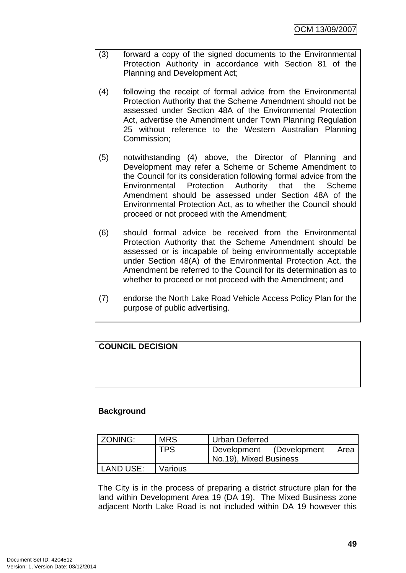- (3) forward a copy of the signed documents to the Environmental Protection Authority in accordance with Section 81 of the Planning and Development Act;
- (4) following the receipt of formal advice from the Environmental Protection Authority that the Scheme Amendment should not be assessed under Section 48A of the Environmental Protection Act, advertise the Amendment under Town Planning Regulation 25 without reference to the Western Australian Planning Commission;
- (5) notwithstanding (4) above, the Director of Planning and Development may refer a Scheme or Scheme Amendment to the Council for its consideration following formal advice from the Environmental Protection Authority that the Scheme Amendment should be assessed under Section 48A of the Environmental Protection Act, as to whether the Council should proceed or not proceed with the Amendment;
- (6) should formal advice be received from the Environmental Protection Authority that the Scheme Amendment should be assessed or is incapable of being environmentally acceptable under Section 48(A) of the Environmental Protection Act, the Amendment be referred to the Council for its determination as to whether to proceed or not proceed with the Amendment; and
- (7) endorse the North Lake Road Vehicle Access Policy Plan for the purpose of public advertising.

## **COUNCIL DECISION**

### **Background**

| ZONING:   | <b>MRS</b> | <b>Urban Deferred</b>            |  |
|-----------|------------|----------------------------------|--|
|           | <b>TPS</b> | Development (Development<br>Area |  |
|           |            | No.19), Mixed Business           |  |
| LAND USE: | Various    |                                  |  |

The City is in the process of preparing a district structure plan for the land within Development Area 19 (DA 19). The Mixed Business zone adjacent North Lake Road is not included within DA 19 however this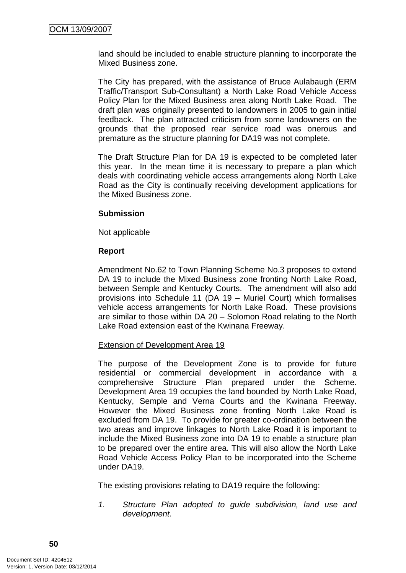land should be included to enable structure planning to incorporate the Mixed Business zone.

The City has prepared, with the assistance of Bruce Aulabaugh (ERM Traffic/Transport Sub-Consultant) a North Lake Road Vehicle Access Policy Plan for the Mixed Business area along North Lake Road. The draft plan was originally presented to landowners in 2005 to gain initial feedback. The plan attracted criticism from some landowners on the grounds that the proposed rear service road was onerous and premature as the structure planning for DA19 was not complete.

The Draft Structure Plan for DA 19 is expected to be completed later this year. In the mean time it is necessary to prepare a plan which deals with coordinating vehicle access arrangements along North Lake Road as the City is continually receiving development applications for the Mixed Business zone.

### **Submission**

Not applicable

### **Report**

Amendment No.62 to Town Planning Scheme No.3 proposes to extend DA 19 to include the Mixed Business zone fronting North Lake Road, between Semple and Kentucky Courts. The amendment will also add provisions into Schedule 11 (DA 19 – Muriel Court) which formalises vehicle access arrangements for North Lake Road. These provisions are similar to those within DA 20 – Solomon Road relating to the North Lake Road extension east of the Kwinana Freeway.

### Extension of Development Area 19

The purpose of the Development Zone is to provide for future residential or commercial development in accordance with a comprehensive Structure Plan prepared under the Scheme. Development Area 19 occupies the land bounded by North Lake Road, Kentucky, Semple and Verna Courts and the Kwinana Freeway. However the Mixed Business zone fronting North Lake Road is excluded from DA 19. To provide for greater co-ordination between the two areas and improve linkages to North Lake Road it is important to include the Mixed Business zone into DA 19 to enable a structure plan to be prepared over the entire area. This will also allow the North Lake Road Vehicle Access Policy Plan to be incorporated into the Scheme under DA19.

The existing provisions relating to DA19 require the following:

*1. Structure Plan adopted to guide subdivision, land use and development.*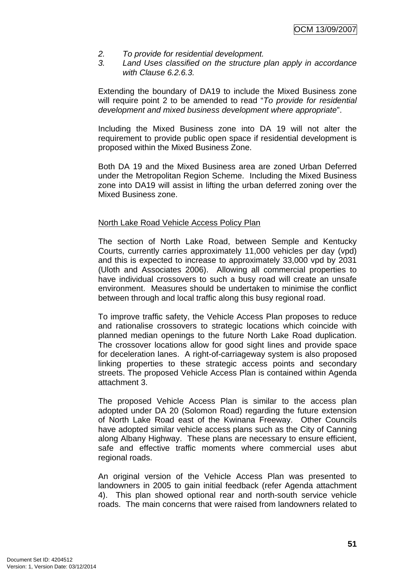- *2. To provide for residential development.*
- *3. Land Uses classified on the structure plan apply in accordance with Clause 6.2.6.3.*

Extending the boundary of DA19 to include the Mixed Business zone will require point 2 to be amended to read "*To provide for residential development and mixed business development where appropriate*".

Including the Mixed Business zone into DA 19 will not alter the requirement to provide public open space if residential development is proposed within the Mixed Business Zone.

Both DA 19 and the Mixed Business area are zoned Urban Deferred under the Metropolitan Region Scheme. Including the Mixed Business zone into DA19 will assist in lifting the urban deferred zoning over the Mixed Business zone.

#### North Lake Road Vehicle Access Policy Plan

The section of North Lake Road, between Semple and Kentucky Courts, currently carries approximately 11,000 vehicles per day (vpd) and this is expected to increase to approximately 33,000 vpd by 2031 (Uloth and Associates 2006). Allowing all commercial properties to have individual crossovers to such a busy road will create an unsafe environment. Measures should be undertaken to minimise the conflict between through and local traffic along this busy regional road.

To improve traffic safety, the Vehicle Access Plan proposes to reduce and rationalise crossovers to strategic locations which coincide with planned median openings to the future North Lake Road duplication. The crossover locations allow for good sight lines and provide space for deceleration lanes. A right-of-carriageway system is also proposed linking properties to these strategic access points and secondary streets. The proposed Vehicle Access Plan is contained within Agenda attachment 3.

The proposed Vehicle Access Plan is similar to the access plan adopted under DA 20 (Solomon Road) regarding the future extension of North Lake Road east of the Kwinana Freeway. Other Councils have adopted similar vehicle access plans such as the City of Canning along Albany Highway. These plans are necessary to ensure efficient, safe and effective traffic moments where commercial uses abut regional roads.

An original version of the Vehicle Access Plan was presented to landowners in 2005 to gain initial feedback (refer Agenda attachment 4). This plan showed optional rear and north-south service vehicle roads. The main concerns that were raised from landowners related to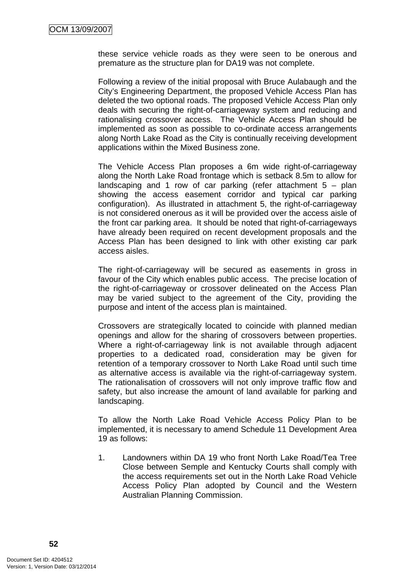these service vehicle roads as they were seen to be onerous and premature as the structure plan for DA19 was not complete.

Following a review of the initial proposal with Bruce Aulabaugh and the City's Engineering Department, the proposed Vehicle Access Plan has deleted the two optional roads. The proposed Vehicle Access Plan only deals with securing the right-of-carriageway system and reducing and rationalising crossover access. The Vehicle Access Plan should be implemented as soon as possible to co-ordinate access arrangements along North Lake Road as the City is continually receiving development applications within the Mixed Business zone.

The Vehicle Access Plan proposes a 6m wide right-of-carriageway along the North Lake Road frontage which is setback 8.5m to allow for landscaping and 1 row of car parking (refer attachment  $5 -$  plan showing the access easement corridor and typical car parking configuration). As illustrated in attachment 5, the right-of-carriageway is not considered onerous as it will be provided over the access aisle of the front car parking area. It should be noted that right-of-carriageways have already been required on recent development proposals and the Access Plan has been designed to link with other existing car park access aisles.

The right-of-carriageway will be secured as easements in gross in favour of the City which enables public access. The precise location of the right-of-carriageway or crossover delineated on the Access Plan may be varied subject to the agreement of the City, providing the purpose and intent of the access plan is maintained.

Crossovers are strategically located to coincide with planned median openings and allow for the sharing of crossovers between properties. Where a right-of-carriageway link is not available through adjacent properties to a dedicated road, consideration may be given for retention of a temporary crossover to North Lake Road until such time as alternative access is available via the right-of-carriageway system. The rationalisation of crossovers will not only improve traffic flow and safety, but also increase the amount of land available for parking and landscaping.

To allow the North Lake Road Vehicle Access Policy Plan to be implemented, it is necessary to amend Schedule 11 Development Area 19 as follows:

1. Landowners within DA 19 who front North Lake Road/Tea Tree Close between Semple and Kentucky Courts shall comply with the access requirements set out in the North Lake Road Vehicle Access Policy Plan adopted by Council and the Western Australian Planning Commission.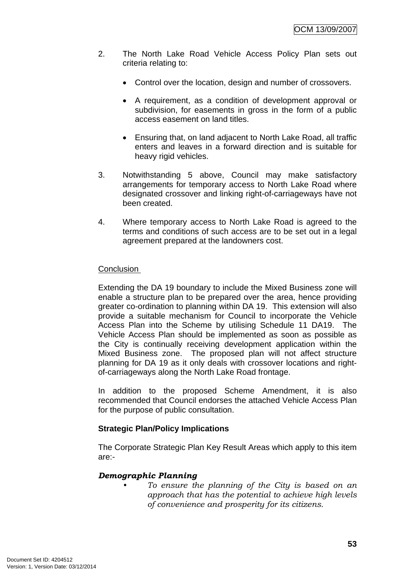- 2. The North Lake Road Vehicle Access Policy Plan sets out criteria relating to:
	- Control over the location, design and number of crossovers.
	- A requirement, as a condition of development approval or subdivision, for easements in gross in the form of a public access easement on land titles.
	- Ensuring that, on land adjacent to North Lake Road, all traffic enters and leaves in a forward direction and is suitable for heavy rigid vehicles.
- 3. Notwithstanding 5 above, Council may make satisfactory arrangements for temporary access to North Lake Road where designated crossover and linking right-of-carriageways have not been created.
- 4. Where temporary access to North Lake Road is agreed to the terms and conditions of such access are to be set out in a legal agreement prepared at the landowners cost.

### **Conclusion**

Extending the DA 19 boundary to include the Mixed Business zone will enable a structure plan to be prepared over the area, hence providing greater co-ordination to planning within DA 19. This extension will also provide a suitable mechanism for Council to incorporate the Vehicle Access Plan into the Scheme by utilising Schedule 11 DA19. The Vehicle Access Plan should be implemented as soon as possible as the City is continually receiving development application within the Mixed Business zone. The proposed plan will not affect structure planning for DA 19 as it only deals with crossover locations and rightof-carriageways along the North Lake Road frontage.

In addition to the proposed Scheme Amendment, it is also recommended that Council endorses the attached Vehicle Access Plan for the purpose of public consultation.

### **Strategic Plan/Policy Implications**

The Corporate Strategic Plan Key Result Areas which apply to this item are:-

### *Demographic Planning*

*• To ensure the planning of the City is based on an approach that has the potential to achieve high levels of convenience and prosperity for its citizens.*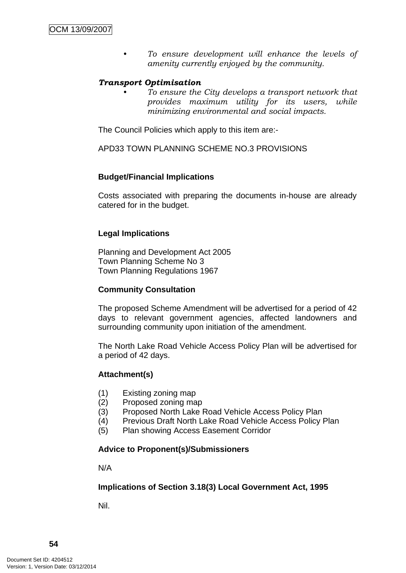*• To ensure development will enhance the levels of amenity currently enjoyed by the community.*

### *Transport Optimisation*

*• To ensure the City develops a transport network that provides maximum utility for its users, while minimizing environmental and social impacts.* 

The Council Policies which apply to this item are:-

APD33 TOWN PLANNING SCHEME NO.3 PROVISIONS

### **Budget/Financial Implications**

Costs associated with preparing the documents in-house are already catered for in the budget.

### **Legal Implications**

Planning and Development Act 2005 Town Planning Scheme No 3 Town Planning Regulations 1967

### **Community Consultation**

The proposed Scheme Amendment will be advertised for a period of 42 days to relevant government agencies, affected landowners and surrounding community upon initiation of the amendment.

The North Lake Road Vehicle Access Policy Plan will be advertised for a period of 42 days.

### **Attachment(s)**

- (1) Existing zoning map
- (2) Proposed zoning map
- (3) Proposed North Lake Road Vehicle Access Policy Plan
- (4) Previous Draft North Lake Road Vehicle Access Policy Plan
- (5) Plan showing Access Easement Corridor

### **Advice to Proponent(s)/Submissioners**

N/A

### **Implications of Section 3.18(3) Local Government Act, 1995**

Nil.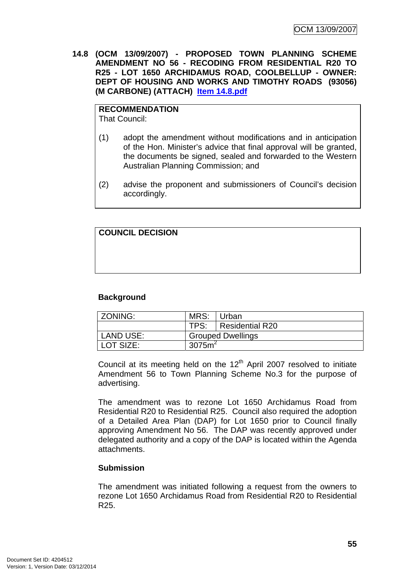**14.8 (OCM 13/09/2007) - PROPOSED TOWN PLANNING SCHEME AMENDMENT NO 56 - RECODING FROM RESIDENTIAL R20 TO R25 - LOT 1650 ARCHIDAMUS ROAD, COOLBELLUP - OWNER: DEPT OF HOUSING AND WORKS AND TIMOTHY ROADS (93056) (M CARBONE) (ATTACH) Item 14.8.pdf**

**RECOMMENDATION** That Council:

- (1) adopt the amendment without modifications and in anticipation of the Hon. Minister's advice that final approval will be granted, the documents be signed, sealed and forwarded to the Western Australian Planning Commission; and
- (2) advise the proponent and submissioners of Council's decision accordingly.

| <b>COUNCIL DECISION</b> |  |  |
|-------------------------|--|--|
|                         |  |  |
|                         |  |  |
|                         |  |  |
|                         |  |  |
|                         |  |  |

### **Background**

| ZONING:          | MRS:                     | l Urban                |
|------------------|--------------------------|------------------------|
|                  |                          | TPS:   Residential R20 |
| <b>LAND USE:</b> | <b>Grouped Dwellings</b> |                        |
| LOT SIZE:        | 3075m <sup>2</sup>       |                        |

Council at its meeting held on the  $12<sup>th</sup>$  April 2007 resolved to initiate Amendment 56 to Town Planning Scheme No.3 for the purpose of advertising.

The amendment was to rezone Lot 1650 Archidamus Road from Residential R20 to Residential R25. Council also required the adoption of a Detailed Area Plan (DAP) for Lot 1650 prior to Council finally approving Amendment No 56. The DAP was recently approved under delegated authority and a copy of the DAP is located within the Agenda attachments.

### **Submission**

The amendment was initiated following a request from the owners to rezone Lot 1650 Archidamus Road from Residential R20 to Residential R25.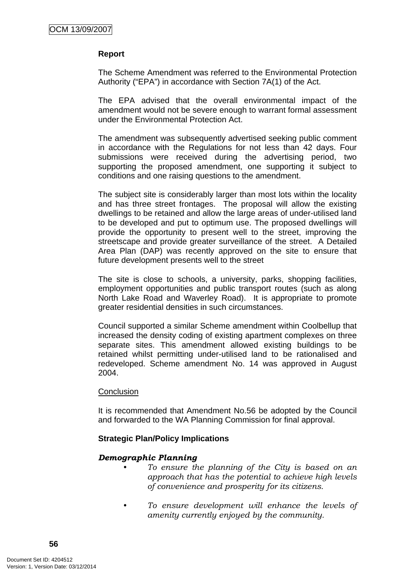### **Report**

The Scheme Amendment was referred to the Environmental Protection Authority ("EPA") in accordance with Section 7A(1) of the Act.

The EPA advised that the overall environmental impact of the amendment would not be severe enough to warrant formal assessment under the Environmental Protection Act.

The amendment was subsequently advertised seeking public comment in accordance with the Regulations for not less than 42 days. Four submissions were received during the advertising period, two supporting the proposed amendment, one supporting it subject to conditions and one raising questions to the amendment.

The subject site is considerably larger than most lots within the locality and has three street frontages. The proposal will allow the existing dwellings to be retained and allow the large areas of under-utilised land to be developed and put to optimum use. The proposed dwellings will provide the opportunity to present well to the street, improving the streetscape and provide greater surveillance of the street. A Detailed Area Plan (DAP) was recently approved on the site to ensure that future development presents well to the street

The site is close to schools, a university, parks, shopping facilities, employment opportunities and public transport routes (such as along North Lake Road and Waverley Road). It is appropriate to promote greater residential densities in such circumstances.

Council supported a similar Scheme amendment within Coolbellup that increased the density coding of existing apartment complexes on three separate sites. This amendment allowed existing buildings to be retained whilst permitting under-utilised land to be rationalised and redeveloped. Scheme amendment No. 14 was approved in August 2004.

### **Conclusion**

It is recommended that Amendment No.56 be adopted by the Council and forwarded to the WA Planning Commission for final approval.

### **Strategic Plan/Policy Implications**

### *Demographic Planning*

- *To ensure the planning of the City is based on an approach that has the potential to achieve high levels of convenience and prosperity for its citizens.*
- *To ensure development will enhance the levels of amenity currently enjoyed by the community.*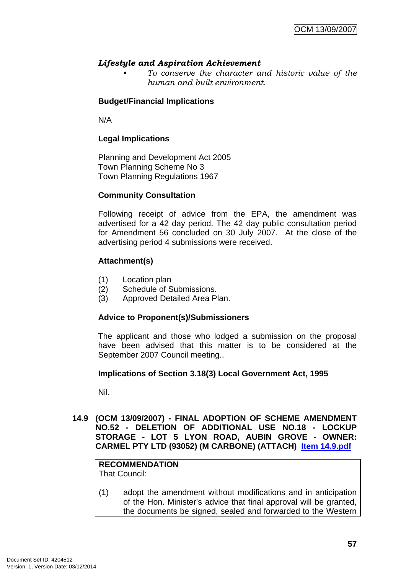### *Lifestyle and Aspiration Achievement*

*• To conserve the character and historic value of the human and built environment.* 

### **Budget/Financial Implications**

N/A

### **Legal Implications**

Planning and Development Act 2005 Town Planning Scheme No 3 Town Planning Regulations 1967

### **Community Consultation**

Following receipt of advice from the EPA, the amendment was advertised for a 42 day period. The 42 day public consultation period for Amendment 56 concluded on 30 July 2007. At the close of the advertising period 4 submissions were received.

### **Attachment(s)**

- (1) Location plan
- (2) Schedule of Submissions.
- (3) Approved Detailed Area Plan.

### **Advice to Proponent(s)/Submissioners**

The applicant and those who lodged a submission on the proposal have been advised that this matter is to be considered at the September 2007 Council meeting..

### **Implications of Section 3.18(3) Local Government Act, 1995**

Nil.

**14.9 (OCM 13/09/2007) - FINAL ADOPTION OF SCHEME AMENDMENT NO.52 - DELETION OF ADDITIONAL USE NO.18 - LOCKUP STORAGE - LOT 5 LYON ROAD, AUBIN GROVE - OWNER: CARMEL PTY LTD (93052) (M CARBONE) (ATTACH) Item 14.9.pdf**

## **RECOMMENDATION**

That Council:

(1) adopt the amendment without modifications and in anticipation of the Hon. Minister's advice that final approval will be granted, the documents be signed, sealed and forwarded to the Western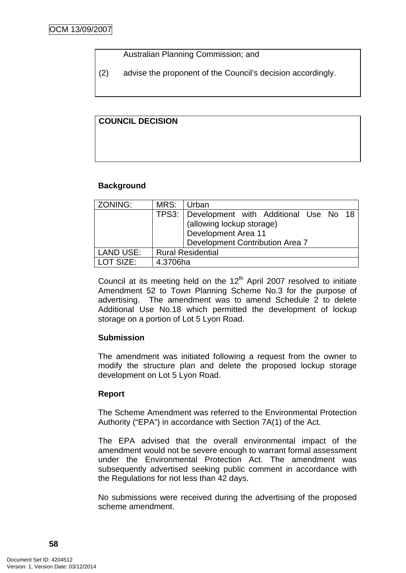### Australian Planning Commission; and

(2) advise the proponent of the Council's decision accordingly.

### **COUNCIL DECISION**

### **Background**

| ZONING:          | MRS:                     | Urban                                                                                                                              |  |
|------------------|--------------------------|------------------------------------------------------------------------------------------------------------------------------------|--|
|                  |                          | TPS3: Development with Additional Use No 18<br>(allowing lockup storage)<br>Development Area 11<br>Development Contribution Area 7 |  |
| <b>LAND USE:</b> | <b>Rural Residential</b> |                                                                                                                                    |  |
| LOT SIZE:        | 4.3706ha                 |                                                                                                                                    |  |

Council at its meeting held on the  $12<sup>th</sup>$  April 2007 resolved to initiate Amendment 52 to Town Planning Scheme No.3 for the purpose of advertising. The amendment was to amend Schedule 2 to delete Additional Use No.18 which permitted the development of lockup storage on a portion of Lot 5 Lyon Road.

### **Submission**

The amendment was initiated following a request from the owner to modify the structure plan and delete the proposed lockup storage development on Lot 5 Lyon Road.

### **Report**

The Scheme Amendment was referred to the Environmental Protection Authority ("EPA") in accordance with Section 7A(1) of the Act.

The EPA advised that the overall environmental impact of the amendment would not be severe enough to warrant formal assessment under the Environmental Protection Act. The amendment was subsequently advertised seeking public comment in accordance with the Regulations for not less than 42 days.

No submissions were received during the advertising of the proposed scheme amendment.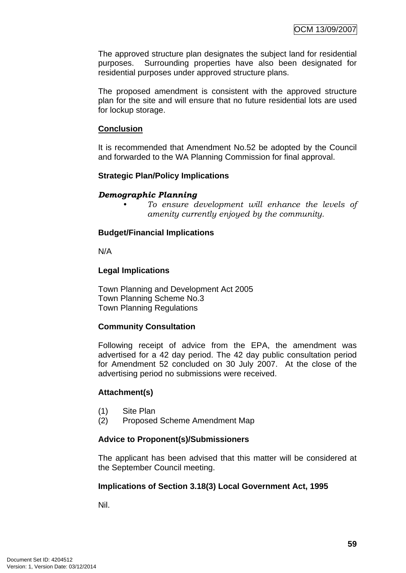The approved structure plan designates the subject land for residential purposes. Surrounding properties have also been designated for residential purposes under approved structure plans.

The proposed amendment is consistent with the approved structure plan for the site and will ensure that no future residential lots are used for lockup storage.

### **Conclusion**

It is recommended that Amendment No.52 be adopted by the Council and forwarded to the WA Planning Commission for final approval.

### **Strategic Plan/Policy Implications**

#### *Demographic Planning*

*• To ensure development will enhance the levels of amenity currently enjoyed by the community.*

#### **Budget/Financial Implications**

N/A

#### **Legal Implications**

Town Planning and Development Act 2005 Town Planning Scheme No.3 Town Planning Regulations

### **Community Consultation**

Following receipt of advice from the EPA, the amendment was advertised for a 42 day period. The 42 day public consultation period for Amendment 52 concluded on 30 July 2007. At the close of the advertising period no submissions were received.

### **Attachment(s)**

- (1) Site Plan
- (2) Proposed Scheme Amendment Map

### **Advice to Proponent(s)/Submissioners**

The applicant has been advised that this matter will be considered at the September Council meeting.

### **Implications of Section 3.18(3) Local Government Act, 1995**

Nil.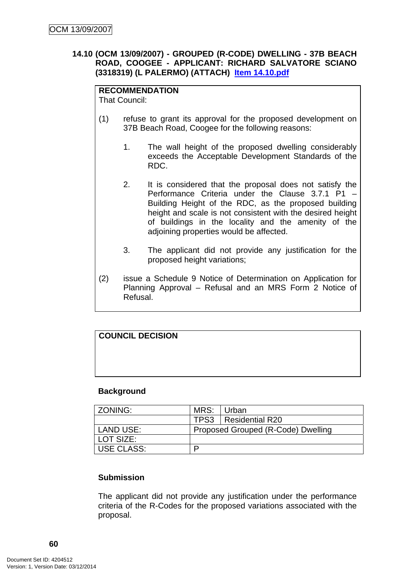### **14.10 (OCM 13/09/2007) - GROUPED (R-CODE) DWELLING - 37B BEACH ROAD, COOGEE - APPLICANT: RICHARD SALVATORE SCIANO (3318319) (L PALERMO) (ATTACH) Item 14.10.pdf**

## **RECOMMENDATION**

That Council:

- (1) refuse to grant its approval for the proposed development on 37B Beach Road, Coogee for the following reasons:
	- 1. The wall height of the proposed dwelling considerably exceeds the Acceptable Development Standards of the RDC.
	- 2. It is considered that the proposal does not satisfy the Performance Criteria under the Clause 3.7.1 P1 – Building Height of the RDC, as the proposed building height and scale is not consistent with the desired height of buildings in the locality and the amenity of the adjoining properties would be affected.
	- 3. The applicant did not provide any justification for the proposed height variations;
- (2) issue a Schedule 9 Notice of Determination on Application for Planning Approval – Refusal and an MRS Form 2 Notice of Refusal.

# **COUNCIL DECISION**

### **Background**

| l ZONING:    | MRS: Urban                         |                        |
|--------------|------------------------------------|------------------------|
|              |                                    | TPS3   Residential R20 |
| l LAND USE:  | Proposed Grouped (R-Code) Dwelling |                        |
| LOT SIZE:    |                                    |                        |
| l USE CLASS: | D                                  |                        |

### **Submission**

The applicant did not provide any justification under the performance criteria of the R-Codes for the proposed variations associated with the proposal.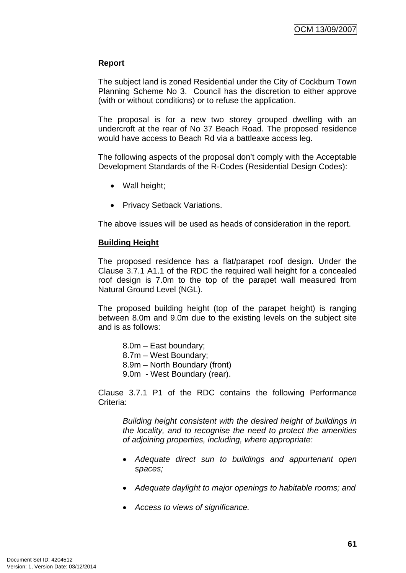### **Report**

The subject land is zoned Residential under the City of Cockburn Town Planning Scheme No 3. Council has the discretion to either approve (with or without conditions) or to refuse the application.

The proposal is for a new two storey grouped dwelling with an undercroft at the rear of No 37 Beach Road. The proposed residence would have access to Beach Rd via a battleaxe access leg.

The following aspects of the proposal don't comply with the Acceptable Development Standards of the R-Codes (Residential Design Codes):

- Wall height;
- Privacy Setback Variations.

The above issues will be used as heads of consideration in the report.

### **Building Height**

The proposed residence has a flat/parapet roof design. Under the Clause 3.7.1 A1.1 of the RDC the required wall height for a concealed roof design is 7.0m to the top of the parapet wall measured from Natural Ground Level (NGL).

The proposed building height (top of the parapet height) is ranging between 8.0m and 9.0m due to the existing levels on the subject site and is as follows:

 8.0m – East boundary; 8.7m – West Boundary; 8.9m – North Boundary (front) 9.0m - West Boundary (rear).

Clause 3.7.1 P1 of the RDC contains the following Performance Criteria:

 *Building height consistent with the desired height of buildings in the locality, and to recognise the need to protect the amenities of adjoining properties, including, where appropriate:* 

- *Adequate direct sun to buildings and appurtenant open spaces;*
- *Adequate daylight to major openings to habitable rooms; and*
- *Access to views of significance.*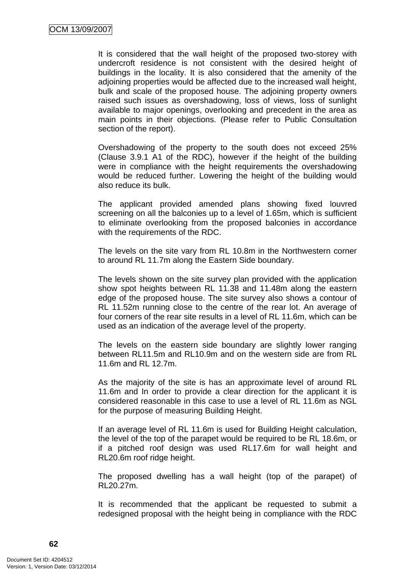It is considered that the wall height of the proposed two-storey with undercroft residence is not consistent with the desired height of buildings in the locality. It is also considered that the amenity of the adjoining properties would be affected due to the increased wall height, bulk and scale of the proposed house. The adjoining property owners raised such issues as overshadowing, loss of views, loss of sunlight available to major openings, overlooking and precedent in the area as main points in their objections. (Please refer to Public Consultation section of the report).

Overshadowing of the property to the south does not exceed 25% (Clause 3.9.1 A1 of the RDC), however if the height of the building were in compliance with the height requirements the overshadowing would be reduced further. Lowering the height of the building would also reduce its bulk.

The applicant provided amended plans showing fixed louvred screening on all the balconies up to a level of 1.65m, which is sufficient to eliminate overlooking from the proposed balconies in accordance with the requirements of the RDC.

The levels on the site vary from RL 10.8m in the Northwestern corner to around RL 11.7m along the Eastern Side boundary.

The levels shown on the site survey plan provided with the application show spot heights between RL 11.38 and 11.48m along the eastern edge of the proposed house. The site survey also shows a contour of RL 11.52m running close to the centre of the rear lot. An average of four corners of the rear site results in a level of RL 11.6m, which can be used as an indication of the average level of the property.

The levels on the eastern side boundary are slightly lower ranging between RL11.5m and RL10.9m and on the western side are from RL 11.6m and RL 12.7m.

As the majority of the site is has an approximate level of around RL 11.6m and In order to provide a clear direction for the applicant it is considered reasonable in this case to use a level of RL 11.6m as NGL for the purpose of measuring Building Height.

If an average level of RL 11.6m is used for Building Height calculation, the level of the top of the parapet would be required to be RL 18.6m, or if a pitched roof design was used RL17.6m for wall height and RL20.6m roof ridge height.

The proposed dwelling has a wall height (top of the parapet) of RL20.27m.

It is recommended that the applicant be requested to submit a redesigned proposal with the height being in compliance with the RDC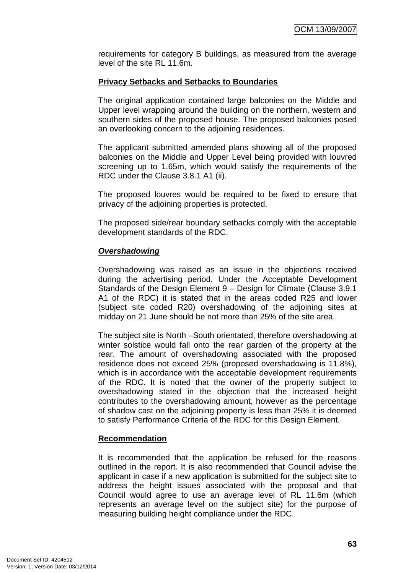requirements for category B buildings, as measured from the average level of the site RL 11.6m.

### **Privacy Setbacks and Setbacks to Boundaries**

The original application contained large balconies on the Middle and Upper level wrapping around the building on the northern, western and southern sides of the proposed house. The proposed balconies posed an overlooking concern to the adjoining residences.

The applicant submitted amended plans showing all of the proposed balconies on the Middle and Upper Level being provided with louvred screening up to 1.65m, which would satisfy the requirements of the RDC under the Clause 3.8.1 A1 (ii).

The proposed louvres would be required to be fixed to ensure that privacy of the adjoining properties is protected.

The proposed side/rear boundary setbacks comply with the acceptable development standards of the RDC.

### *Overshadowing*

Overshadowing was raised as an issue in the objections received during the advertising period. Under the Acceptable Development Standards of the Design Element 9 – Design for Climate (Clause 3.9.1 A1 of the RDC) it is stated that in the areas coded R25 and lower (subject site coded R20) overshadowing of the adjoining sites at midday on 21 June should be not more than 25% of the site area.

The subject site is North –South orientated, therefore overshadowing at winter solstice would fall onto the rear garden of the property at the rear. The amount of overshadowing associated with the proposed residence does not exceed 25% (proposed overshadowing is 11.8%), which is in accordance with the acceptable development requirements of the RDC. It is noted that the owner of the property subject to overshadowing stated in the objection that the increased height contributes to the overshadowing amount, however as the percentage of shadow cast on the adjoining property is less than 25% it is deemed to satisfy Performance Criteria of the RDC for this Design Element.

### **Recommendation**

It is recommended that the application be refused for the reasons outlined in the report. It is also recommended that Council advise the applicant in case if a new application is submitted for the subject site to address the height issues associated with the proposal and that Council would agree to use an average level of RL 11.6m (which represents an average level on the subject site) for the purpose of measuring building height compliance under the RDC.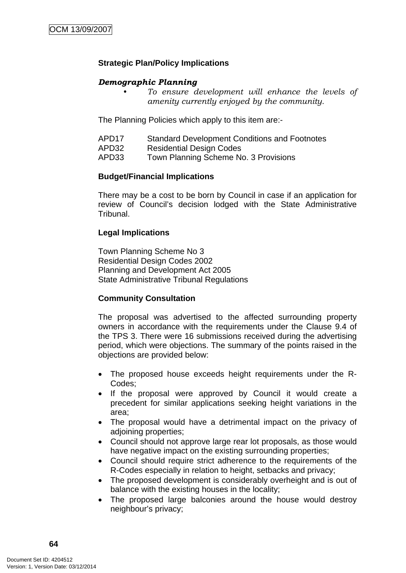### **Strategic Plan/Policy Implications**

### *Demographic Planning*

*• To ensure development will enhance the levels of amenity currently enjoyed by the community.*

The Planning Policies which apply to this item are:-

- APD17 Standard Development Conditions and Footnotes
- APD32 Residential Design Codes
- APD33 Town Planning Scheme No. 3 Provisions

### **Budget/Financial Implications**

There may be a cost to be born by Council in case if an application for review of Council's decision lodged with the State Administrative Tribunal.

### **Legal Implications**

Town Planning Scheme No 3 Residential Design Codes 2002 Planning and Development Act 2005 State Administrative Tribunal Regulations

### **Community Consultation**

The proposal was advertised to the affected surrounding property owners in accordance with the requirements under the Clause 9.4 of the TPS 3. There were 16 submissions received during the advertising period, which were objections. The summary of the points raised in the objections are provided below:

- The proposed house exceeds height requirements under the R-Codes;
- If the proposal were approved by Council it would create a precedent for similar applications seeking height variations in the area;
- The proposal would have a detrimental impact on the privacy of adjoining properties;
- Council should not approve large rear lot proposals, as those would have negative impact on the existing surrounding properties;
- Council should require strict adherence to the requirements of the R-Codes especially in relation to height, setbacks and privacy;
- The proposed development is considerably overheight and is out of balance with the existing houses in the locality;
- The proposed large balconies around the house would destroy neighbour's privacy;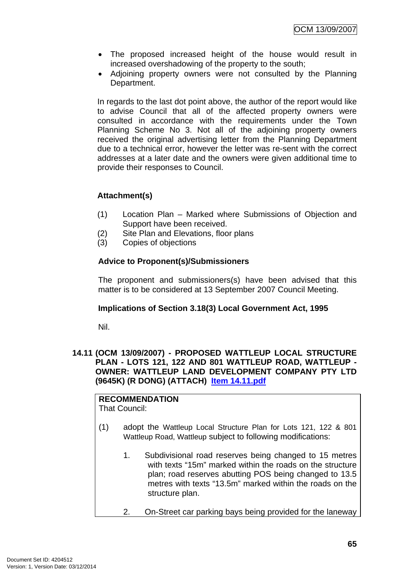- The proposed increased height of the house would result in increased overshadowing of the property to the south;
- Adjoining property owners were not consulted by the Planning Department.

In regards to the last dot point above, the author of the report would like to advise Council that all of the affected property owners were consulted in accordance with the requirements under the Town Planning Scheme No 3. Not all of the adjoining property owners received the original advertising letter from the Planning Department due to a technical error, however the letter was re-sent with the correct addresses at a later date and the owners were given additional time to provide their responses to Council.

## **Attachment(s)**

- (1) Location Plan Marked where Submissions of Objection and Support have been received.
- (2) Site Plan and Elevations, floor plans
- (3) Copies of objections

### **Advice to Proponent(s)/Submissioners**

The proponent and submissioners(s) have been advised that this matter is to be considered at 13 September 2007 Council Meeting.

### **Implications of Section 3.18(3) Local Government Act, 1995**

Nil.

### **14.11 (OCM 13/09/2007) - PROPOSED WATTLEUP LOCAL STRUCTURE PLAN - LOTS 121, 122 AND 801 WATTLEUP ROAD, WATTLEUP - OWNER: WATTLEUP LAND DEVELOPMENT COMPANY PTY LTD (9645K) (R DONG) (ATTACH) Item 14.11.pdf**

#### **RECOMMENDATION** That Council:

- (1) adopt the Wattleup Local Structure Plan for Lots 121, 122 & 801 Wattleup Road, Wattleup subject to following modifications:
	- 1. Subdivisional road reserves being changed to 15 metres with texts "15m" marked within the roads on the structure plan; road reserves abutting POS being changed to 13.5 metres with texts "13.5m" marked within the roads on the structure plan.
	- 2. On-Street car parking bays being provided for the laneway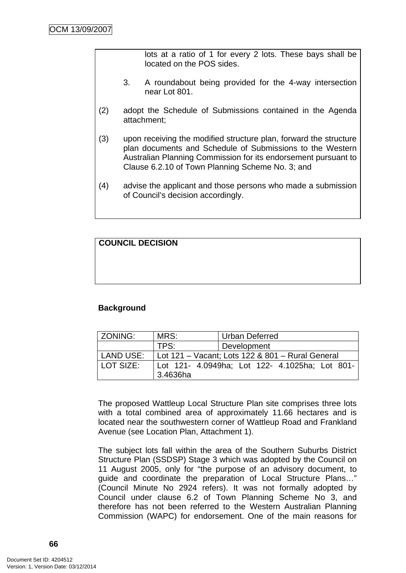lots at a ratio of 1 for every 2 lots. These bays shall be located on the POS sides.

- 3. A roundabout being provided for the 4-way intersection near Lot 801.
- (2) adopt the Schedule of Submissions contained in the Agenda attachment;
- (3) upon receiving the modified structure plan, forward the structure plan documents and Schedule of Submissions to the Western Australian Planning Commission for its endorsement pursuant to Clause 6.2.10 of Town Planning Scheme No. 3; and
- (4) advise the applicant and those persons who made a submission of Council's decision accordingly.

**COUNCIL DECISION**

### **Background**

| ZONING:   | MRS:                                             | <b>Urban Deferred</b>                          |  |  |
|-----------|--------------------------------------------------|------------------------------------------------|--|--|
|           | TPS:                                             | Development                                    |  |  |
| LAND USE: | Lot 121 – Vacant; Lots 122 & 801 – Rural General |                                                |  |  |
| LOT SIZE: |                                                  | Lot 121- 4.0949ha; Lot 122- 4.1025ha; Lot 801- |  |  |
|           | 3.4636ha                                         |                                                |  |  |

The proposed Wattleup Local Structure Plan site comprises three lots with a total combined area of approximately 11.66 hectares and is located near the southwestern corner of Wattleup Road and Frankland Avenue (see Location Plan, Attachment 1).

The subject lots fall within the area of the Southern Suburbs District Structure Plan (SSDSP) Stage 3 which was adopted by the Council on 11 August 2005, only for "the purpose of an advisory document, to guide and coordinate the preparation of Local Structure Plans…" (Council Minute No 2924 refers). It was not formally adopted by Council under clause 6.2 of Town Planning Scheme No 3, and therefore has not been referred to the Western Australian Planning Commission (WAPC) for endorsement. One of the main reasons for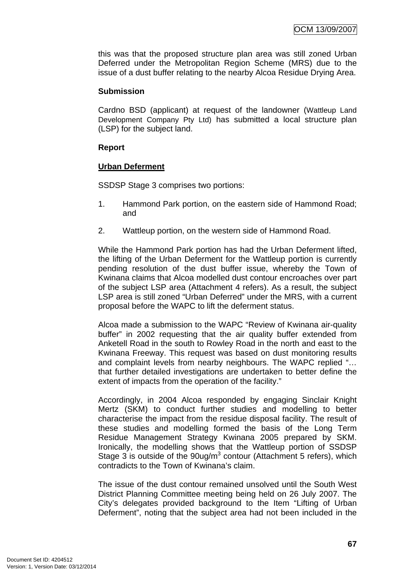this was that the proposed structure plan area was still zoned Urban Deferred under the Metropolitan Region Scheme (MRS) due to the issue of a dust buffer relating to the nearby Alcoa Residue Drying Area.

### **Submission**

Cardno BSD (applicant) at request of the landowner (Wattleup Land Development Company Pty Ltd) has submitted a local structure plan (LSP) for the subject land.

### **Report**

### **Urban Deferment**

SSDSP Stage 3 comprises two portions:

- 1. Hammond Park portion, on the eastern side of Hammond Road; and
- 2. Wattleup portion, on the western side of Hammond Road.

While the Hammond Park portion has had the Urban Deferment lifted, the lifting of the Urban Deferment for the Wattleup portion is currently pending resolution of the dust buffer issue, whereby the Town of Kwinana claims that Alcoa modelled dust contour encroaches over part of the subject LSP area (Attachment 4 refers). As a result, the subject LSP area is still zoned "Urban Deferred" under the MRS, with a current proposal before the WAPC to lift the deferment status.

Alcoa made a submission to the WAPC "Review of Kwinana air-quality buffer" in 2002 requesting that the air quality buffer extended from Anketell Road in the south to Rowley Road in the north and east to the Kwinana Freeway. This request was based on dust monitoring results and complaint levels from nearby neighbours. The WAPC replied "… that further detailed investigations are undertaken to better define the extent of impacts from the operation of the facility."

Accordingly, in 2004 Alcoa responded by engaging Sinclair Knight Mertz (SKM) to conduct further studies and modelling to better characterise the impact from the residue disposal facility. The result of these studies and modelling formed the basis of the Long Term Residue Management Strategy Kwinana 2005 prepared by SKM. Ironically, the modelling shows that the Wattleup portion of SSDSP Stage  $3$  is outside of the  $90$ ug/m<sup>3</sup> contour (Attachment 5 refers), which contradicts to the Town of Kwinana's claim.

The issue of the dust contour remained unsolved until the South West District Planning Committee meeting being held on 26 July 2007. The City's delegates provided background to the Item "Lifting of Urban Deferment", noting that the subject area had not been included in the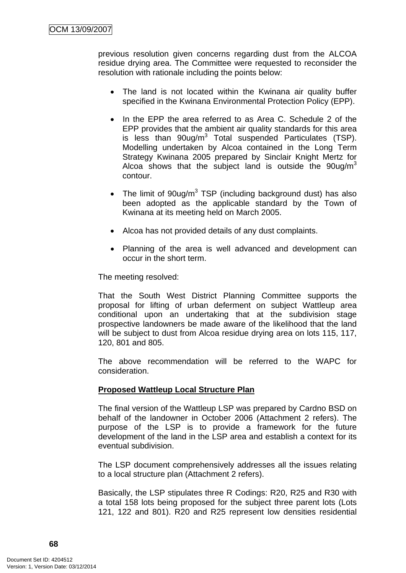previous resolution given concerns regarding dust from the ALCOA residue drying area. The Committee were requested to reconsider the resolution with rationale including the points below:

- The land is not located within the Kwinana air quality buffer specified in the Kwinana Environmental Protection Policy (EPP).
- In the EPP the area referred to as Area C. Schedule 2 of the EPP provides that the ambient air quality standards for this area is less than  $90$ ug/m<sup>3</sup> Total suspended Particulates (TSP). Modelling undertaken by Alcoa contained in the Long Term Strategy Kwinana 2005 prepared by Sinclair Knight Mertz for Alcoa shows that the subject land is outside the  $90uq/m<sup>3</sup>$ contour.
- The limit of  $90u$ g/m<sup>3</sup> TSP (including background dust) has also been adopted as the applicable standard by the Town of Kwinana at its meeting held on March 2005.
- Alcoa has not provided details of any dust complaints.
- Planning of the area is well advanced and development can occur in the short term.

The meeting resolved:

That the South West District Planning Committee supports the proposal for lifting of urban deferment on subject Wattleup area conditional upon an undertaking that at the subdivision stage prospective landowners be made aware of the likelihood that the land will be subject to dust from Alcoa residue drying area on lots 115, 117, 120, 801 and 805.

The above recommendation will be referred to the WAPC for consideration.

### **Proposed Wattleup Local Structure Plan**

The final version of the Wattleup LSP was prepared by Cardno BSD on behalf of the landowner in October 2006 (Attachment 2 refers). The purpose of the LSP is to provide a framework for the future development of the land in the LSP area and establish a context for its eventual subdivision.

The LSP document comprehensively addresses all the issues relating to a local structure plan (Attachment 2 refers).

Basically, the LSP stipulates three R Codings: R20, R25 and R30 with a total 158 lots being proposed for the subject three parent lots (Lots 121, 122 and 801). R20 and R25 represent low densities residential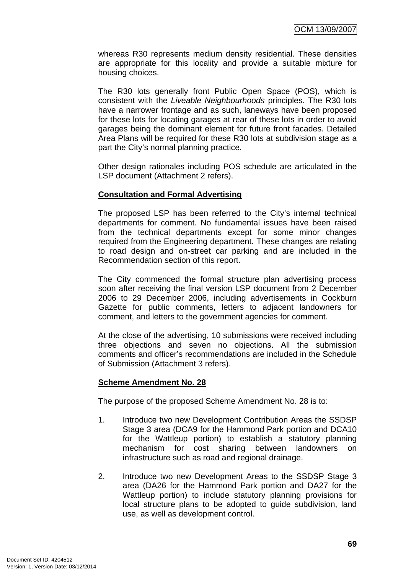whereas R30 represents medium density residential. These densities are appropriate for this locality and provide a suitable mixture for housing choices.

The R30 lots generally front Public Open Space (POS), which is consistent with the *Liveable Neighbourhoods* principles. The R30 lots have a narrower frontage and as such, laneways have been proposed for these lots for locating garages at rear of these lots in order to avoid garages being the dominant element for future front facades. Detailed Area Plans will be required for these R30 lots at subdivision stage as a part the City's normal planning practice.

Other design rationales including POS schedule are articulated in the LSP document (Attachment 2 refers).

#### **Consultation and Formal Advertising**

The proposed LSP has been referred to the City's internal technical departments for comment. No fundamental issues have been raised from the technical departments except for some minor changes required from the Engineering department. These changes are relating to road design and on-street car parking and are included in the Recommendation section of this report.

The City commenced the formal structure plan advertising process soon after receiving the final version LSP document from 2 December 2006 to 29 December 2006, including advertisements in Cockburn Gazette for public comments, letters to adjacent landowners for comment, and letters to the government agencies for comment.

At the close of the advertising, 10 submissions were received including three objections and seven no objections. All the submission comments and officer's recommendations are included in the Schedule of Submission (Attachment 3 refers).

#### **Scheme Amendment No. 28**

The purpose of the proposed Scheme Amendment No. 28 is to:

- 1. Introduce two new Development Contribution Areas the SSDSP Stage 3 area (DCA9 for the Hammond Park portion and DCA10 for the Wattleup portion) to establish a statutory planning mechanism for cost sharing between landowners on infrastructure such as road and regional drainage.
- 2. Introduce two new Development Areas to the SSDSP Stage 3 area (DA26 for the Hammond Park portion and DA27 for the Wattleup portion) to include statutory planning provisions for local structure plans to be adopted to guide subdivision, land use, as well as development control.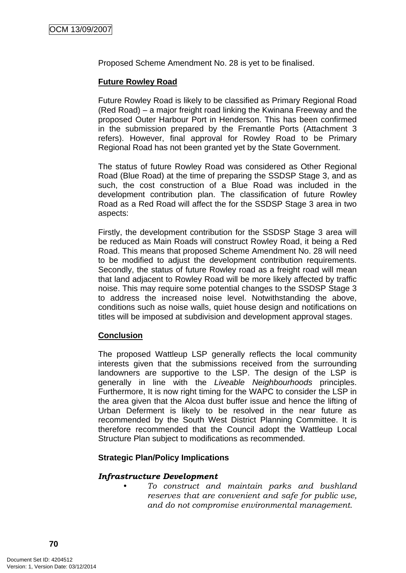Proposed Scheme Amendment No. 28 is yet to be finalised.

## **Future Rowley Road**

Future Rowley Road is likely to be classified as Primary Regional Road (Red Road) – a major freight road linking the Kwinana Freeway and the proposed Outer Harbour Port in Henderson. This has been confirmed in the submission prepared by the Fremantle Ports (Attachment 3 refers). However, final approval for Rowley Road to be Primary Regional Road has not been granted yet by the State Government.

The status of future Rowley Road was considered as Other Regional Road (Blue Road) at the time of preparing the SSDSP Stage 3, and as such, the cost construction of a Blue Road was included in the development contribution plan. The classification of future Rowley Road as a Red Road will affect the for the SSDSP Stage 3 area in two aspects:

Firstly, the development contribution for the SSDSP Stage 3 area will be reduced as Main Roads will construct Rowley Road, it being a Red Road. This means that proposed Scheme Amendment No. 28 will need to be modified to adjust the development contribution requirements. Secondly, the status of future Rowley road as a freight road will mean that land adjacent to Rowley Road will be more likely affected by traffic noise. This may require some potential changes to the SSDSP Stage 3 to address the increased noise level. Notwithstanding the above, conditions such as noise walls, quiet house design and notifications on titles will be imposed at subdivision and development approval stages.

#### **Conclusion**

The proposed Wattleup LSP generally reflects the local community interests given that the submissions received from the surrounding landowners are supportive to the LSP. The design of the LSP is generally in line with the *Liveable Neighbourhoods* principles. Furthermore, It is now right timing for the WAPC to consider the LSP in the area given that the Alcoa dust buffer issue and hence the lifting of Urban Deferment is likely to be resolved in the near future as recommended by the South West District Planning Committee. It is therefore recommended that the Council adopt the Wattleup Local Structure Plan subject to modifications as recommended.

#### **Strategic Plan/Policy Implications**

#### *Infrastructure Development*

*• To construct and maintain parks and bushland reserves that are convenient and safe for public use, and do not compromise environmental management.*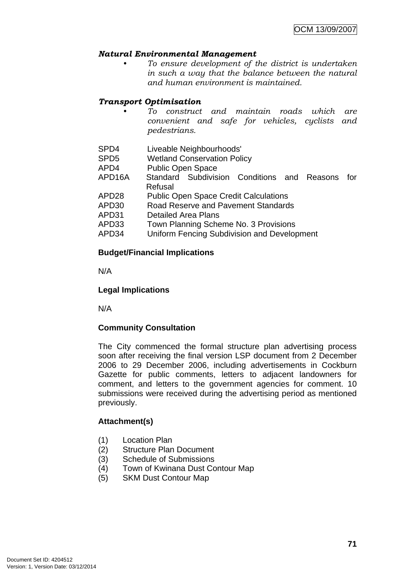#### *Natural Environmental Management*

*• To ensure development of the district is undertaken in such a way that the balance between the natural and human environment is maintained.* 

## *Transport Optimisation*

- *To construct and maintain roads which are convenient and safe for vehicles, cyclists and pedestrians.*
- SPD4 Liveable Neighbourhoods'
- SPD5 Wetland Conservation Policy
- APD4 Public Open Space
- APD16A Standard Subdivision Conditions and Reasons for Refusal
- APD28 Public Open Space Credit Calculations
- APD30 Road Reserve and Pavement Standards
- APD31 Detailed Area Plans
- APD33 Town Planning Scheme No. 3 Provisions
- APD34 Uniform Fencing Subdivision and Development

#### **Budget/Financial Implications**

N/A

#### **Legal Implications**

N/A

#### **Community Consultation**

The City commenced the formal structure plan advertising process soon after receiving the final version LSP document from 2 December 2006 to 29 December 2006, including advertisements in Cockburn Gazette for public comments, letters to adjacent landowners for comment, and letters to the government agencies for comment. 10 submissions were received during the advertising period as mentioned previously.

#### **Attachment(s)**

- (1) Location Plan
- (2) Structure Plan Document
- (3) Schedule of Submissions
- (4) Town of Kwinana Dust Contour Map
- (5) SKM Dust Contour Map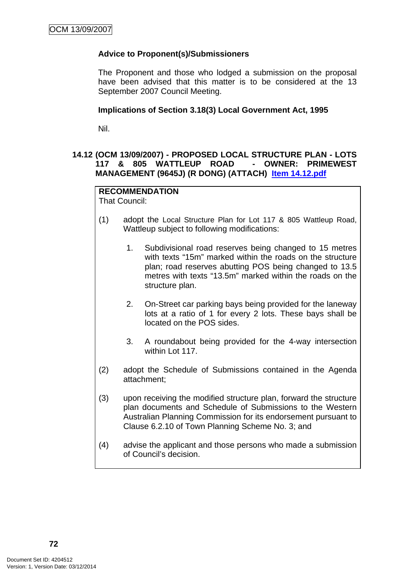## **Advice to Proponent(s)/Submissioners**

The Proponent and those who lodged a submission on the proposal have been advised that this matter is to be considered at the 13 September 2007 Council Meeting.

#### **Implications of Section 3.18(3) Local Government Act, 1995**

Nil.

#### **14.12 (OCM 13/09/2007) - PROPOSED LOCAL STRUCTURE PLAN - LOTS 117 & 805 WATTLEUP ROAD - OWNER: PRIMEWEST MANAGEMENT (9645J) (R DONG) (ATTACH) Item 14.12.pdf**

# **RECOMMENDATION**

That Council:

- (1) adopt the Local Structure Plan for Lot 117 & 805 Wattleup Road, Wattleup subject to following modifications:
	- 1. Subdivisional road reserves being changed to 15 metres with texts "15m" marked within the roads on the structure plan; road reserves abutting POS being changed to 13.5 metres with texts "13.5m" marked within the roads on the structure plan.
	- 2. On-Street car parking bays being provided for the laneway lots at a ratio of 1 for every 2 lots. These bays shall be located on the POS sides.
	- 3. A roundabout being provided for the 4-way intersection within Lot 117.
- (2) adopt the Schedule of Submissions contained in the Agenda attachment;
- (3) upon receiving the modified structure plan, forward the structure plan documents and Schedule of Submissions to the Western Australian Planning Commission for its endorsement pursuant to Clause 6.2.10 of Town Planning Scheme No. 3; and
- (4) advise the applicant and those persons who made a submission of Council's decision.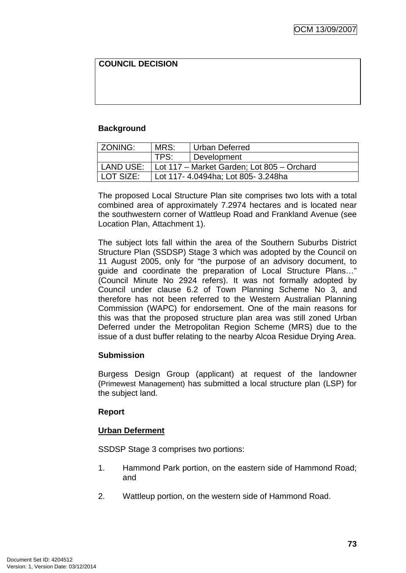# **COUNCIL DECISION**

## **Background**

| ZONING:   | MRS:                                       | <b>Urban Deferred</b> |  |
|-----------|--------------------------------------------|-----------------------|--|
|           | TPS <sup>.</sup>                           | Development           |  |
| LAND USE: | Lot 117 - Market Garden; Lot 805 - Orchard |                       |  |
| LOT SIZE: | Lot 117- 4.0494ha; Lot 805- 3.248ha        |                       |  |

The proposed Local Structure Plan site comprises two lots with a total combined area of approximately 7.2974 hectares and is located near the southwestern corner of Wattleup Road and Frankland Avenue (see Location Plan, Attachment 1).

The subject lots fall within the area of the Southern Suburbs District Structure Plan (SSDSP) Stage 3 which was adopted by the Council on 11 August 2005, only for "the purpose of an advisory document, to guide and coordinate the preparation of Local Structure Plans…" (Council Minute No 2924 refers). It was not formally adopted by Council under clause 6.2 of Town Planning Scheme No 3, and therefore has not been referred to the Western Australian Planning Commission (WAPC) for endorsement. One of the main reasons for this was that the proposed structure plan area was still zoned Urban Deferred under the Metropolitan Region Scheme (MRS) due to the issue of a dust buffer relating to the nearby Alcoa Residue Drying Area.

#### **Submission**

Burgess Design Group (applicant) at request of the landowner (Primewest Management) has submitted a local structure plan (LSP) for the subject land.

#### **Report**

#### **Urban Deferment**

SSDSP Stage 3 comprises two portions:

- 1. Hammond Park portion, on the eastern side of Hammond Road; and
- 2. Wattleup portion, on the western side of Hammond Road.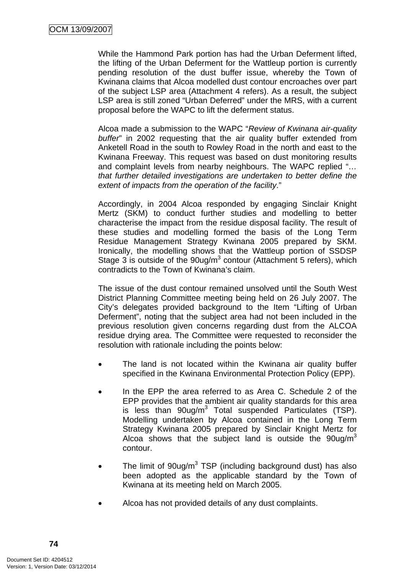While the Hammond Park portion has had the Urban Deferment lifted, the lifting of the Urban Deferment for the Wattleup portion is currently pending resolution of the dust buffer issue, whereby the Town of Kwinana claims that Alcoa modelled dust contour encroaches over part of the subject LSP area (Attachment 4 refers). As a result, the subject LSP area is still zoned "Urban Deferred" under the MRS, with a current proposal before the WAPC to lift the deferment status.

Alcoa made a submission to the WAPC "*Review of Kwinana air-quality buffer*" in 2002 requesting that the air quality buffer extended from Anketell Road in the south to Rowley Road in the north and east to the Kwinana Freeway. This request was based on dust monitoring results and complaint levels from nearby neighbours. The WAPC replied "*… that further detailed investigations are undertaken to better define the extent of impacts from the operation of the facility*."

Accordingly, in 2004 Alcoa responded by engaging Sinclair Knight Mertz (SKM) to conduct further studies and modelling to better characterise the impact from the residue disposal facility. The result of these studies and modelling formed the basis of the Long Term Residue Management Strategy Kwinana 2005 prepared by SKM. Ironically, the modelling shows that the Wattleup portion of SSDSP Stage  $3$  is outside of the  $90$ ug/m<sup>3</sup> contour (Attachment 5 refers), which contradicts to the Town of Kwinana's claim.

The issue of the dust contour remained unsolved until the South West District Planning Committee meeting being held on 26 July 2007. The City's delegates provided background to the Item "Lifting of Urban Deferment", noting that the subject area had not been included in the previous resolution given concerns regarding dust from the ALCOA residue drying area. The Committee were requested to reconsider the resolution with rationale including the points below:

- The land is not located within the Kwinana air quality buffer specified in the Kwinana Environmental Protection Policy (EPP).
- In the EPP the area referred to as Area C. Schedule 2 of the EPP provides that the ambient air quality standards for this area is less than  $90$ ug/m<sup>3</sup> Total suspended Particulates (TSP). Modelling undertaken by Alcoa contained in the Long Term Strategy Kwinana 2005 prepared by Sinclair Knight Mertz for Alcoa shows that the subject land is outside the  $90uq/m<sup>3</sup>$ contour.
- The limit of  $90u$ g/m<sup>3</sup> TSP (including background dust) has also been adopted as the applicable standard by the Town of Kwinana at its meeting held on March 2005.
- Alcoa has not provided details of any dust complaints.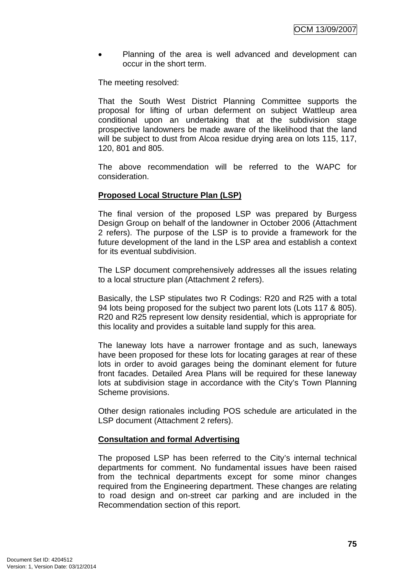• Planning of the area is well advanced and development can occur in the short term.

The meeting resolved:

That the South West District Planning Committee supports the proposal for lifting of urban deferment on subject Wattleup area conditional upon an undertaking that at the subdivision stage prospective landowners be made aware of the likelihood that the land will be subject to dust from Alcoa residue drying area on lots 115, 117, 120, 801 and 805.

The above recommendation will be referred to the WAPC for consideration.

# **Proposed Local Structure Plan (LSP)**

The final version of the proposed LSP was prepared by Burgess Design Group on behalf of the landowner in October 2006 (Attachment 2 refers). The purpose of the LSP is to provide a framework for the future development of the land in the LSP area and establish a context for its eventual subdivision.

The LSP document comprehensively addresses all the issues relating to a local structure plan (Attachment 2 refers).

Basically, the LSP stipulates two R Codings: R20 and R25 with a total 94 lots being proposed for the subject two parent lots (Lots 117 & 805). R20 and R25 represent low density residential, which is appropriate for this locality and provides a suitable land supply for this area.

The laneway lots have a narrower frontage and as such, laneways have been proposed for these lots for locating garages at rear of these lots in order to avoid garages being the dominant element for future front facades. Detailed Area Plans will be required for these laneway lots at subdivision stage in accordance with the City's Town Planning Scheme provisions.

Other design rationales including POS schedule are articulated in the LSP document (Attachment 2 refers).

#### **Consultation and formal Advertising**

The proposed LSP has been referred to the City's internal technical departments for comment. No fundamental issues have been raised from the technical departments except for some minor changes required from the Engineering department. These changes are relating to road design and on-street car parking and are included in the Recommendation section of this report.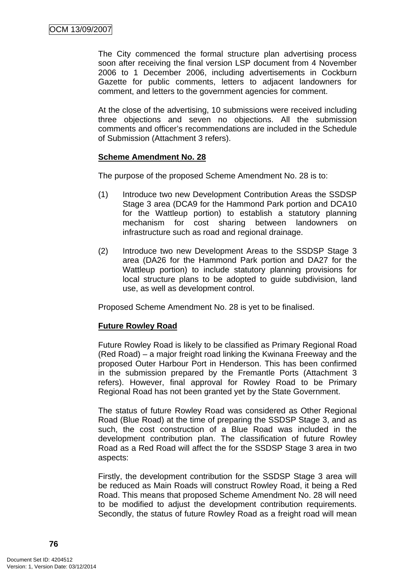The City commenced the formal structure plan advertising process soon after receiving the final version LSP document from 4 November 2006 to 1 December 2006, including advertisements in Cockburn Gazette for public comments, letters to adjacent landowners for comment, and letters to the government agencies for comment.

At the close of the advertising, 10 submissions were received including three objections and seven no objections. All the submission comments and officer's recommendations are included in the Schedule of Submission (Attachment 3 refers).

#### **Scheme Amendment No. 28**

The purpose of the proposed Scheme Amendment No. 28 is to:

- (1) Introduce two new Development Contribution Areas the SSDSP Stage 3 area (DCA9 for the Hammond Park portion and DCA10 for the Wattleup portion) to establish a statutory planning mechanism for cost sharing between landowners on infrastructure such as road and regional drainage.
- (2) Introduce two new Development Areas to the SSDSP Stage 3 area (DA26 for the Hammond Park portion and DA27 for the Wattleup portion) to include statutory planning provisions for local structure plans to be adopted to guide subdivision, land use, as well as development control.

Proposed Scheme Amendment No. 28 is yet to be finalised.

#### **Future Rowley Road**

Future Rowley Road is likely to be classified as Primary Regional Road (Red Road) – a major freight road linking the Kwinana Freeway and the proposed Outer Harbour Port in Henderson. This has been confirmed in the submission prepared by the Fremantle Ports (Attachment 3 refers). However, final approval for Rowley Road to be Primary Regional Road has not been granted yet by the State Government.

The status of future Rowley Road was considered as Other Regional Road (Blue Road) at the time of preparing the SSDSP Stage 3, and as such, the cost construction of a Blue Road was included in the development contribution plan. The classification of future Rowley Road as a Red Road will affect the for the SSDSP Stage 3 area in two aspects:

Firstly, the development contribution for the SSDSP Stage 3 area will be reduced as Main Roads will construct Rowley Road, it being a Red Road. This means that proposed Scheme Amendment No. 28 will need to be modified to adjust the development contribution requirements. Secondly, the status of future Rowley Road as a freight road will mean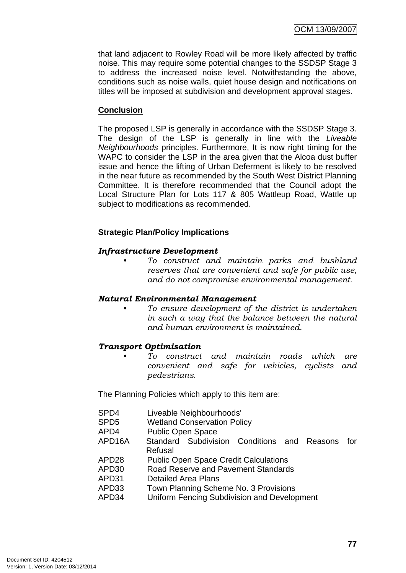that land adjacent to Rowley Road will be more likely affected by traffic noise. This may require some potential changes to the SSDSP Stage 3 to address the increased noise level. Notwithstanding the above, conditions such as noise walls, quiet house design and notifications on titles will be imposed at subdivision and development approval stages.

## **Conclusion**

The proposed LSP is generally in accordance with the SSDSP Stage 3. The design of the LSP is generally in line with the *Liveable Neighbourhoods* principles. Furthermore, It is now right timing for the WAPC to consider the LSP in the area given that the Alcoa dust buffer issue and hence the lifting of Urban Deferment is likely to be resolved in the near future as recommended by the South West District Planning Committee. It is therefore recommended that the Council adopt the Local Structure Plan for Lots 117 & 805 Wattleup Road, Wattle up subject to modifications as recommended.

## **Strategic Plan/Policy Implications**

#### *Infrastructure Development*

*• To construct and maintain parks and bushland reserves that are convenient and safe for public use, and do not compromise environmental management.* 

#### *Natural Environmental Management*

*• To ensure development of the district is undertaken in such a way that the balance between the natural and human environment is maintained.* 

#### *Transport Optimisation*

*• To construct and maintain roads which are convenient and safe for vehicles, cyclists and pedestrians.* 

The Planning Policies which apply to this item are:

| SPD4                |                          | Liveable Neighbourhoods'           |                                             |  |  |     |
|---------------------|--------------------------|------------------------------------|---------------------------------------------|--|--|-----|
| SPD <sub>5</sub>    |                          | <b>Wetland Conservation Policy</b> |                                             |  |  |     |
| APD4                | <b>Public Open Space</b> |                                    |                                             |  |  |     |
| APD <sub>16</sub> A | Refusal                  |                                    | Standard Subdivision Conditions and Reasons |  |  | for |
| ADDAQ               |                          |                                    | Duktin Omam Omana, Omailt Ontautstann       |  |  |     |

- APD28 Public Open Space Credit Calculations
- APD30 Road Reserve and Pavement Standards
- APD31 Detailed Area Plans
- APD33 Town Planning Scheme No. 3 Provisions
- APD34 Uniform Fencing Subdivision and Development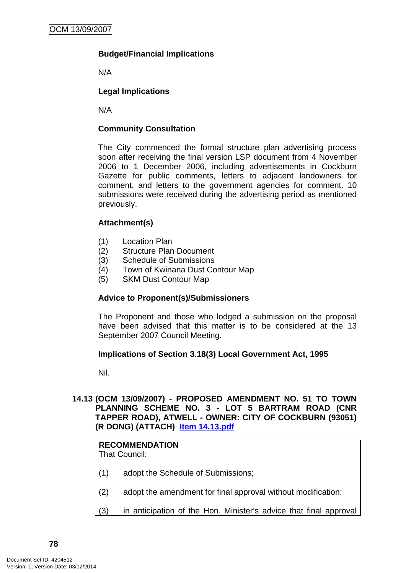# **Budget/Financial Implications**

N/A

# **Legal Implications**

N/A

## **Community Consultation**

The City commenced the formal structure plan advertising process soon after receiving the final version LSP document from 4 November 2006 to 1 December 2006, including advertisements in Cockburn Gazette for public comments, letters to adjacent landowners for comment, and letters to the government agencies for comment. 10 submissions were received during the advertising period as mentioned previously.

## **Attachment(s)**

- (1) Location Plan
- (2) Structure Plan Document
- (3) Schedule of Submissions
- (4) Town of Kwinana Dust Contour Map
- (5) SKM Dust Contour Map

#### **Advice to Proponent(s)/Submissioners**

The Proponent and those who lodged a submission on the proposal have been advised that this matter is to be considered at the 13 September 2007 Council Meeting.

# **Implications of Section 3.18(3) Local Government Act, 1995**

Nil.

## **14.13 (OCM 13/09/2007) - PROPOSED AMENDMENT NO. 51 TO TOWN PLANNING SCHEME NO. 3 - LOT 5 BARTRAM ROAD (CNR TAPPER ROAD), ATWELL - OWNER: CITY OF COCKBURN (93051) (R DONG) (ATTACH) Item 14.13.pdf**

# **RECOMMENDATION**

That Council:

- (1) adopt the Schedule of Submissions;
- (2) adopt the amendment for final approval without modification:
- (3) in anticipation of the Hon. Minister's advice that final approval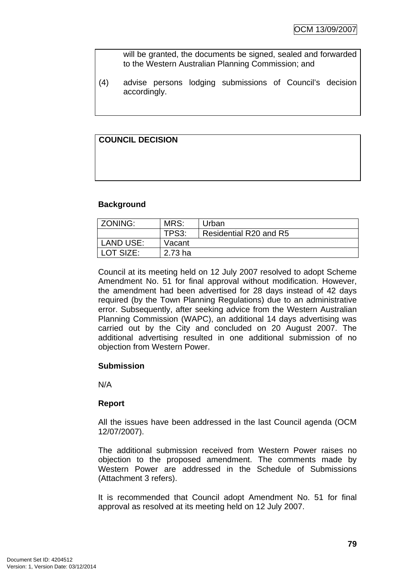will be granted, the documents be signed, sealed and forwarded to the Western Australian Planning Commission; and

(4) advise persons lodging submissions of Council's decision accordingly.

# **COUNCIL DECISION**

#### **Background**

| ZONING:          | MRS:      | Urban                  |
|------------------|-----------|------------------------|
|                  | TPS3:     | Residential R20 and R5 |
| <b>LAND USE:</b> | Vacant    |                        |
| LOT SIZE:        | $2.73$ ha |                        |

Council at its meeting held on 12 July 2007 resolved to adopt Scheme Amendment No. 51 for final approval without modification. However, the amendment had been advertised for 28 days instead of 42 days required (by the Town Planning Regulations) due to an administrative error. Subsequently, after seeking advice from the Western Australian Planning Commission (WAPC), an additional 14 days advertising was carried out by the City and concluded on 20 August 2007. The additional advertising resulted in one additional submission of no objection from Western Power.

#### **Submission**

N/A

#### **Report**

All the issues have been addressed in the last Council agenda (OCM 12/07/2007).

The additional submission received from Western Power raises no objection to the proposed amendment. The comments made by Western Power are addressed in the Schedule of Submissions (Attachment 3 refers).

It is recommended that Council adopt Amendment No. 51 for final approval as resolved at its meeting held on 12 July 2007.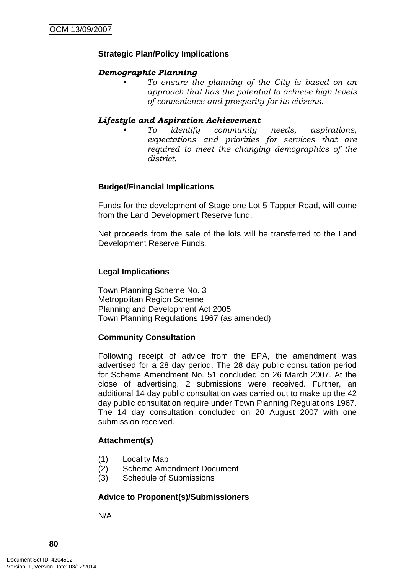## **Strategic Plan/Policy Implications**

#### *Demographic Planning*

*• To ensure the planning of the City is based on an approach that has the potential to achieve high levels of convenience and prosperity for its citizens.* 

#### *Lifestyle and Aspiration Achievement*

*• To identify community needs, aspirations, expectations and priorities for services that are required to meet the changing demographics of the district.* 

#### **Budget/Financial Implications**

Funds for the development of Stage one Lot 5 Tapper Road, will come from the Land Development Reserve fund.

Net proceeds from the sale of the lots will be transferred to the Land Development Reserve Funds.

## **Legal Implications**

Town Planning Scheme No. 3 Metropolitan Region Scheme Planning and Development Act 2005 Town Planning Regulations 1967 (as amended)

#### **Community Consultation**

Following receipt of advice from the EPA, the amendment was advertised for a 28 day period. The 28 day public consultation period for Scheme Amendment No. 51 concluded on 26 March 2007. At the close of advertising, 2 submissions were received. Further, an additional 14 day public consultation was carried out to make up the 42 day public consultation require under Town Planning Regulations 1967. The 14 day consultation concluded on 20 August 2007 with one submission received.

#### **Attachment(s)**

- (1) Locality Map
- (2) Scheme Amendment Document
- (3) Schedule of Submissions

# **Advice to Proponent(s)/Submissioners**

N/A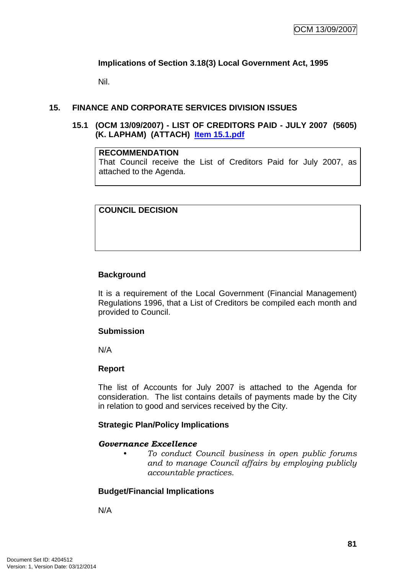## **Implications of Section 3.18(3) Local Government Act, 1995**

Nil.

## **15. FINANCE AND CORPORATE SERVICES DIVISION ISSUES**

**15.1 (OCM 13/09/2007) - LIST OF CREDITORS PAID - JULY 2007 (5605) (K. LAPHAM) (ATTACH) Item 15.1.pdf**

#### **RECOMMENDATION**

That Council receive the List of Creditors Paid for July 2007, as attached to the Agenda.

## **COUNCIL DECISION**

#### **Background**

It is a requirement of the Local Government (Financial Management) Regulations 1996, that a List of Creditors be compiled each month and provided to Council.

#### **Submission**

N/A

#### **Report**

The list of Accounts for July 2007 is attached to the Agenda for consideration. The list contains details of payments made by the City in relation to good and services received by the City.

#### **Strategic Plan/Policy Implications**

#### *Governance Excellence*

*• To conduct Council business in open public forums and to manage Council affairs by employing publicly accountable practices.* 

#### **Budget/Financial Implications**

N/A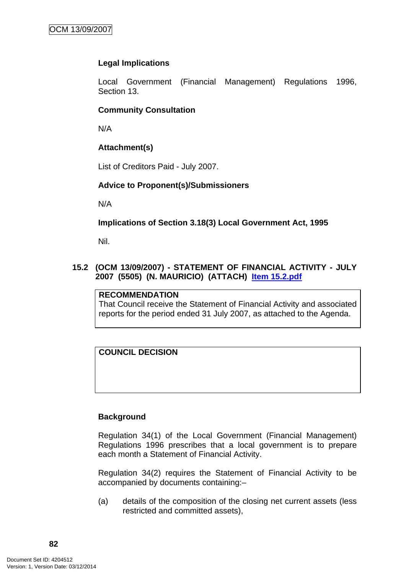## **Legal Implications**

Local Government (Financial Management) Regulations 1996, Section 13.

#### **Community Consultation**

N/A

## **Attachment(s)**

List of Creditors Paid - July 2007.

#### **Advice to Proponent(s)/Submissioners**

N/A

#### **Implications of Section 3.18(3) Local Government Act, 1995**

Nil.

## **15.2 (OCM 13/09/2007) - STATEMENT OF FINANCIAL ACTIVITY - JULY 2007 (5505) (N. MAURICIO) (ATTACH) Item 15.2.pdf**

#### **RECOMMENDATION**

That Council receive the Statement of Financial Activity and associated reports for the period ended 31 July 2007, as attached to the Agenda.

#### **COUNCIL DECISION**

#### **Background**

Regulation 34(1) of the Local Government (Financial Management) Regulations 1996 prescribes that a local government is to prepare each month a Statement of Financial Activity.

Regulation 34(2) requires the Statement of Financial Activity to be accompanied by documents containing:–

(a) details of the composition of the closing net current assets (less restricted and committed assets),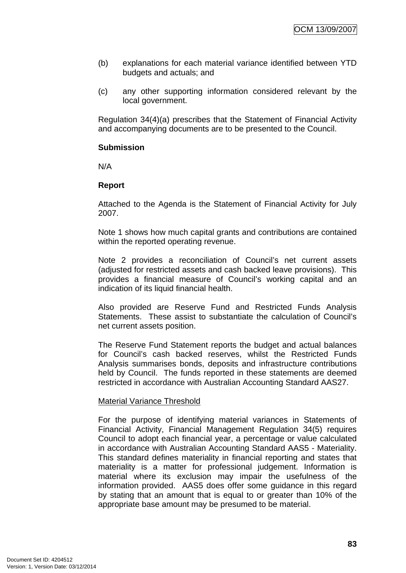- (b) explanations for each material variance identified between YTD budgets and actuals; and
- (c) any other supporting information considered relevant by the local government.

Regulation 34(4)(a) prescribes that the Statement of Financial Activity and accompanying documents are to be presented to the Council.

#### **Submission**

N/A

#### **Report**

Attached to the Agenda is the Statement of Financial Activity for July 2007.

Note 1 shows how much capital grants and contributions are contained within the reported operating revenue.

Note 2 provides a reconciliation of Council's net current assets (adjusted for restricted assets and cash backed leave provisions). This provides a financial measure of Council's working capital and an indication of its liquid financial health.

Also provided are Reserve Fund and Restricted Funds Analysis Statements. These assist to substantiate the calculation of Council's net current assets position.

The Reserve Fund Statement reports the budget and actual balances for Council's cash backed reserves, whilst the Restricted Funds Analysis summarises bonds, deposits and infrastructure contributions held by Council. The funds reported in these statements are deemed restricted in accordance with Australian Accounting Standard AAS27.

#### Material Variance Threshold

For the purpose of identifying material variances in Statements of Financial Activity, Financial Management Regulation 34(5) requires Council to adopt each financial year, a percentage or value calculated in accordance with Australian Accounting Standard AAS5 - Materiality. This standard defines materiality in financial reporting and states that materiality is a matter for professional judgement. Information is material where its exclusion may impair the usefulness of the information provided. AAS5 does offer some guidance in this regard by stating that an amount that is equal to or greater than 10% of the appropriate base amount may be presumed to be material.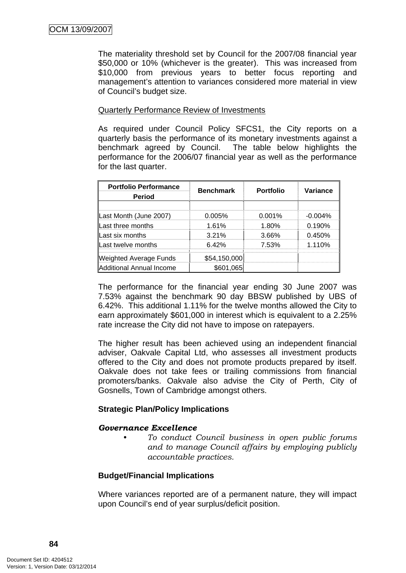The materiality threshold set by Council for the 2007/08 financial year \$50,000 or 10% (whichever is the greater). This was increased from \$10,000 from previous years to better focus reporting and management's attention to variances considered more material in view of Council's budget size.

#### Quarterly Performance Review of Investments

As required under Council Policy SFCS1, the City reports on a quarterly basis the performance of its monetary investments against a benchmark agreed by Council. The table below highlights the performance for the 2006/07 financial year as well as the performance for the last quarter.

| <b>Portfolio Performance</b><br><b>Period</b> | <b>Benchmark</b> | <b>Portfolio</b> | Variance  |
|-----------------------------------------------|------------------|------------------|-----------|
|                                               |                  |                  |           |
| Last Month (June 2007)                        | 0.005%           | 0.001%           | $-0.004%$ |
| Last three months                             | 1.61%            | 1.80%            | 0.190%    |
| Last six months                               | 3.21%            | 3.66%            | 0.450%    |
| Last twelve months                            | 6.42%            | 7.53%            | 1.110%    |
| <b>Weighted Average Funds</b>                 | \$54,150,000     |                  |           |
| <b>Additional Annual Income</b>               | \$601,065        |                  |           |

The performance for the financial year ending 30 June 2007 was 7.53% against the benchmark 90 day BBSW published by UBS of 6.42%. This additional 1.11% for the twelve months allowed the City to earn approximately \$601,000 in interest which is equivalent to a 2.25% rate increase the City did not have to impose on ratepayers.

The higher result has been achieved using an independent financial adviser, Oakvale Capital Ltd, who assesses all investment products offered to the City and does not promote products prepared by itself. Oakvale does not take fees or trailing commissions from financial promoters/banks. Oakvale also advise the City of Perth, City of Gosnells, Town of Cambridge amongst others.

# **Strategic Plan/Policy Implications**

#### *Governance Excellence*

*• To conduct Council business in open public forums and to manage Council affairs by employing publicly accountable practices.* 

#### **Budget/Financial Implications**

Where variances reported are of a permanent nature, they will impact upon Council's end of year surplus/deficit position.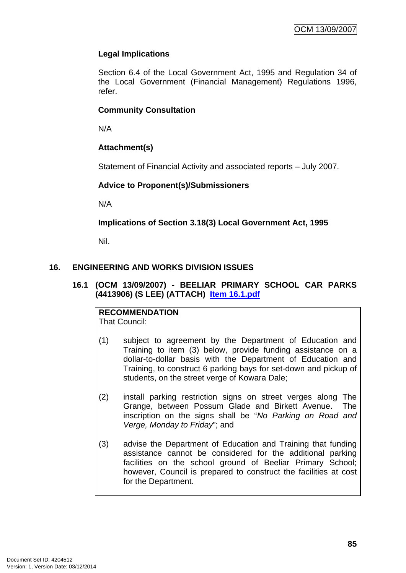# **Legal Implications**

Section 6.4 of the Local Government Act, 1995 and Regulation 34 of the Local Government (Financial Management) Regulations 1996, refer.

## **Community Consultation**

N/A

# **Attachment(s)**

Statement of Financial Activity and associated reports – July 2007.

## **Advice to Proponent(s)/Submissioners**

N/A

# **Implications of Section 3.18(3) Local Government Act, 1995**

Nil.

# **16. ENGINEERING AND WORKS DIVISION ISSUES**

## **16.1 (OCM 13/09/2007) - BEELIAR PRIMARY SCHOOL CAR PARKS (4413906) (S LEE) (ATTACH) Item 16.1.pdf**

**RECOMMENDATION** That Council:

- (1) subject to agreement by the Department of Education and Training to item (3) below, provide funding assistance on a dollar-to-dollar basis with the Department of Education and Training, to construct 6 parking bays for set-down and pickup of students, on the street verge of Kowara Dale;
- (2) install parking restriction signs on street verges along The Grange, between Possum Glade and Birkett Avenue. The inscription on the signs shall be "*No Parking on Road and Verge, Monday to Friday*"; and
- (3) advise the Department of Education and Training that funding assistance cannot be considered for the additional parking facilities on the school ground of Beeliar Primary School; however, Council is prepared to construct the facilities at cost for the Department.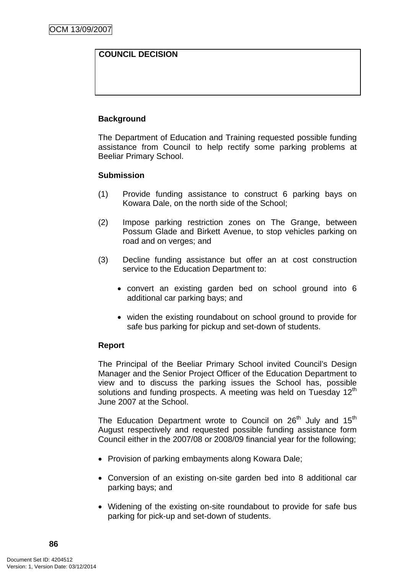## **COUNCIL DECISION**

## **Background**

The Department of Education and Training requested possible funding assistance from Council to help rectify some parking problems at Beeliar Primary School.

#### **Submission**

- (1) Provide funding assistance to construct 6 parking bays on Kowara Dale, on the north side of the School;
- (2) Impose parking restriction zones on The Grange, between Possum Glade and Birkett Avenue, to stop vehicles parking on road and on verges; and
- (3) Decline funding assistance but offer an at cost construction service to the Education Department to:
	- convert an existing garden bed on school ground into 6 additional car parking bays; and
	- widen the existing roundabout on school ground to provide for safe bus parking for pickup and set-down of students.

#### **Report**

 The Principal of the Beeliar Primary School invited Council's Design Manager and the Senior Project Officer of the Education Department to view and to discuss the parking issues the School has, possible solutions and funding prospects. A meeting was held on Tuesday 12<sup>th</sup> June 2007 at the School.

The Education Department wrote to Council on  $26<sup>th</sup>$  July and  $15<sup>th</sup>$ August respectively and requested possible funding assistance form Council either in the 2007/08 or 2008/09 financial year for the following;

- Provision of parking embayments along Kowara Dale;
- Conversion of an existing on-site garden bed into 8 additional car parking bays; and
- Widening of the existing on-site roundabout to provide for safe bus parking for pick-up and set-down of students.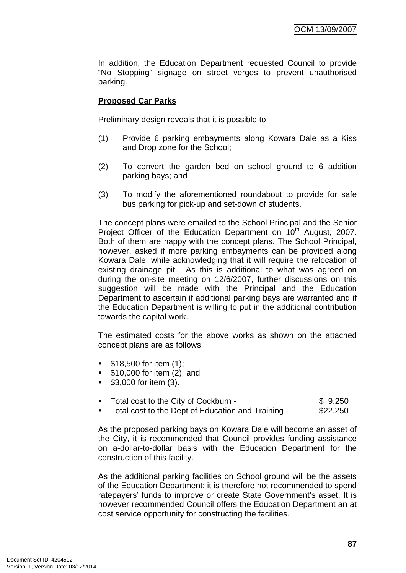In addition, the Education Department requested Council to provide "No Stopping" signage on street verges to prevent unauthorised parking.

## **Proposed Car Parks**

Preliminary design reveals that it is possible to:

- (1) Provide 6 parking embayments along Kowara Dale as a Kiss and Drop zone for the School;
- (2) To convert the garden bed on school ground to 6 addition parking bays; and
- (3) To modify the aforementioned roundabout to provide for safe bus parking for pick-up and set-down of students.

 The concept plans were emailed to the School Principal and the Senior Project Officer of the Education Department on 10<sup>th</sup> August, 2007. Both of them are happy with the concept plans. The School Principal, however, asked if more parking embayments can be provided along Kowara Dale, while acknowledging that it will require the relocation of existing drainage pit. As this is additional to what was agreed on during the on-site meeting on 12/6/2007, further discussions on this suggestion will be made with the Principal and the Education Department to ascertain if additional parking bays are warranted and if the Education Department is willing to put in the additional contribution towards the capital work.

 The estimated costs for the above works as shown on the attached concept plans are as follows:

- $\blacksquare$  \$18,500 for item (1);
- **\$10,000 for item (2); and**
- $\bullet$  \$3,000 for item (3).

| • Total cost to the City of Cockburn - | \$9,250 |
|----------------------------------------|---------|
|                                        |         |

• Total cost to the Dept of Education and Training \$22,250

 As the proposed parking bays on Kowara Dale will become an asset of the City, it is recommended that Council provides funding assistance on a-dollar-to-dollar basis with the Education Department for the construction of this facility.

 As the additional parking facilities on School ground will be the assets of the Education Department; it is therefore not recommended to spend ratepayers' funds to improve or create State Government's asset. It is however recommended Council offers the Education Department an at cost service opportunity for constructing the facilities.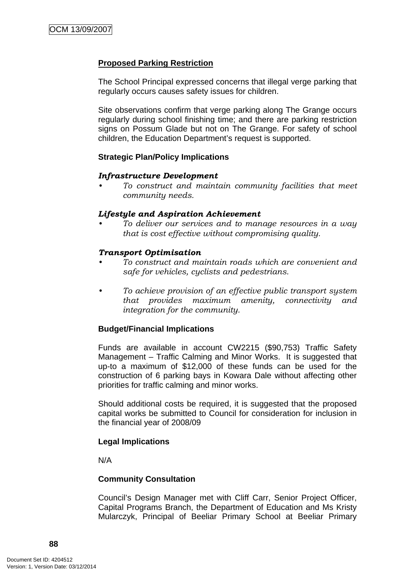#### **Proposed Parking Restriction**

 The School Principal expressed concerns that illegal verge parking that regularly occurs causes safety issues for children.

 Site observations confirm that verge parking along The Grange occurs regularly during school finishing time; and there are parking restriction signs on Possum Glade but not on The Grange. For safety of school children, the Education Department's request is supported.

#### **Strategic Plan/Policy Implications**

#### *Infrastructure Development*

*• To construct and maintain community facilities that meet community needs.* 

#### *Lifestyle and Aspiration Achievement*

*• To deliver our services and to manage resources in a way that is cost effective without compromising quality.* 

#### *Transport Optimisation*

- *To construct and maintain roads which are convenient and safe for vehicles, cyclists and pedestrians.*
- *To achieve provision of an effective public transport system that provides maximum amenity, connectivity and integration for the community.*

#### **Budget/Financial Implications**

Funds are available in account CW2215 (\$90,753) Traffic Safety Management – Traffic Calming and Minor Works. It is suggested that up-to a maximum of \$12,000 of these funds can be used for the construction of 6 parking bays in Kowara Dale without affecting other priorities for traffic calming and minor works.

Should additional costs be required, it is suggested that the proposed capital works be submitted to Council for consideration for inclusion in the financial year of 2008/09

#### **Legal Implications**

N/A

#### **Community Consultation**

Council's Design Manager met with Cliff Carr, Senior Project Officer, Capital Programs Branch, the Department of Education and Ms Kristy Mularczyk, Principal of Beeliar Primary School at Beeliar Primary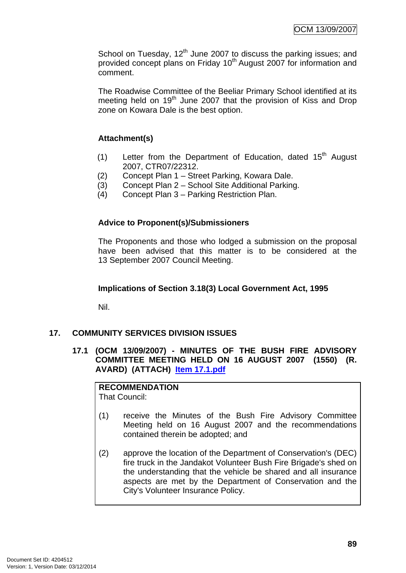School on Tuesday, 12<sup>th</sup> June 2007 to discuss the parking issues; and provided concept plans on Friday 10<sup>th</sup> August 2007 for information and comment.

The Roadwise Committee of the Beeliar Primary School identified at its meeting held on  $19<sup>th</sup>$  June 2007 that the provision of Kiss and Drop zone on Kowara Dale is the best option.

# **Attachment(s)**

- (1) Letter from the Department of Education, dated  $15<sup>th</sup>$  August 2007, CTR07/22312.
- (2) Concept Plan 1 Street Parking, Kowara Dale.
- (3) Concept Plan 2 School Site Additional Parking.
- (4) Concept Plan 3 Parking Restriction Plan.

## **Advice to Proponent(s)/Submissioners**

The Proponents and those who lodged a submission on the proposal have been advised that this matter is to be considered at the 13 September 2007 Council Meeting.

#### **Implications of Section 3.18(3) Local Government Act, 1995**

Nil.

# **17. COMMUNITY SERVICES DIVISION ISSUES**

**17.1 (OCM 13/09/2007) - MINUTES OF THE BUSH FIRE ADVISORY COMMITTEE MEETING HELD ON 16 AUGUST 2007 (1550) (R. AVARD) (ATTACH) Item 17.1.pdf**

# **RECOMMENDATION**

That Council:

- (1) receive the Minutes of the Bush Fire Advisory Committee Meeting held on 16 August 2007 and the recommendations contained therein be adopted; and
- (2) approve the location of the Department of Conservation's (DEC) fire truck in the Jandakot Volunteer Bush Fire Brigade's shed on the understanding that the vehicle be shared and all insurance aspects are met by the Department of Conservation and the City's Volunteer Insurance Policy.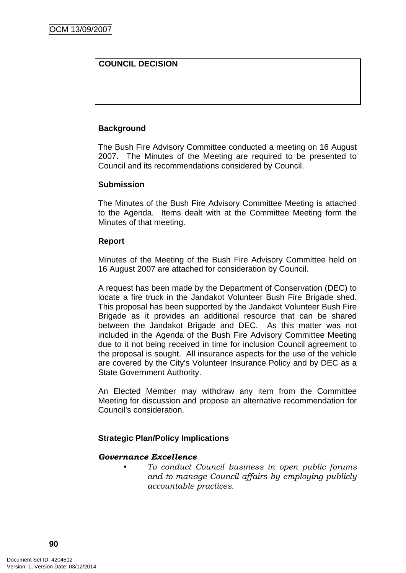# **COUNCIL DECISION**

## **Background**

The Bush Fire Advisory Committee conducted a meeting on 16 August 2007. The Minutes of the Meeting are required to be presented to Council and its recommendations considered by Council.

#### **Submission**

The Minutes of the Bush Fire Advisory Committee Meeting is attached to the Agenda. Items dealt with at the Committee Meeting form the Minutes of that meeting.

#### **Report**

Minutes of the Meeting of the Bush Fire Advisory Committee held on 16 August 2007 are attached for consideration by Council.

A request has been made by the Department of Conservation (DEC) to locate a fire truck in the Jandakot Volunteer Bush Fire Brigade shed. This proposal has been supported by the Jandakot Volunteer Bush Fire Brigade as it provides an additional resource that can be shared between the Jandakot Brigade and DEC. As this matter was not included in the Agenda of the Bush Fire Advisory Committee Meeting due to it not being received in time for inclusion Council agreement to the proposal is sought. All insurance aspects for the use of the vehicle are covered by the City's Volunteer Insurance Policy and by DEC as a State Government Authority.

An Elected Member may withdraw any item from the Committee Meeting for discussion and propose an alternative recommendation for Council's consideration.

#### **Strategic Plan/Policy Implications**

#### *Governance Excellence*

*• To conduct Council business in open public forums and to manage Council affairs by employing publicly accountable practices.*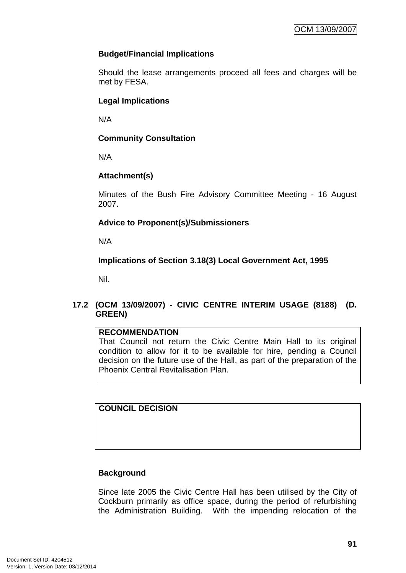# **Budget/Financial Implications**

Should the lease arrangements proceed all fees and charges will be met by FESA.

## **Legal Implications**

N/A

## **Community Consultation**

N/A

# **Attachment(s)**

Minutes of the Bush Fire Advisory Committee Meeting - 16 August 2007.

# **Advice to Proponent(s)/Submissioners**

N/A

# **Implications of Section 3.18(3) Local Government Act, 1995**

Nil.

# **17.2 (OCM 13/09/2007) - CIVIC CENTRE INTERIM USAGE (8188) (D. GREEN)**

#### **RECOMMENDATION**

That Council not return the Civic Centre Main Hall to its original condition to allow for it to be available for hire, pending a Council decision on the future use of the Hall, as part of the preparation of the Phoenix Central Revitalisation Plan.

**COUNCIL DECISION**

# **Background**

Since late 2005 the Civic Centre Hall has been utilised by the City of Cockburn primarily as office space, during the period of refurbishing the Administration Building. With the impending relocation of the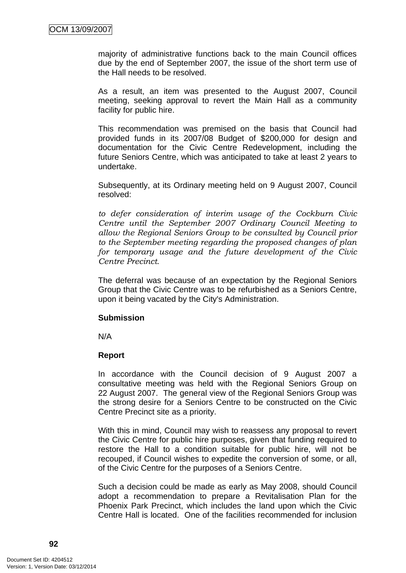majority of administrative functions back to the main Council offices due by the end of September 2007, the issue of the short term use of the Hall needs to be resolved.

As a result, an item was presented to the August 2007, Council meeting, seeking approval to revert the Main Hall as a community facility for public hire.

This recommendation was premised on the basis that Council had provided funds in its 2007/08 Budget of \$200,000 for design and documentation for the Civic Centre Redevelopment, including the future Seniors Centre, which was anticipated to take at least 2 years to undertake.

Subsequently, at its Ordinary meeting held on 9 August 2007, Council resolved:

*to defer consideration of interim usage of the Cockburn Civic Centre until the September 2007 Ordinary Council Meeting to allow the Regional Seniors Group to be consulted by Council prior to the September meeting regarding the proposed changes of plan for temporary usage and the future development of the Civic Centre Precinct.*

The deferral was because of an expectation by the Regional Seniors Group that the Civic Centre was to be refurbished as a Seniors Centre, upon it being vacated by the City's Administration.

#### **Submission**

N/A

#### **Report**

In accordance with the Council decision of 9 August 2007 a consultative meeting was held with the Regional Seniors Group on 22 August 2007. The general view of the Regional Seniors Group was the strong desire for a Seniors Centre to be constructed on the Civic Centre Precinct site as a priority.

With this in mind, Council may wish to reassess any proposal to revert the Civic Centre for public hire purposes, given that funding required to restore the Hall to a condition suitable for public hire, will not be recouped, if Council wishes to expedite the conversion of some, or all, of the Civic Centre for the purposes of a Seniors Centre.

Such a decision could be made as early as May 2008, should Council adopt a recommendation to prepare a Revitalisation Plan for the Phoenix Park Precinct, which includes the land upon which the Civic Centre Hall is located. One of the facilities recommended for inclusion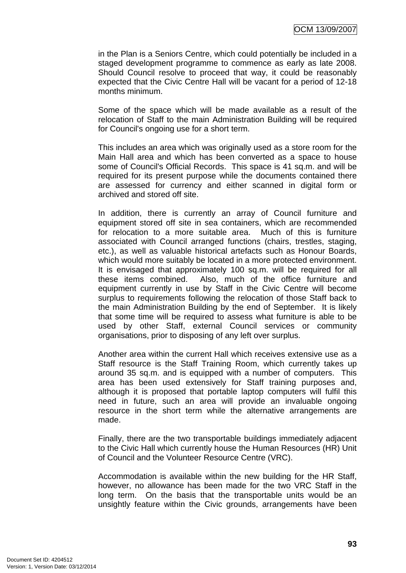in the Plan is a Seniors Centre, which could potentially be included in a staged development programme to commence as early as late 2008. Should Council resolve to proceed that way, it could be reasonably expected that the Civic Centre Hall will be vacant for a period of 12-18 months minimum.

Some of the space which will be made available as a result of the relocation of Staff to the main Administration Building will be required for Council's ongoing use for a short term.

This includes an area which was originally used as a store room for the Main Hall area and which has been converted as a space to house some of Council's Official Records. This space is 41 sq.m. and will be required for its present purpose while the documents contained there are assessed for currency and either scanned in digital form or archived and stored off site.

In addition, there is currently an array of Council furniture and equipment stored off site in sea containers, which are recommended for relocation to a more suitable area. Much of this is furniture associated with Council arranged functions (chairs, trestles, staging, etc.), as well as valuable historical artefacts such as Honour Boards, which would more suitably be located in a more protected environment. It is envisaged that approximately 100 sq.m. will be required for all these items combined. Also, much of the office furniture and equipment currently in use by Staff in the Civic Centre will become surplus to requirements following the relocation of those Staff back to the main Administration Building by the end of September. It is likely that some time will be required to assess what furniture is able to be used by other Staff, external Council services or community organisations, prior to disposing of any left over surplus.

Another area within the current Hall which receives extensive use as a Staff resource is the Staff Training Room, which currently takes up around 35 sq.m. and is equipped with a number of computers. This area has been used extensively for Staff training purposes and, although it is proposed that portable laptop computers will fulfil this need in future, such an area will provide an invaluable ongoing resource in the short term while the alternative arrangements are made.

Finally, there are the two transportable buildings immediately adjacent to the Civic Hall which currently house the Human Resources (HR) Unit of Council and the Volunteer Resource Centre (VRC).

Accommodation is available within the new building for the HR Staff, however, no allowance has been made for the two VRC Staff in the long term. On the basis that the transportable units would be an unsightly feature within the Civic grounds, arrangements have been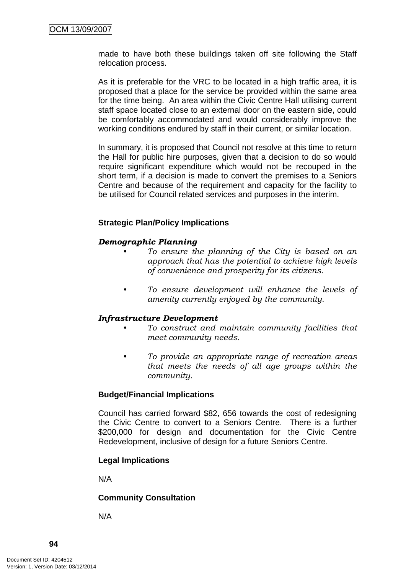made to have both these buildings taken off site following the Staff relocation process.

As it is preferable for the VRC to be located in a high traffic area, it is proposed that a place for the service be provided within the same area for the time being. An area within the Civic Centre Hall utilising current staff space located close to an external door on the eastern side, could be comfortably accommodated and would considerably improve the working conditions endured by staff in their current, or similar location.

In summary, it is proposed that Council not resolve at this time to return the Hall for public hire purposes, given that a decision to do so would require significant expenditure which would not be recouped in the short term, if a decision is made to convert the premises to a Seniors Centre and because of the requirement and capacity for the facility to be utilised for Council related services and purposes in the interim.

#### **Strategic Plan/Policy Implications**

## *Demographic Planning*

- *To ensure the planning of the City is based on an approach that has the potential to achieve high levels of convenience and prosperity for its citizens.*
- *To ensure development will enhance the levels of amenity currently enjoyed by the community.*

#### *Infrastructure Development*

- *To construct and maintain community facilities that meet community needs.*
- *To provide an appropriate range of recreation areas that meets the needs of all age groups within the community.*

#### **Budget/Financial Implications**

Council has carried forward \$82, 656 towards the cost of redesigning the Civic Centre to convert to a Seniors Centre. There is a further \$200,000 for design and documentation for the Civic Centre Redevelopment, inclusive of design for a future Seniors Centre.

#### **Legal Implications**

N/A

#### **Community Consultation**

N/A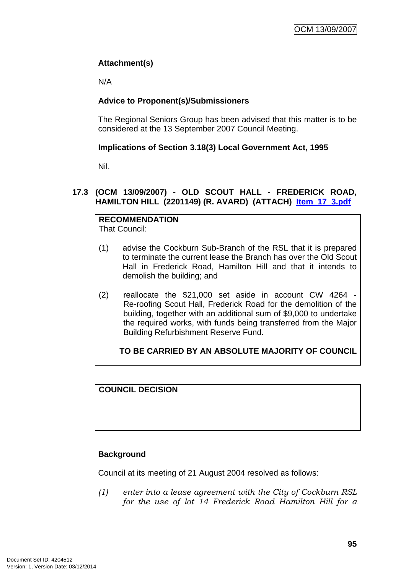# **Attachment(s)**

N/A

# **Advice to Proponent(s)/Submissioners**

The Regional Seniors Group has been advised that this matter is to be considered at the 13 September 2007 Council Meeting.

# **Implications of Section 3.18(3) Local Government Act, 1995**

Nil.

# **17.3 (OCM 13/09/2007) - OLD SCOUT HALL - FREDERICK ROAD, HAMILTON HILL (2201149) (R. AVARD) (ATTACH) Item\_17\_3.pdf**

# **RECOMMENDATION**

That Council:

- (1) advise the Cockburn Sub-Branch of the RSL that it is prepared to terminate the current lease the Branch has over the Old Scout Hall in Frederick Road, Hamilton Hill and that it intends to demolish the building; and
- (2) reallocate the \$21,000 set aside in account CW 4264 Re-roofing Scout Hall, Frederick Road for the demolition of the building, together with an additional sum of \$9,000 to undertake the required works, with funds being transferred from the Major Building Refurbishment Reserve Fund.

# **TO BE CARRIED BY AN ABSOLUTE MAJORITY OF COUNCIL**

# **COUNCIL DECISION**

# **Background**

Council at its meeting of 21 August 2004 resolved as follows:

*(1) enter into a lease agreement with the City of Cockburn RSL for the use of lot 14 Frederick Road Hamilton Hill for a*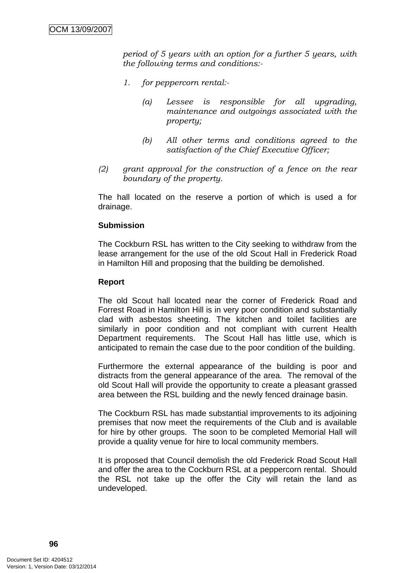*period of 5 years with an option for a further 5 years, with the following terms and conditions:-* 

- *1. for peppercorn rental:-* 
	- *(a) Lessee is responsible for all upgrading, maintenance and outgoings associated with the property;*
	- *(b) All other terms and conditions agreed to the satisfaction of the Chief Executive Officer;*
- *(2) grant approval for the construction of a fence on the rear boundary of the property.*

The hall located on the reserve a portion of which is used a for drainage.

#### **Submission**

The Cockburn RSL has written to the City seeking to withdraw from the lease arrangement for the use of the old Scout Hall in Frederick Road in Hamilton Hill and proposing that the building be demolished.

#### **Report**

The old Scout hall located near the corner of Frederick Road and Forrest Road in Hamilton Hill is in very poor condition and substantially clad with asbestos sheeting. The kitchen and toilet facilities are similarly in poor condition and not compliant with current Health Department requirements. The Scout Hall has little use, which is anticipated to remain the case due to the poor condition of the building.

Furthermore the external appearance of the building is poor and distracts from the general appearance of the area. The removal of the old Scout Hall will provide the opportunity to create a pleasant grassed area between the RSL building and the newly fenced drainage basin.

The Cockburn RSL has made substantial improvements to its adjoining premises that now meet the requirements of the Club and is available for hire by other groups. The soon to be completed Memorial Hall will provide a quality venue for hire to local community members.

It is proposed that Council demolish the old Frederick Road Scout Hall and offer the area to the Cockburn RSL at a peppercorn rental. Should the RSL not take up the offer the City will retain the land as undeveloped.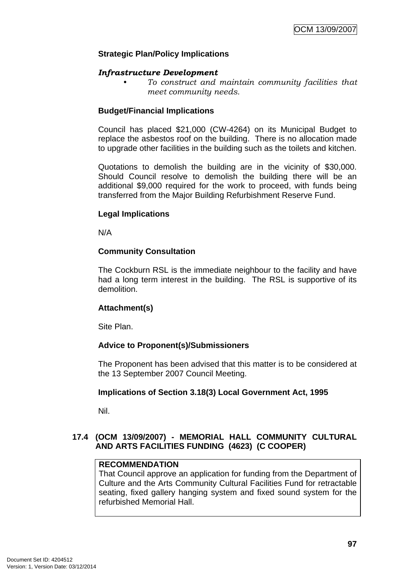## **Strategic Plan/Policy Implications**

#### *Infrastructure Development*

*• To construct and maintain community facilities that meet community needs.* 

## **Budget/Financial Implications**

Council has placed \$21,000 (CW-4264) on its Municipal Budget to replace the asbestos roof on the building. There is no allocation made to upgrade other facilities in the building such as the toilets and kitchen.

Quotations to demolish the building are in the vicinity of \$30,000. Should Council resolve to demolish the building there will be an additional \$9,000 required for the work to proceed, with funds being transferred from the Major Building Refurbishment Reserve Fund.

## **Legal Implications**

N/A

#### **Community Consultation**

The Cockburn RSL is the immediate neighbour to the facility and have had a long term interest in the building. The RSL is supportive of its demolition.

# **Attachment(s)**

Site Plan.

# **Advice to Proponent(s)/Submissioners**

The Proponent has been advised that this matter is to be considered at the 13 September 2007 Council Meeting.

# **Implications of Section 3.18(3) Local Government Act, 1995**

Nil.

# **17.4 (OCM 13/09/2007) - MEMORIAL HALL COMMUNITY CULTURAL AND ARTS FACILITIES FUNDING (4623) (C COOPER)**

#### **RECOMMENDATION**

That Council approve an application for funding from the Department of Culture and the Arts Community Cultural Facilities Fund for retractable seating, fixed gallery hanging system and fixed sound system for the refurbished Memorial Hall.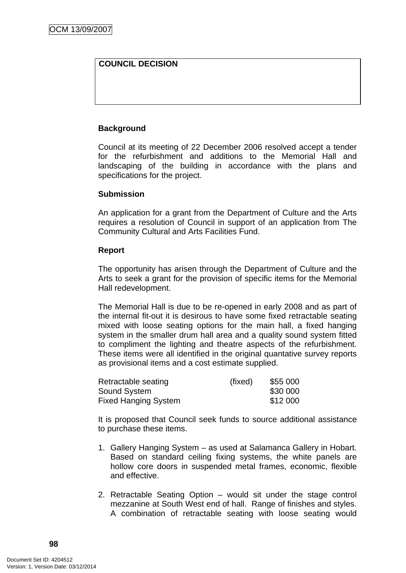# **COUNCIL DECISION**

## **Background**

Council at its meeting of 22 December 2006 resolved accept a tender for the refurbishment and additions to the Memorial Hall and landscaping of the building in accordance with the plans and specifications for the project.

#### **Submission**

An application for a grant from the Department of Culture and the Arts requires a resolution of Council in support of an application from The Community Cultural and Arts Facilities Fund.

#### **Report**

The opportunity has arisen through the Department of Culture and the Arts to seek a grant for the provision of specific items for the Memorial Hall redevelopment.

The Memorial Hall is due to be re-opened in early 2008 and as part of the internal fit-out it is desirous to have some fixed retractable seating mixed with loose seating options for the main hall, a fixed hanging system in the smaller drum hall area and a quality sound system fitted to compliment the lighting and theatre aspects of the refurbishment. These items were all identified in the original quantative survey reports as provisional items and a cost estimate supplied.

| Retractable seating         | (fixed) | \$55 000 |
|-----------------------------|---------|----------|
| <b>Sound System</b>         |         | \$30 000 |
| <b>Fixed Hanging System</b> |         | \$12 000 |

It is proposed that Council seek funds to source additional assistance to purchase these items.

- 1. Gallery Hanging System as used at Salamanca Gallery in Hobart. Based on standard ceiling fixing systems, the white panels are hollow core doors in suspended metal frames, economic, flexible and effective.
- 2. Retractable Seating Option would sit under the stage control mezzanine at South West end of hall. Range of finishes and styles. A combination of retractable seating with loose seating would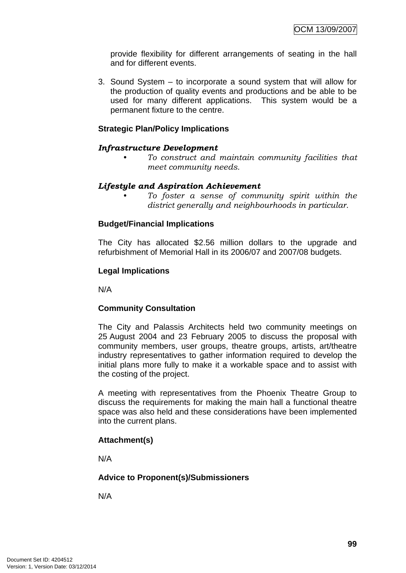provide flexibility for different arrangements of seating in the hall and for different events.

3. Sound System – to incorporate a sound system that will allow for the production of quality events and productions and be able to be used for many different applications. This system would be a permanent fixture to the centre.

#### **Strategic Plan/Policy Implications**

## *Infrastructure Development*

*• To construct and maintain community facilities that meet community needs.* 

#### *Lifestyle and Aspiration Achievement*

*• To foster a sense of community spirit within the district generally and neighbourhoods in particular.* 

## **Budget/Financial Implications**

The City has allocated \$2.56 million dollars to the upgrade and refurbishment of Memorial Hall in its 2006/07 and 2007/08 budgets.

## **Legal Implications**

N/A

#### **Community Consultation**

The City and Palassis Architects held two community meetings on 25 August 2004 and 23 February 2005 to discuss the proposal with community members, user groups, theatre groups, artists, art/theatre industry representatives to gather information required to develop the initial plans more fully to make it a workable space and to assist with the costing of the project.

A meeting with representatives from the Phoenix Theatre Group to discuss the requirements for making the main hall a functional theatre space was also held and these considerations have been implemented into the current plans.

# **Attachment(s)**

N/A

# **Advice to Proponent(s)/Submissioners**

N/A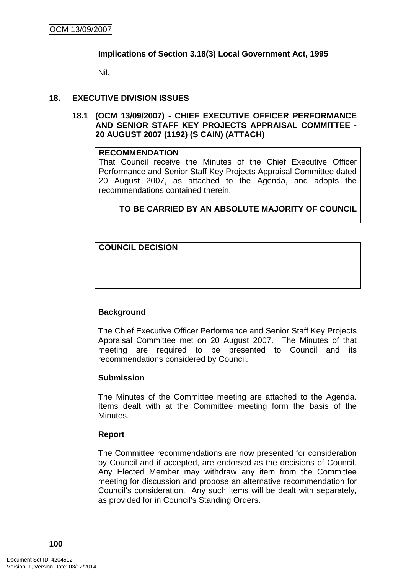#### **Implications of Section 3.18(3) Local Government Act, 1995**

Nil.

## **18. EXECUTIVE DIVISION ISSUES**

**18.1 (OCM 13/09/2007) - CHIEF EXECUTIVE OFFICER PERFORMANCE AND SENIOR STAFF KEY PROJECTS APPRAISAL COMMITTEE - 20 AUGUST 2007 (1192) (S CAIN) (ATTACH)** 

#### **RECOMMENDATION**

That Council receive the Minutes of the Chief Executive Officer Performance and Senior Staff Key Projects Appraisal Committee dated 20 August 2007, as attached to the Agenda, and adopts the recommendations contained therein.

## **TO BE CARRIED BY AN ABSOLUTE MAJORITY OF COUNCIL**

**COUNCIL DECISION**

# **Background**

The Chief Executive Officer Performance and Senior Staff Key Projects Appraisal Committee met on 20 August 2007. The Minutes of that meeting are required to be presented to Council and its recommendations considered by Council.

#### **Submission**

The Minutes of the Committee meeting are attached to the Agenda. Items dealt with at the Committee meeting form the basis of the Minutes.

#### **Report**

The Committee recommendations are now presented for consideration by Council and if accepted, are endorsed as the decisions of Council. Any Elected Member may withdraw any item from the Committee meeting for discussion and propose an alternative recommendation for Council's consideration. Any such items will be dealt with separately, as provided for in Council's Standing Orders.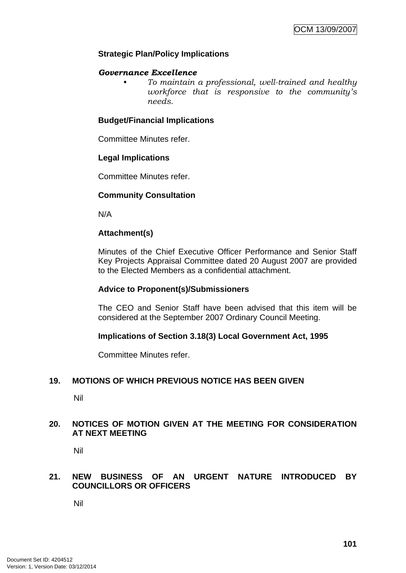## **Strategic Plan/Policy Implications**

#### *Governance Excellence*

*• To maintain a professional, well-trained and healthy workforce that is responsive to the community's needs.* 

#### **Budget/Financial Implications**

Committee Minutes refer.

#### **Legal Implications**

Committee Minutes refer.

#### **Community Consultation**

N/A

#### **Attachment(s)**

Minutes of the Chief Executive Officer Performance and Senior Staff Key Projects Appraisal Committee dated 20 August 2007 are provided to the Elected Members as a confidential attachment.

#### **Advice to Proponent(s)/Submissioners**

The CEO and Senior Staff have been advised that this item will be considered at the September 2007 Ordinary Council Meeting.

#### **Implications of Section 3.18(3) Local Government Act, 1995**

Committee Minutes refer.

#### **19. MOTIONS OF WHICH PREVIOUS NOTICE HAS BEEN GIVEN**

Nil

#### **20. NOTICES OF MOTION GIVEN AT THE MEETING FOR CONSIDERATION AT NEXT MEETING**

Nil

## **21. NEW BUSINESS OF AN URGENT NATURE INTRODUCED BY COUNCILLORS OR OFFICERS**

Nil